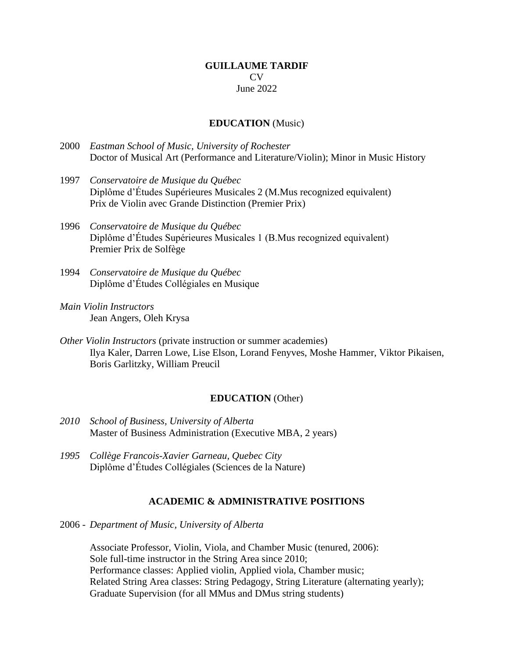### **GUILLAUME TARDIF**  $CV$ June 2022

### **EDUCATION** (Music)

- 2000 *Eastman School of Music, University of Rochester* Doctor of Musical Art (Performance and Literature/Violin); Minor in Music History
- 1997 *Conservatoire de Musique du Québec* Diplôme d'Études Supérieures Musicales 2 (M.Mus recognized equivalent) Prix de Violin avec Grande Distinction (Premier Prix)
- 1996 *Conservatoire de Musique du Québec* Diplôme d'Études Supérieures Musicales 1 (B.Mus recognized equivalent) Premier Prix de Solfège
- 1994 *Conservatoire de Musique du Québec* Diplôme d'Études Collégiales en Musique
- *Main Violin Instructors* Jean Angers, Oleh Krysa
- *Other Violin Instructors* (private instruction or summer academies) Ilya Kaler, Darren Lowe, Lise Elson, Lorand Fenyves, Moshe Hammer, Viktor Pikaisen, Boris Garlitzky, William Preucil

### **EDUCATION** (Other)

- *2010 School of Business, University of Alberta* Master of Business Administration (Executive MBA, 2 years)
- *1995 Collège Francois-Xavier Garneau, Quebec City* Diplôme d'Études Collégiales (Sciences de la Nature)

### **ACADEMIC & ADMINISTRATIVE POSITIONS**

2006 - *Department of Music, University of Alberta*

Associate Professor, Violin, Viola, and Chamber Music (tenured, 2006): Sole full-time instructor in the String Area since 2010; Performance classes: Applied violin, Applied viola, Chamber music; Related String Area classes: String Pedagogy, String Literature (alternating yearly); Graduate Supervision (for all MMus and DMus string students)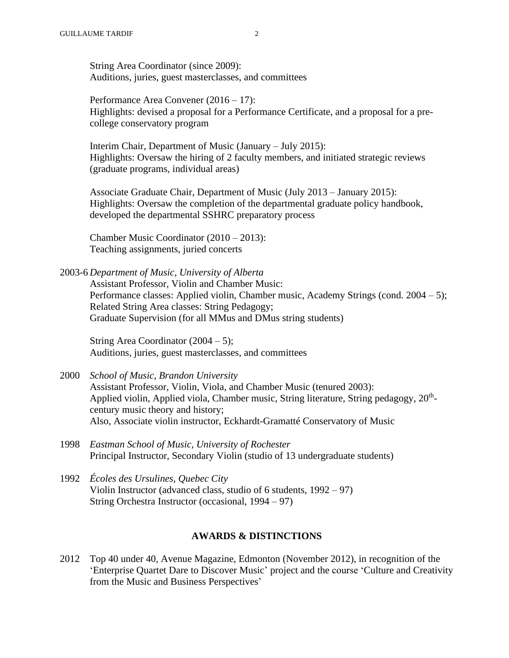String Area Coordinator (since 2009): Auditions, juries, guest masterclasses, and committees

Performance Area Convener (2016 – 17): Highlights: devised a proposal for a Performance Certificate, and a proposal for a precollege conservatory program

Interim Chair, Department of Music (January – July 2015): Highlights: Oversaw the hiring of 2 faculty members, and initiated strategic reviews (graduate programs, individual areas)

Associate Graduate Chair, Department of Music (July 2013 – January 2015): Highlights: Oversaw the completion of the departmental graduate policy handbook, developed the departmental SSHRC preparatory process

Chamber Music Coordinator (2010 – 2013): Teaching assignments, juried concerts

2003-6 *Department of Music, University of Alberta* Assistant Professor, Violin and Chamber Music: Performance classes: Applied violin, Chamber music, Academy Strings (cond. 2004 – 5); Related String Area classes: String Pedagogy; Graduate Supervision (for all MMus and DMus string students)

String Area Coordinator  $(2004 - 5)$ ; Auditions, juries, guest masterclasses, and committees

- 2000 *School of Music, Brandon University* Assistant Professor, Violin, Viola, and Chamber Music (tenured 2003): Applied violin, Applied viola, Chamber music, String literature, String pedagogy, 20<sup>th</sup>century music theory and history; Also, Associate violin instructor, Eckhardt-Gramatté Conservatory of Music
- 1998 *Eastman School of Music, University of Rochester* Principal Instructor, Secondary Violin (studio of 13 undergraduate students)
- 1992 *Écoles des Ursulines, Quebec City* Violin Instructor (advanced class, studio of 6 students, 1992 – 97) String Orchestra Instructor (occasional, 1994 – 97)

## **AWARDS & DISTINCTIONS**

2012 Top 40 under 40, Avenue Magazine, Edmonton (November 2012), in recognition of the 'Enterprise Quartet Dare to Discover Music' project and the course 'Culture and Creativity from the Music and Business Perspectives'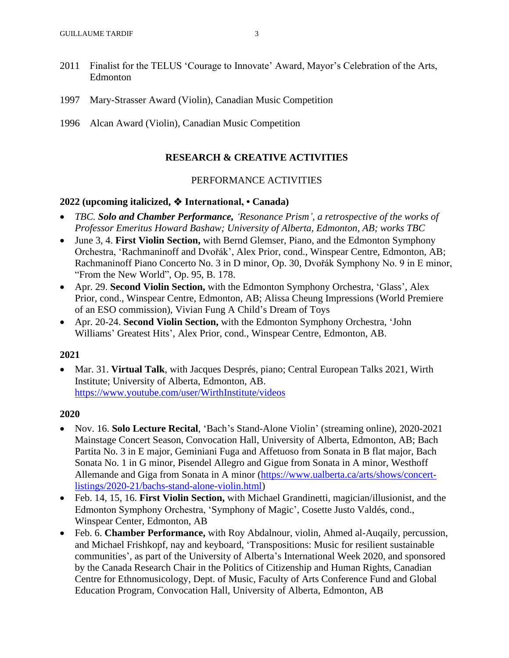- 2011 Finalist for the TELUS 'Courage to Innovate' Award, Mayor's Celebration of the Arts, Edmonton
- 1997 Mary-Strasser Award (Violin), Canadian Music Competition
- 1996 Alcan Award (Violin), Canadian Music Competition

## **RESEARCH & CREATIVE ACTIVITIES**

### PERFORMANCE ACTIVITIES

### **2022 (upcoming italicized,** ❖ **International, • Canada)**

- *TBC. Solo and Chamber Performance, 'Resonance Prism', a retrospective of the works of Professor Emeritus Howard Bashaw; University of Alberta, Edmonton, AB; works TBC*
- June 3, 4. **First Violin Section,** with Bernd Glemser, Piano, and the Edmonton Symphony Orchestra, 'Rachmaninoff and Dvořák', Alex Prior, cond., Winspear Centre, Edmonton, AB; Rachmaninoff Piano Concerto No. 3 in D minor, Op. 30, Dvořák Symphony No. 9 in E minor, "From the New World", Op. 95, B. 178.
- Apr. 29. **Second Violin Section,** with the Edmonton Symphony Orchestra, 'Glass', Alex Prior, cond., Winspear Centre, Edmonton, AB; Alissa Cheung Impressions (World Premiere of an ESO commission), Vivian Fung A Child's Dream of Toys
- Apr. 20-24. **Second Violin Section,** with the Edmonton Symphony Orchestra, 'John Williams' Greatest Hits', Alex Prior, cond., Winspear Centre, Edmonton, AB.

### **2021**

• Mar. 31. **Virtual Talk**, with Jacques Després, piano; Central European Talks 2021, Wirth Institute; University of Alberta, Edmonton, AB. <https://www.youtube.com/user/WirthInstitute/videos>

- Nov. 16. **Solo Lecture Recital**, 'Bach's Stand-Alone Violin' (streaming online), 2020-2021 Mainstage Concert Season, Convocation Hall, University of Alberta, Edmonton, AB; Bach Partita No. 3 in E major, Geminiani Fuga and Affetuoso from Sonata in B flat major, Bach Sonata No. 1 in G minor, Pisendel Allegro and Gigue from Sonata in A minor, Westhoff Allemande and Giga from Sonata in A minor [\(https://www.ualberta.ca/arts/shows/concert](https://www.ualberta.ca/arts/shows/concert-listings/2020-21/bachs-stand-alone-violin.html)[listings/2020-21/bachs-stand-alone-violin.html\)](https://www.ualberta.ca/arts/shows/concert-listings/2020-21/bachs-stand-alone-violin.html)
- Feb. 14, 15, 16. **First Violin Section,** with Michael Grandinetti, magician/illusionist, and the Edmonton Symphony Orchestra, 'Symphony of Magic', Cosette Justo Valdés, cond., Winspear Center, Edmonton, AB
- Feb. 6. **Chamber Performance,** with Roy Abdalnour, violin, Ahmed al-Auqaily, percussion, and Michael Frishkopf, nay and keyboard, 'Transpositions: Music for resilient sustainable communities', as part of the University of Alberta's International Week 2020, and sponsored by the Canada Research Chair in the Politics of Citizenship and Human Rights, Canadian Centre for Ethnomusicology, Dept. of Music, Faculty of Arts Conference Fund and Global Education Program, Convocation Hall, University of Alberta, Edmonton, AB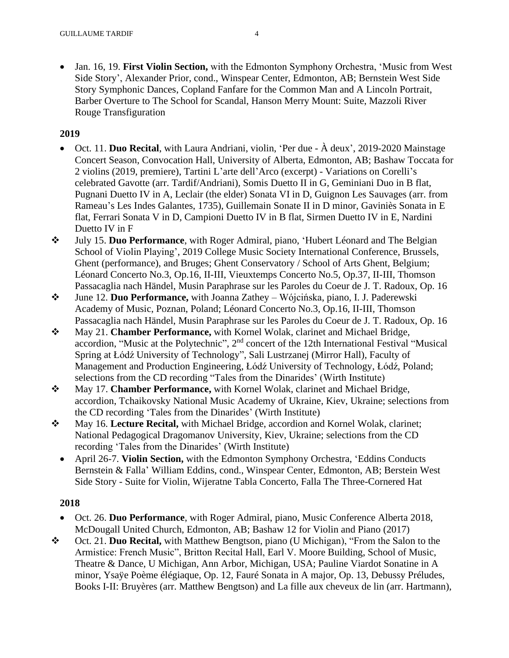• Jan. 16, 19. **First Violin Section,** with the Edmonton Symphony Orchestra, 'Music from West Side Story', Alexander Prior, cond., Winspear Center, Edmonton, AB; Bernstein West Side Story Symphonic Dances, Copland Fanfare for the Common Man and A Lincoln Portrait, Barber Overture to The School for Scandal, Hanson Merry Mount: Suite, Mazzoli River Rouge Transfiguration

# **2019**

- Oct. 11. **Duo Recital**, with Laura Andriani, violin, 'Per due À deux', 2019-2020 Mainstage Concert Season, Convocation Hall, University of Alberta, Edmonton, AB; Bashaw Toccata for 2 violins (2019, premiere), Tartini L'arte dell'Arco (excerpt) - Variations on Corelli's celebrated Gavotte (arr. Tardif/Andriani), Somis Duetto II in G, Geminiani Duo in B flat, Pugnani Duetto IV in A, Leclair (the elder) Sonata VI in D, Guignon Les Sauvages (arr. from Rameau's Les Indes Galantes, 1735), Guillemain Sonate II in D minor, Gaviniès Sonata in E flat, Ferrari Sonata V in D, Campioni Duetto IV in B flat, Sirmen Duetto IV in E, Nardini Duetto IV in F
- ❖ July 15. **Duo Performance**, with Roger Admiral, piano, 'Hubert Léonard and The Belgian School of Violin Playing', 2019 College Music Society International Conference, Brussels, Ghent (performance), and Bruges; Ghent Conservatory / School of Arts Ghent, Belgium; Léonard Concerto No.3, Op.16, II-III, Vieuxtemps Concerto No.5, Op.37, II-III, Thomson Passacaglia nach Händel, Musin Paraphrase sur les Paroles du Coeur de J. T. Radoux, Op. 16
- ❖ June 12. **Duo Performance,** with Joanna Zathey Wójcińska, piano, I. J. Paderewski Academy of Music, Poznan, Poland; Léonard Concerto No.3, Op.16, II-III, Thomson Passacaglia nach Händel, Musin Paraphrase sur les Paroles du Coeur de J. T. Radoux, Op. 16
- ❖ May 21. **Chamber Performance,** with Kornel Wolak, clarinet and Michael Bridge, accordion, "Music at the Polytechnic", 2<sup>nd</sup> concert of the 12th International Festival "Musical Spring at Łódź University of Technology", Sali Lustrzanej (Mirror Hall), Faculty of Management and Production Engineering, Łódź University of Technology, Łódź, Poland; selections from the CD recording "Tales from the Dinarides' (Wirth Institute)
- ❖ May 17. **Chamber Performance,** with Kornel Wolak, clarinet and Michael Bridge, accordion, Tchaikovsky National Music Academy of Ukraine, Kiev, Ukraine; selections from the CD recording 'Tales from the Dinarides' (Wirth Institute)
- ❖ May 16. **Lecture Recital,** with Michael Bridge, accordion and Kornel Wolak, clarinet; National Pedagogical Dragomanov University, Kiev, Ukraine; selections from the CD recording 'Tales from the Dinarides' (Wirth Institute)
	- April 26-7. **Violin Section,** with the Edmonton Symphony Orchestra, 'Eddins Conducts Bernstein & Falla' William Eddins, cond., Winspear Center, Edmonton, AB; Berstein West Side Story - Suite for Violin, Wijeratne Tabla Concerto, Falla The Three-Cornered Hat

- Oct. 26. **Duo Performance**, with Roger Admiral, piano, Music Conference Alberta 2018, McDougall United Church, Edmonton, AB; Bashaw 12 for Violin and Piano (2017)
- ❖ Oct. 21. **Duo Recital,** with Matthew Bengtson, piano (U Michigan), "From the Salon to the Armistice: French Music", Britton Recital Hall, Earl V. Moore Building, School of Music, Theatre & Dance, U Michigan, Ann Arbor, Michigan, USA; Pauline Viardot Sonatine in A minor, Ysaÿe Poème élégiaque, Op. 12, Fauré Sonata in A major, Op. 13, Debussy Préludes, Books I-II: Bruyères (arr. Matthew Bengtson) and La fille aux cheveux de lin (arr. Hartmann),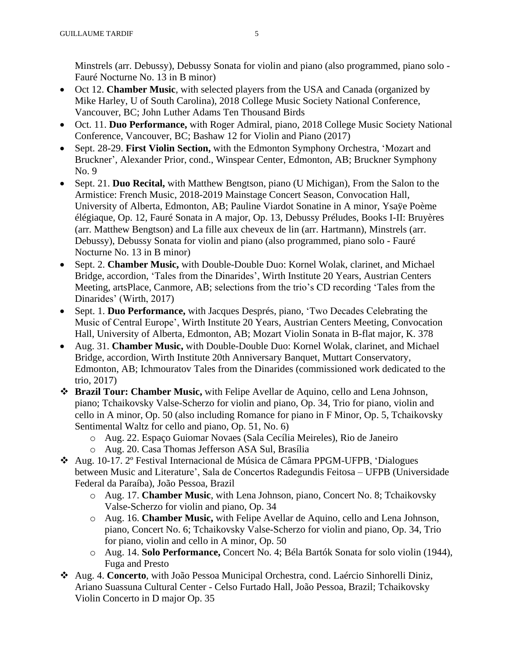Minstrels (arr. Debussy), Debussy Sonata for violin and piano (also programmed, piano solo - Fauré Nocturne No. 13 in B minor)

- Oct 12. **Chamber Music**, with selected players from the USA and Canada (organized by Mike Harley, U of South Carolina), 2018 College Music Society National Conference, Vancouver, BC; John Luther Adams Ten Thousand Birds
- Oct. 11. **Duo Performance,** with Roger Admiral, piano, 2018 College Music Society National Conference, Vancouver, BC; Bashaw 12 for Violin and Piano (2017)
- Sept. 28-29. **First Violin Section,** with the Edmonton Symphony Orchestra, 'Mozart and Bruckner', Alexander Prior, cond., Winspear Center, Edmonton, AB; Bruckner Symphony No. 9
- Sept. 21. **Duo Recital,** with Matthew Bengtson, piano (U Michigan), From the Salon to the Armistice: French Music, 2018-2019 Mainstage Concert Season, Convocation Hall, University of Alberta, Edmonton, AB; Pauline Viardot Sonatine in A minor, Ysaÿe Poème élégiaque, Op. 12, Fauré Sonata in A major, Op. 13, Debussy Préludes, Books I-II: Bruyères (arr. Matthew Bengtson) and La fille aux cheveux de lin (arr. Hartmann), Minstrels (arr. Debussy), Debussy Sonata for violin and piano (also programmed, piano solo - Fauré Nocturne No. 13 in B minor)
- Sept. 2. **Chamber Music,** with Double-Double Duo: Kornel Wolak, clarinet, and Michael Bridge, accordion, 'Tales from the Dinarides', Wirth Institute 20 Years, Austrian Centers Meeting, artsPlace, Canmore, AB; selections from the trio's CD recording 'Tales from the Dinarides' (Wirth, 2017)
- Sept. 1. **Duo Performance,** with Jacques Després, piano, 'Two Decades Celebrating the Music of Central Europe', Wirth Institute 20 Years, Austrian Centers Meeting, Convocation Hall, University of Alberta, Edmonton, AB; Mozart Violin Sonata in B-flat major, K. 378
- Aug. 31. **Chamber Music,** with Double-Double Duo: Kornel Wolak, clarinet, and Michael Bridge, accordion, Wirth Institute 20th Anniversary Banquet, Muttart Conservatory, Edmonton, AB; Ichmouratov Tales from the Dinarides (commissioned work dedicated to the trio, 2017)
- ❖ **Brazil Tour: Chamber Music,** with Felipe Avellar de Aquino, cello and Lena Johnson, piano; Tchaikovsky Valse-Scherzo for violin and piano, Op. 34, Trio for piano, violin and cello in A minor, Op. 50 (also including Romance for piano in F Minor, Op. 5, Tchaikovsky Sentimental Waltz for cello and piano, Op. 51, No. 6)
	- o Aug. 22. Espaço Guiomar Novaes (Sala Cecília Meireles), Rio de Janeiro
	- o Aug. 20. Casa Thomas Jefferson ASA Sul, Brasília
- ❖ Aug. 10-17. 2º Festival Internacional de Música de Câmara PPGM-UFPB, 'Dialogues between Music and Literature', Sala de Concertos Radegundis Feitosa – UFPB (Universidade Federal da Paraíba), João Pessoa, Brazil
	- o Aug. 17. **Chamber Music**, with Lena Johnson, piano, Concert No. 8; Tchaikovsky Valse-Scherzo for violin and piano, Op. 34
	- o Aug. 16. **Chamber Music,** with Felipe Avellar de Aquino, cello and Lena Johnson, piano, Concert No. 6; Tchaikovsky Valse-Scherzo for violin and piano, Op. 34, Trio for piano, violin and cello in A minor, Op. 50
	- o Aug. 14. **Solo Performance,** Concert No. 4; Béla Bartók Sonata for solo violin (1944), Fuga and Presto
- ❖ Aug. 4. **Concerto**, with João Pessoa Municipal Orchestra, cond. Laércio Sinhorelli Diniz, Ariano Suassuna Cultural Center - Celso Furtado Hall, João Pessoa, Brazil; Tchaikovsky Violin Concerto in D major Op. 35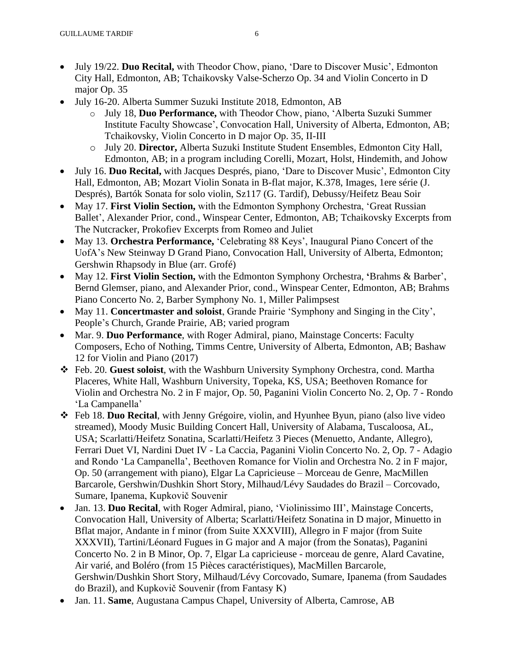- July 19/22. **Duo Recital,** with Theodor Chow, piano, 'Dare to Discover Music', Edmonton City Hall, Edmonton, AB; Tchaikovsky Valse-Scherzo Op. 34 and Violin Concerto in D major Op. 35
- July 16-20. Alberta Summer Suzuki Institute 2018, Edmonton, AB
	- o July 18, **Duo Performance,** with Theodor Chow, piano, 'Alberta Suzuki Summer Institute Faculty Showcase', Convocation Hall, University of Alberta, Edmonton, AB; Tchaikovsky, Violin Concerto in D major Op. 35, II-III
	- o July 20. **Director,** Alberta Suzuki Institute Student Ensembles, Edmonton City Hall, Edmonton, AB; in a program including Corelli, Mozart, Holst, Hindemith, and Johow
- July 16. **Duo Recital,** with Jacques Després, piano, 'Dare to Discover Music', Edmonton City Hall, Edmonton, AB; Mozart Violin Sonata in B-flat major, K.378, Images, 1ere série (J. Després), Bartók Sonata for solo violin, Sz117 (G. Tardif), Debussy/Heifetz Beau Soir
- May 17. **First Violin Section,** with the Edmonton Symphony Orchestra, 'Great Russian Ballet', Alexander Prior, cond., Winspear Center, Edmonton, AB; Tchaikovsky Excerpts from The Nutcracker, Prokofiev Excerpts from Romeo and Juliet
- May 13. **Orchestra Performance,** 'Celebrating 88 Keys', Inaugural Piano Concert of the UofA's New Steinway D Grand Piano, Convocation Hall, University of Alberta, Edmonton; Gershwin Rhapsody in Blue (arr. Grofé)
- May 12. **First Violin Section,** with the Edmonton Symphony Orchestra, **'**Brahms & Barber', Bernd Glemser, piano, and Alexander Prior, cond., Winspear Center, Edmonton, AB; Brahms Piano Concerto No. 2, Barber Symphony No. 1, Miller Palimpsest
- May 11. **Concertmaster and soloist**, Grande Prairie 'Symphony and Singing in the City', People's Church, Grande Prairie, AB; varied program
- Mar. 9. **Duo Performance**, with Roger Admiral, piano, Mainstage Concerts: Faculty Composers, Echo of Nothing, Timms Centre, University of Alberta, Edmonton, AB; Bashaw 12 for Violin and Piano (2017)
- ❖ Feb. 20. **Guest soloist**, with the Washburn University Symphony Orchestra, cond. Martha Placeres, White Hall, Washburn University, Topeka, KS, USA; Beethoven Romance for Violin and Orchestra No. 2 in F major, Op. 50, Paganini Violin Concerto No. 2, Op. 7 - Rondo 'La Campanella'
- ❖ Feb 18. **Duo Recital**, with Jenny Grégoire, violin, and Hyunhee Byun, piano (also live video streamed), Moody Music Building Concert Hall, University of Alabama, Tuscaloosa, AL, USA; Scarlatti/Heifetz Sonatina, Scarlatti/Heifetz 3 Pieces (Menuetto, Andante, Allegro), Ferrari Duet VI, Nardini Duet IV - La Caccia, Paganini Violin Concerto No. 2, Op. 7 - Adagio and Rondo 'La Campanella', Beethoven Romance for Violin and Orchestra No. 2 in F major, Op. 50 (arrangement with piano), Elgar La Capricieuse – Morceau de Genre, MacMillen Barcarole, Gershwin/Dushkin Short Story, Milhaud/Lévy Saudades do Brazil – Corcovado, Sumare, Ipanema, Kupkovič Souvenir
- Jan. 13. **Duo Recital**, with Roger Admiral, piano, 'Violinissimo III', Mainstage Concerts, Convocation Hall, University of Alberta; Scarlatti/Heifetz Sonatina in D major, Minuetto in Bflat major, Andante in f minor (from Suite XXXVIII), Allegro in F major (from Suite XXXVII), Tartini/Léonard Fugues in G major and A major (from the Sonatas), Paganini Concerto No. 2 in B Minor, Op. 7, Elgar La capricieuse - morceau de genre, Alard Cavatine, Air varié, and Boléro (from 15 Pièces caractéristiques), MacMillen Barcarole, Gershwin/Dushkin Short Story, Milhaud/Lévy Corcovado, Sumare, Ipanema (from Saudades do Brazil), and Kupkovič Souvenir (from Fantasy K)
- Jan. 11. **Same**, Augustana Campus Chapel, University of Alberta, Camrose, AB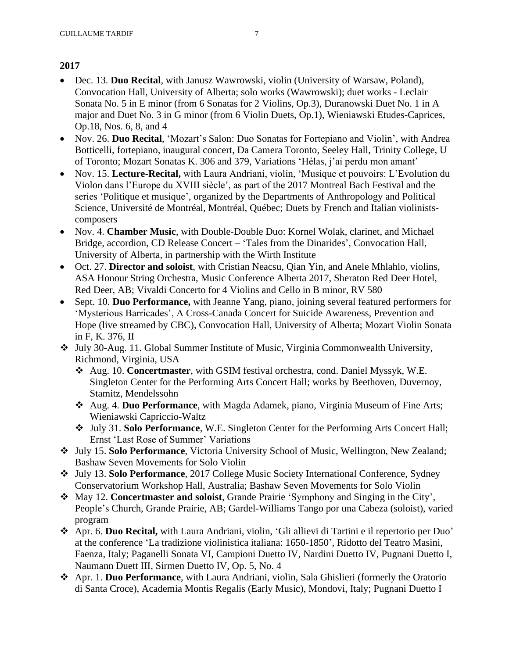- Dec. 13. **Duo Recital**, with Janusz Wawrowski, violin (University of Warsaw, Poland), Convocation Hall, University of Alberta; solo works (Wawrowski); duet works - Leclair Sonata No. 5 in E minor (from 6 Sonatas for 2 Violins, Op.3), Duranowski Duet No. 1 in A major and Duet No. 3 in G minor (from 6 Violin Duets, Op.1), Wieniawski Etudes-Caprices, Op.18, Nos. 6, 8, and 4
- Nov. 26. **Duo Recital**, 'Mozart's Salon: Duo Sonatas for Fortepiano and Violin', with Andrea Botticelli, fortepiano, inaugural concert, Da Camera Toronto, Seeley Hall, Trinity College, U of Toronto; Mozart Sonatas K. 306 and 379, Variations 'Hélas, j'ai perdu mon amant'
- Nov. 15. **Lecture-Recital,** with Laura Andriani, violin, 'Musique et pouvoirs: L'Evolution du Violon dans l'Europe du XVIII siècle', as part of the 2017 Montreal Bach Festival and the series 'Politique et musique', organized by the Departments of Anthropology and Political Science, Université de Montréal, Montréal, Québec; Duets by French and Italian violinistscomposers
- Nov. 4. **Chamber Music**, with Double-Double Duo: Kornel Wolak, clarinet, and Michael Bridge, accordion, CD Release Concert – 'Tales from the Dinarides', Convocation Hall, University of Alberta, in partnership with the Wirth Institute
- Oct. 27. **Director and soloist**, with Cristian Neacsu, Qian Yin, and Anele Mhlahlo, violins, ASA Honour String Orchestra, Music Conference Alberta 2017, Sheraton Red Deer Hotel, Red Deer, AB; Vivaldi Concerto for 4 Violins and Cello in B minor, RV 580
- Sept. 10. **Duo Performance,** with Jeanne Yang, piano, joining several featured performers for 'Mysterious Barricades', A Cross-Canada Concert for Suicide Awareness, Prevention and Hope (live streamed by CBC), Convocation Hall, University of Alberta; Mozart Violin Sonata in F, K. 376, II
- ❖ July 30-Aug. 11. Global Summer Institute of Music, Virginia Commonwealth University, Richmond, Virginia, USA
	- ❖ Aug. 10. **Concertmaster**, with GSIM festival orchestra, cond. Daniel Myssyk, W.E. Singleton Center for the Performing Arts Concert Hall; works by Beethoven, Duvernoy, Stamitz, Mendelssohn
	- ❖ Aug. 4. **Duo Performance**, with Magda Adamek, piano, Virginia Museum of Fine Arts; Wieniawski Capriccio-Waltz
	- ❖ July 31. **Solo Performance**, W.E. Singleton Center for the Performing Arts Concert Hall; Ernst 'Last Rose of Summer' Variations
- ❖ July 15. **Solo Performance**, Victoria University School of Music, Wellington, New Zealand; Bashaw Seven Movements for Solo Violin
- ❖ July 13. **Solo Performance**, 2017 College Music Society International Conference, Sydney Conservatorium Workshop Hall, Australia; Bashaw Seven Movements for Solo Violin
- ❖ May 12. **Concertmaster and soloist**, Grande Prairie 'Symphony and Singing in the City', People's Church, Grande Prairie, AB; Gardel-Williams Tango por una Cabeza (soloist), varied program
- ❖ Apr. 6. **Duo Recital,** with Laura Andriani, violin, 'Gli allievi di Tartini e il repertorio per Duo' at the conference 'La tradizione violinistica italiana: 1650-1850', Ridotto del Teatro Masini, Faenza, Italy; Paganelli Sonata VI, Campioni Duetto IV, Nardini Duetto IV, Pugnani Duetto I, Naumann Duett III, Sirmen Duetto IV, Op. 5, No. 4
- ❖ Apr. 1. **Duo Performance**, with Laura Andriani, violin, Sala Ghislieri (formerly the Oratorio di Santa Croce), Academia Montis Regalis (Early Music), Mondovi, Italy; Pugnani Duetto I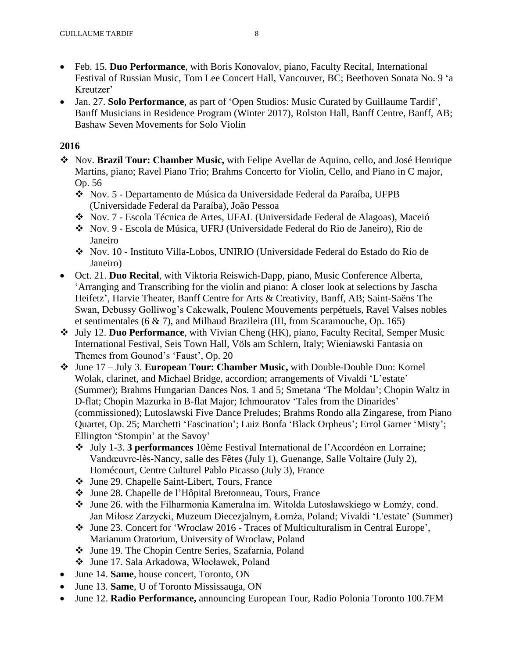- Feb. 15. **Duo Performance**, with Boris Konovalov, piano, Faculty Recital, International Festival of Russian Music, Tom Lee Concert Hall, Vancouver, BC; Beethoven Sonata No. 9 'a Kreutzer'
- Jan. 27. **Solo Performance**, as part of 'Open Studios: Music Curated by Guillaume Tardif', Banff Musicians in Residence Program (Winter 2017), Rolston Hall, Banff Centre, Banff, AB; Bashaw Seven Movements for Solo Violin

- ❖ Nov. **Brazil Tour: Chamber Music,** with Felipe Avellar de Aquino, cello, and José Henrique Martins, piano; Ravel Piano Trio; Brahms Concerto for Violin, Cello, and Piano in C major, Op. 56
	- ❖ Nov. 5 Departamento de Música da Universidade Federal da Paraíba, UFPB (Universidade Federal da Paraíba), João Pessoa
	- ❖ Nov. 7 Escola Técnica de Artes, UFAL (Universidade Federal de Alagoas), Maceió
	- ❖ Nov. 9 Escola de Música, UFRJ (Universidade Federal do Rio de Janeiro), Rio de Janeiro
	- ❖ Nov. 10 Instituto Villa-Lobos, UNIRIO (Universidade Federal do Estado do Rio de Janeiro)
- Oct. 21. **Duo Recital**, with Viktoria Reiswich-Dapp, piano, Music Conference Alberta, 'Arranging and Transcribing for the violin and piano: A closer look at selections by Jascha Heifetz', Harvie Theater, Banff Centre for Arts & Creativity, Banff, AB; Saint-Saëns The Swan, Debussy Golliwog's Cakewalk, Poulenc Mouvements perpétuels, Ravel Valses nobles et sentimentales (6 & 7), and Milhaud Brazileira (III, from Scaramouche, Op. 165)
- ❖ July 12. **Duo Performance**, with Vivian Cheng (HK), piano, Faculty Recital, Semper Music International Festival, Seis Town Hall, Völs am Schlern, Italy; Wieniawski Fantasia on Themes from Gounod's 'Faust', Op. 20
- ❖ June 17 July 3. **European Tour: Chamber Music,** with Double-Double Duo: Kornel Wolak, clarinet, and Michael Bridge, accordion; arrangements of Vivaldi 'L'estate' (Summer); Brahms Hungarian Dances Nos. 1 and 5; Smetana 'The Moldau'; Chopin Waltz in D-flat; Chopin Mazurka in B-flat Major; Ichmouratov 'Tales from the Dinarides' (commissioned); Lutoslawski Five Dance Preludes; Brahms Rondo alla Zingarese, from Piano Quartet, Op. 25; Marchetti 'Fascination'; Luiz Bonfa 'Black Orpheus'; Errol Garner 'Misty'; Ellington 'Stompin' at the Savoy'
	- ❖ July 1-3. **3 performances** 10ème Festival International de l'Accordéon en Lorraine; Vandœuvre-lès-Nancy, salle des Fêtes (July 1), Guenange, Salle Voltaire (July 2), Homécourt, Centre Culturel Pablo Picasso (July 3), France
	- ❖ June 29. Chapelle Saint-Libert, Tours, France
	- ❖ June 28. Chapelle de l'Hôpital Bretonneau, Tours, France
	- ❖ June 26. with the Filharmonia Kameralna im. Witolda Lutosławskiego w Łomży, cond. Jan Miłosz Zarzycki, Muzeum Diecezjalnym, Łomża, Poland; Vivaldi 'L'estate' (Summer)
	- ❖ June 23. Concert for 'Wroclaw 2016 Traces of Multiculturalism in Central Europe', Marianum Oratorium, University of Wroclaw, Poland
	- ❖ June 19. The Chopin Centre Series, Szafarnia, Poland
	- ❖ June 17. Sala Arkadowa, Włocławek, Poland
- June 14. **Same**, house concert, Toronto, ON
- June 13. **Same**, U of Toronto Mississauga, ON
- June 12. **Radio Performance,** announcing European Tour, Radio Polonia Toronto 100.7FM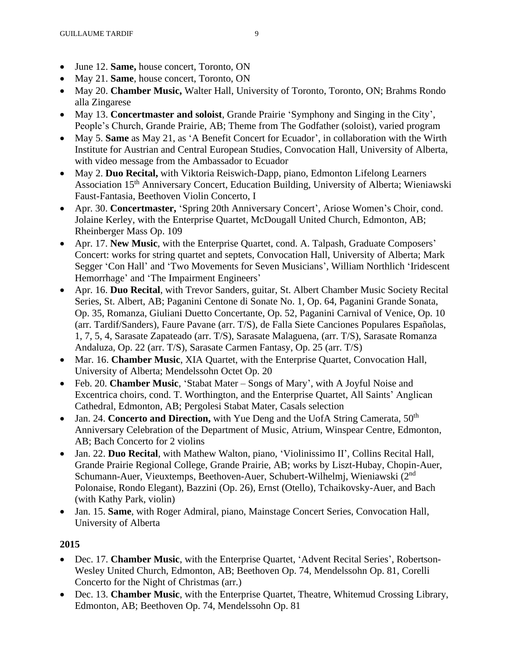- June 12. **Same,** house concert, Toronto, ON
- May 21. **Same**, house concert, Toronto, ON
- May 20. **Chamber Music,** Walter Hall, University of Toronto, Toronto, ON; Brahms Rondo alla Zingarese
- May 13. **Concertmaster and soloist**, Grande Prairie 'Symphony and Singing in the City', People's Church, Grande Prairie, AB; Theme from The Godfather (soloist), varied program
- May 5. **Same** as May 21, as 'A Benefit Concert for Ecuador', in collaboration with the Wirth Institute for Austrian and Central European Studies, Convocation Hall, University of Alberta, with video message from the Ambassador to Ecuador
- May 2. **Duo Recital,** with Viktoria Reiswich-Dapp, piano, Edmonton Lifelong Learners Association 15<sup>th</sup> Anniversary Concert, Education Building, University of Alberta; Wieniawski Faust-Fantasia, Beethoven Violin Concerto, I
- Apr. 30. **Concertmaster,** 'Spring 20th Anniversary Concert', Ariose Women's Choir, cond. Jolaine Kerley, with the Enterprise Quartet, McDougall United Church, Edmonton, AB; Rheinberger Mass Op. 109
- Apr. 17. **New Music**, with the Enterprise Quartet, cond. A. Talpash, Graduate Composers' Concert: works for string quartet and septets, Convocation Hall, University of Alberta; Mark Segger 'Con Hall' and 'Two Movements for Seven Musicians', William Northlich 'Iridescent Hemorrhage' and 'The Impairment Engineers'
- Apr. 16. **Duo Recital**, with Trevor Sanders, guitar, St. Albert Chamber Music Society Recital Series, St. Albert, AB; Paganini Centone di Sonate No. 1, Op. 64, Paganini Grande Sonata, Op. 35, Romanza, Giuliani Duetto Concertante, Op. 52, Paganini Carnival of Venice, Op. 10 (arr. Tardif/Sanders), Faure Pavane (arr. T/S), de Falla Siete Canciones Populares Españolas, 1, 7, 5, 4, Sarasate Zapateado (arr. T/S), Sarasate Malaguena, (arr. T/S), Sarasate Romanza Andaluza, Op. 22 (arr. T/S), Sarasate Carmen Fantasy, Op. 25 (arr. T/S)
- Mar. 16. **Chamber Music**, XIA Quartet, with the Enterprise Quartet, Convocation Hall, University of Alberta; Mendelssohn Octet Op. 20
- Feb. 20. **Chamber Music**, 'Stabat Mater Songs of Mary', with A Joyful Noise and Excentrica choirs, cond. T. Worthington, and the Enterprise Quartet, All Saints' Anglican Cathedral, Edmonton, AB; Pergolesi Stabat Mater, Casals selection
- Jan. 24. **Concerto and Direction,** with Yue Deng and the UofA String Camerata, 50<sup>th</sup> Anniversary Celebration of the Department of Music, Atrium, Winspear Centre, Edmonton, AB; Bach Concerto for 2 violins
- Jan. 22. **Duo Recital**, with Mathew Walton, piano, 'Violinissimo II', Collins Recital Hall, Grande Prairie Regional College, Grande Prairie, AB; works by Liszt-Hubay, Chopin-Auer, Schumann-Auer, Vieuxtemps, Beethoven-Auer, Schubert-Wilhelmj, Wieniawski (2nd Polonaise, Rondo Elegant), Bazzini (Op. 26), Ernst (Otello), Tchaikovsky-Auer, and Bach (with Kathy Park, violin)
- Jan. 15. **Same**, with Roger Admiral, piano, Mainstage Concert Series, Convocation Hall, University of Alberta

- Dec. 17. **Chamber Music**, with the Enterprise Quartet, 'Advent Recital Series', Robertson-Wesley United Church, Edmonton, AB; Beethoven Op. 74, Mendelssohn Op. 81, Corelli Concerto for the Night of Christmas (arr.)
- Dec. 13. **Chamber Music**, with the Enterprise Quartet, Theatre, Whitemud Crossing Library, Edmonton, AB; Beethoven Op. 74, Mendelssohn Op. 81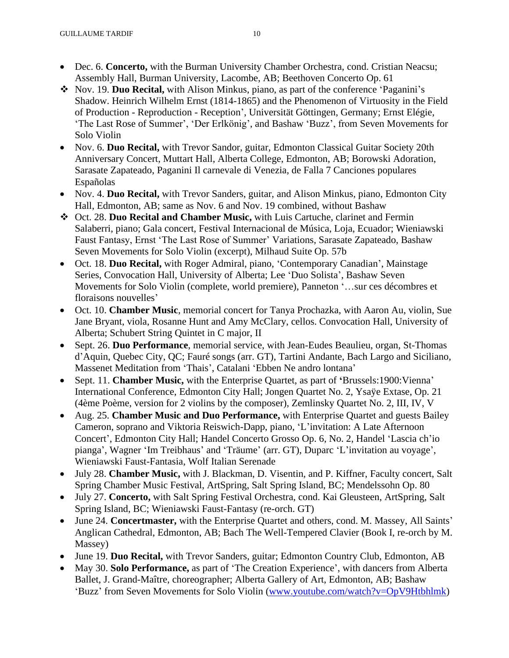- Dec. 6. **Concerto,** with the Burman University Chamber Orchestra, cond. Cristian Neacsu; Assembly Hall, Burman University, Lacombe, AB; Beethoven Concerto Op. 61
- ❖ Nov. 19. **Duo Recital,** with Alison Minkus, piano, as part of the conference 'Paganini's Shadow. Heinrich Wilhelm Ernst (1814-1865) and the Phenomenon of Virtuosity in the Field of Production - Reproduction - Reception', Universität Göttingen, Germany; Ernst Elégie, 'The Last Rose of Summer', 'Der Erlkönig', and Bashaw 'Buzz', from Seven Movements for Solo Violin
- Nov. 6. **Duo Recital,** with Trevor Sandor, guitar, Edmonton Classical Guitar Society 20th Anniversary Concert, Muttart Hall, Alberta College, Edmonton, AB; Borowski Adoration, Sarasate Zapateado, Paganini Il carnevale di Venezia, de Falla 7 Canciones populares Españolas
- Nov. 4. **Duo Recital,** with Trevor Sanders, guitar, and Alison Minkus, piano, Edmonton City Hall, Edmonton, AB; same as Nov. 6 and Nov. 19 combined, without Bashaw
- ❖ Oct. 28. **Duo Recital and Chamber Music,** with Luis Cartuche, clarinet and Fermin Salaberri, piano; Gala concert, Festival Internacional de Música, Loja, Ecuador; Wieniawski Faust Fantasy, Ernst 'The Last Rose of Summer' Variations, Sarasate Zapateado, Bashaw Seven Movements for Solo Violin (excerpt), Milhaud Suite Op. 57b
- Oct. 18. **Duo Recital,** with Roger Admiral, piano, 'Contemporary Canadian', Mainstage Series, Convocation Hall, University of Alberta; Lee 'Duo Solista', Bashaw Seven Movements for Solo Violin (complete, world premiere), Panneton '…sur ces décombres et floraisons nouvelles'
- Oct. 10. **Chamber Music**, memorial concert for Tanya Prochazka, with Aaron Au, violin, Sue Jane Bryant, viola, Rosanne Hunt and Amy McClary, cellos. Convocation Hall, University of Alberta; Schubert String Quintet in C major, II
- Sept. 26. **Duo Performance**, memorial service, with Jean-Eudes Beaulieu, organ, St-Thomas d'Aquin, Quebec City, QC; Fauré songs (arr. GT), Tartini Andante, Bach Largo and Siciliano, Massenet Meditation from 'Thais', Catalani 'Ebben Ne andro lontana'
- Sept. 11. **Chamber Music,** with the Enterprise Quartet, as part of **'**Brussels:1900:Vienna' International Conference, Edmonton City Hall; Jongen Quartet No. 2, Ysaÿe Extase, Op. 21 (4ème Poème, version for 2 violins by the composer), Zemlinsky Quartet No. 2, III, IV, V
- Aug. 25. **Chamber Music and Duo Performance,** with Enterprise Quartet and guests Bailey Cameron, soprano and Viktoria Reiswich-Dapp, piano, 'L'invitation: A Late Afternoon Concert', Edmonton City Hall; Handel Concerto Grosso Op. 6, No. 2, Handel 'Lascia ch'io pianga', Wagner 'Im Treibhaus' and 'Träume' (arr. GT), Duparc 'L'invitation au voyage', Wieniawski Faust-Fantasia, Wolf Italian Serenade
- July 28. **Chamber Music,** with J. Blackman, D. Visentin, and P. Kiffner, Faculty concert, Salt Spring Chamber Music Festival, ArtSpring, Salt Spring Island, BC; Mendelssohn Op. 80
- July 27. **Concerto,** with Salt Spring Festival Orchestra, cond. Kai Gleusteen, ArtSpring, Salt Spring Island, BC; Wieniawski Faust-Fantasy (re-orch. GT)
- June 24. **Concertmaster,** with the Enterprise Quartet and others, cond. M. Massey, All Saints' Anglican Cathedral, Edmonton, AB; Bach The Well-Tempered Clavier (Book I, re-orch by M. Massey)
- June 19. **Duo Recital,** with Trevor Sanders, guitar; Edmonton Country Club, Edmonton, AB
- May 30. **Solo Performance,** as part of 'The Creation Experience', with dancers from Alberta Ballet, J. Grand-Maître, choreographer; Alberta Gallery of Art, Edmonton, AB; Bashaw 'Buzz' from Seven Movements for Solo Violin [\(www.youtube.com/watch?v=OpV9Htbhlmk\)](http://www.youtube.com/watch?v=OpV9Htbhlmk)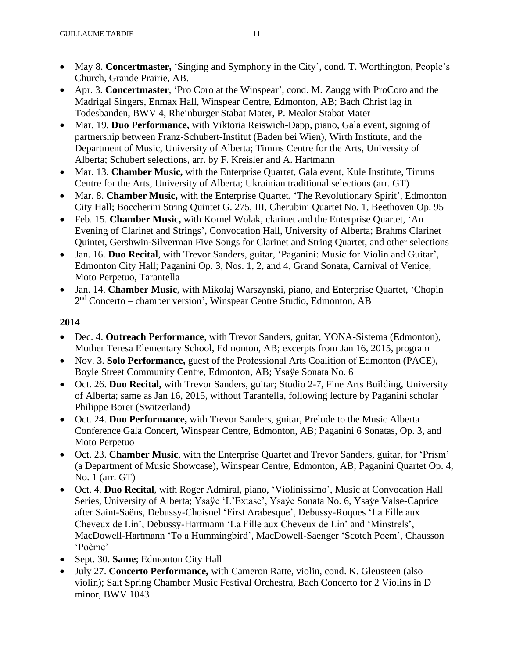- May 8. **Concertmaster,** 'Singing and Symphony in the City', cond. T. Worthington, People's Church, Grande Prairie, AB.
- Apr. 3. **Concertmaster**, 'Pro Coro at the Winspear', cond. M. Zaugg with ProCoro and the Madrigal Singers, Enmax Hall, Winspear Centre, Edmonton, AB; Bach Christ lag in Todesbanden, BWV 4, Rheinburger Stabat Mater, P. Mealor Stabat Mater
- Mar. 19. **Duo Performance,** with Viktoria Reiswich-Dapp, piano, Gala event, signing of partnership between Franz-Schubert-Institut (Baden bei Wien), Wirth Institute, and the Department of Music, University of Alberta; Timms Centre for the Arts, University of Alberta; Schubert selections, arr. by F. Kreisler and A. Hartmann
- Mar. 13. **Chamber Music,** with the Enterprise Quartet, Gala event, Kule Institute, Timms Centre for the Arts, University of Alberta; Ukrainian traditional selections (arr. GT)
- Mar. 8. **Chamber Music,** with the Enterprise Quartet, 'The Revolutionary Spirit', Edmonton City Hall; Boccherini String Quintet G. 275, III, Cherubini Quartet No. 1, Beethoven Op. 95
- Feb. 15. **Chamber Music,** with Kornel Wolak, clarinet and the Enterprise Quartet, 'An Evening of Clarinet and Strings', Convocation Hall, University of Alberta; Brahms Clarinet Quintet, Gershwin-Silverman Five Songs for Clarinet and String Quartet, and other selections
- Jan. 16. **Duo Recital**, with Trevor Sanders, guitar, 'Paganini: Music for Violin and Guitar', Edmonton City Hall; Paganini Op. 3, Nos. 1, 2, and 4, Grand Sonata, Carnival of Venice, Moto Perpetuo, Tarantella
- Jan. 14. **Chamber Music**, with Mikolaj Warszynski, piano, and Enterprise Quartet, 'Chopin 2 nd Concerto – chamber version', Winspear Centre Studio, Edmonton, AB

- Dec. 4. **Outreach Performance**, with Trevor Sanders, guitar, YONA-Sistema (Edmonton), Mother Teresa Elementary School, Edmonton, AB; excerpts from Jan 16, 2015, program
- Nov. 3. **Solo Performance,** guest of the Professional Arts Coalition of Edmonton (PACE), Boyle Street Community Centre, Edmonton, AB; Ysaÿe Sonata No. 6
- Oct. 26. **Duo Recital,** with Trevor Sanders, guitar; Studio 2-7, Fine Arts Building, University of Alberta; same as Jan 16, 2015, without Tarantella, following lecture by Paganini scholar Philippe Borer (Switzerland)
- Oct. 24. **Duo Performance,** with Trevor Sanders, guitar, Prelude to the Music Alberta Conference Gala Concert, Winspear Centre, Edmonton, AB; Paganini 6 Sonatas, Op. 3, and Moto Perpetuo
- Oct. 23. **Chamber Music**, with the Enterprise Quartet and Trevor Sanders, guitar, for 'Prism' (a Department of Music Showcase), Winspear Centre, Edmonton, AB; Paganini Quartet Op. 4, No. 1 (arr. GT)
- Oct. 4. **Duo Recital**, with Roger Admiral, piano, 'Violinissimo', Music at Convocation Hall Series, University of Alberta; Ysaÿe 'L'Extase', Ysaÿe Sonata No. 6, Ysaÿe Valse-Caprice after Saint-Saëns, Debussy-Choisnel 'First Arabesque', Debussy-Roques 'La Fille aux Cheveux de Lin', Debussy-Hartmann 'La Fille aux Cheveux de Lin' and 'Minstrels', MacDowell-Hartmann 'To a Hummingbird', MacDowell-Saenger 'Scotch Poem', Chausson 'Poème'
- Sept. 30. **Same**; Edmonton City Hall
- July 27. **Concerto Performance,** with Cameron Ratte, violin, cond. K. Gleusteen (also violin); Salt Spring Chamber Music Festival Orchestra, Bach Concerto for 2 Violins in D minor, BWV 1043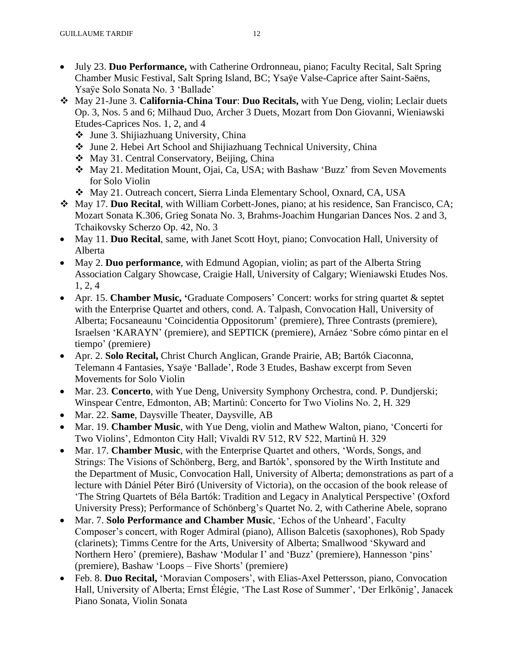- July 23. **Duo Performance,** with Catherine Ordronneau, piano; Faculty Recital, Salt Spring Chamber Music Festival, Salt Spring Island, BC; Ysaÿe Valse-Caprice after Saint-Saëns, Ysaÿe Solo Sonata No. 3 'Ballade'
- ❖ May 21-June 3. **California-China Tour**: **Duo Recitals,** with Yue Deng, violin; Leclair duets Op. 3, Nos. 5 and 6; Milhaud Duo, Archer 3 Duets, Mozart from Don Giovanni, Wieniawski Etudes-Caprices Nos. 1, 2, and 4
	- ❖ June 3. Shijiazhuang University, China
	- ❖ June 2. Hebei Art School and Shijiazhuang Technical University, China
	- ❖ May 31. Central Conservatory, Beijing, China
	- ❖ May 21. Meditation Mount, Ojai, Ca, USA; with Bashaw 'Buzz' from Seven Movements for Solo Violin
	- ❖ May 21. Outreach concert, Sierra Linda Elementary School, Oxnard, CA, USA
- ❖ May 17. **Duo Recital**, with William Corbett-Jones, piano; at his residence, San Francisco, CA; Mozart Sonata K.306, Grieg Sonata No. 3, Brahms-Joachim Hungarian Dances Nos. 2 and 3, Tchaikovsky Scherzo Op. 42, No. 3
- May 11. **Duo Recital**, same, with Janet Scott Hoyt, piano; Convocation Hall, University of Alberta
- May 2. **Duo performance**, with Edmund Agopian, violin; as part of the Alberta String Association Calgary Showcase, Craigie Hall, University of Calgary; Wieniawski Etudes Nos. 1, 2, 4
- Apr. 15. **Chamber Music, '**Graduate Composers' Concert: works for string quartet & septet with the Enterprise Quartet and others, cond. A. Talpash, Convocation Hall, University of Alberta; Focsaneaunu 'Coincidentia Oppositorum' (premiere), Three Contrasts (premiere), Israelsen 'KARAYN' (premiere), and SEPTICK (premiere), Arnáez 'Sobre cómo pintar en el tiempo' (premiere)
- Apr. 2. **Solo Recital,** Christ Church Anglican, Grande Prairie, AB; Bartók Ciaconna, Telemann 4 Fantasies, Ysaÿe 'Ballade', Rode 3 Etudes, Bashaw excerpt from Seven Movements for Solo Violin
- Mar. 23. **Concerto**, with Yue Deng, University Symphony Orchestra, cond. P. Dundjerski; Winspear Centre, Edmonton, AB; Martinů: Concerto for Two Violins No. 2, H. 329
- Mar. 22. **Same**, Daysville Theater, Daysville, AB
- Mar. 19. **Chamber Music**, with Yue Deng, violin and Mathew Walton, piano, 'Concerti for Two Violins', Edmonton City Hall; Vivaldi RV 512, RV 522, Martinů H. 329
- Mar. 17. **Chamber Music**, with the Enterprise Quartet and others, 'Words, Songs, and Strings: The Visions of Schönberg, Berg, and Bartók', sponsored by the Wirth Institute and the Department of Music, Convocation Hall, University of Alberta; demonstrations as part of a lecture with Dániel Péter Biró (University of Victoria), on the occasion of the book release of 'The String Quartets of Béla Bartók: Tradition and Legacy in Analytical Perspective' (Oxford University Press); Performance of Schönberg's Quartet No. 2, with Catherine Abele, soprano
- Mar. 7. **Solo Performance and Chamber Music**, 'Echos of the Unheard', Faculty Composer's concert, with Roger Admiral (piano), Allison Balcetis (saxophones), Rob Spady (clarinets); Timms Centre for the Arts, University of Alberta; Smallwood 'Skyward and Northern Hero' (premiere), Bashaw 'Modular I' and 'Buzz' (premiere), Hannesson 'pins' (premiere), Bashaw 'Loops – Five Shorts' (premiere)
- Feb. 8. **Duo Recital,** 'Moravian Composers', with Elias-Axel Pettersson, piano, Convocation Hall, University of Alberta; Ernst Élégie, 'The Last Rose of Summer', 'Der Erlkönig', Janacek Piano Sonata, Violin Sonata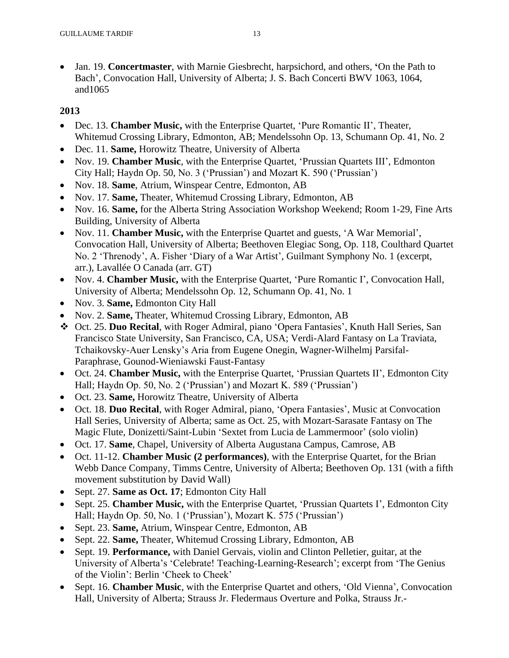• Jan. 19. **Concertmaster**, with Marnie Giesbrecht, harpsichord, and others, **'**On the Path to Bach', Convocation Hall, University of Alberta; J. S. Bach Concerti BWV 1063, 1064, and1065

- Dec. 13. **Chamber Music,** with the Enterprise Quartet, 'Pure Romantic II', Theater, Whitemud Crossing Library, Edmonton, AB; Mendelssohn Op. 13, Schumann Op. 41, No. 2
- Dec. 11. **Same,** Horowitz Theatre, University of Alberta
- Nov. 19. **Chamber Music**, with the Enterprise Quartet, 'Prussian Quartets III', Edmonton City Hall; Haydn Op. 50, No. 3 ('Prussian') and Mozart K. 590 ('Prussian')
- Nov. 18. **Same**, Atrium, Winspear Centre, Edmonton, AB
- Nov. 17. **Same,** Theater, Whitemud Crossing Library, Edmonton, AB
- Nov. 16. **Same,** for the Alberta String Association Workshop Weekend; Room 1-29, Fine Arts Building, University of Alberta
- Nov. 11. **Chamber Music,** with the Enterprise Quartet and guests, 'A War Memorial', Convocation Hall, University of Alberta; Beethoven Elegiac Song, Op. 118, Coulthard Quartet No. 2 'Threnody', A. Fisher 'Diary of a War Artist', Guilmant Symphony No. 1 (excerpt, arr.), Lavallée O Canada (arr. GT)
- Nov. 4. **Chamber Music,** with the Enterprise Quartet, 'Pure Romantic I', Convocation Hall, University of Alberta; Mendelssohn Op. 12, Schumann Op. 41, No. 1
- Nov. 3. **Same,** Edmonton City Hall
- Nov. 2. **Same,** Theater, Whitemud Crossing Library, Edmonton, AB
- ❖ Oct. 25. **Duo Recital**, with Roger Admiral, piano 'Opera Fantasies', Knuth Hall Series, San Francisco State University, San Francisco, CA, USA; Verdi-Alard Fantasy on La Traviata, Tchaikovsky-Auer Lensky's Aria from Eugene Onegin, Wagner-Wilhelmj Parsifal-Paraphrase, Gounod-Wieniawski Faust-Fantasy
- Oct. 24. **Chamber Music,** with the Enterprise Quartet, 'Prussian Quartets II', Edmonton City Hall; Haydn Op. 50, No. 2 ('Prussian') and Mozart K. 589 ('Prussian')
- Oct. 23. **Same,** Horowitz Theatre, University of Alberta
- Oct. 18. **Duo Recital**, with Roger Admiral, piano, 'Opera Fantasies', Music at Convocation Hall Series, University of Alberta; same as Oct. 25, with Mozart-Sarasate Fantasy on The Magic Flute, Donizetti/Saint-Lubin 'Sextet from Lucia de Lammermoor' (solo violin)
- Oct. 17. **Same**, Chapel, University of Alberta Augustana Campus, Camrose, AB
- Oct. 11-12. **Chamber Music (2 performances)**, with the Enterprise Quartet, for the Brian Webb Dance Company, Timms Centre, University of Alberta; Beethoven Op. 131 (with a fifth movement substitution by David Wall)
- Sept. 27. **Same as Oct. 17**; Edmonton City Hall
- Sept. 25. **Chamber Music,** with the Enterprise Quartet, 'Prussian Quartets I', Edmonton City Hall; Haydn Op. 50, No. 1 ('Prussian'), Mozart K. 575 ('Prussian')
- Sept. 23. **Same,** Atrium, Winspear Centre, Edmonton, AB
- Sept. 22. **Same,** Theater, Whitemud Crossing Library, Edmonton, AB
- Sept. 19. **Performance,** with Daniel Gervais, violin and Clinton Pelletier, guitar, at the University of Alberta's 'Celebrate! Teaching-Learning-Research'; excerpt from 'The Genius of the Violin': Berlin 'Cheek to Cheek'
- Sept. 16. **Chamber Music**, with the Enterprise Quartet and others, 'Old Vienna', Convocation Hall, University of Alberta; Strauss Jr. Fledermaus Overture and Polka, Strauss Jr.-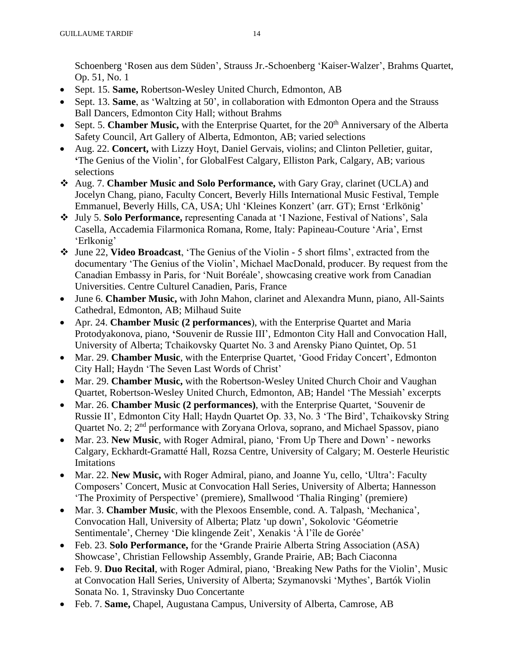Schoenberg 'Rosen aus dem Süden', Strauss Jr.-Schoenberg 'Kaiser-Walzer', Brahms Quartet, Op. 51, No. 1

- Sept. 15. **Same,** Robertson-Wesley United Church, Edmonton, AB
- Sept. 13. **Same**, as 'Waltzing at 50', in collaboration with Edmonton Opera and the Strauss Ball Dancers, Edmonton City Hall; without Brahms
- Sept. 5. **Chamber Music,** with the Enterprise Quartet, for the 20<sup>th</sup> Anniversary of the Alberta Safety Council, Art Gallery of Alberta, Edmonton, AB; varied selections
- Aug. 22. **Concert,** with Lizzy Hoyt, Daniel Gervais, violins; and Clinton Pelletier, guitar, **'**The Genius of the Violin', for GlobalFest Calgary, Elliston Park, Calgary, AB; various selections
- ❖ Aug. 7. **Chamber Music and Solo Performance,** with Gary Gray, clarinet (UCLA) and Jocelyn Chang, piano, Faculty Concert, Beverly Hills International Music Festival, Temple Emmanuel, Beverly Hills, CA, USA; Uhl 'Kleines Konzert' (arr. GT); Ernst 'Erlkönig'
- ❖ July 5. **Solo Performance,** representing Canada at 'I Nazione, Festival of Nations', Sala Casella, Accademia Filarmonica Romana, Rome, Italy: Papineau-Couture 'Aria', Ernst 'Erlkonig'
- ❖ June 22, **Video Broadcast**, 'The Genius of the Violin 5 short films', extracted from the documentary 'The Genius of the Violin', Michael MacDonald, producer. By request from the Canadian Embassy in Paris, for 'Nuit Boréale', showcasing creative work from Canadian Universities. Centre Culturel Canadien, Paris, France
- June 6. **Chamber Music,** with John Mahon, clarinet and Alexandra Munn, piano, All-Saints Cathedral, Edmonton, AB; Milhaud Suite
- Apr. 24. **Chamber Music (2 performances**), with the Enterprise Quartet and Maria Protodyakonova, piano, **'**Souvenir de Russie III', Edmonton City Hall and Convocation Hall, University of Alberta; Tchaikovsky Quartet No. 3 and Arensky Piano Quintet, Op. 51
- Mar. 29. **Chamber Music**, with the Enterprise Quartet, 'Good Friday Concert', Edmonton City Hall; Haydn 'The Seven Last Words of Christ'
- Mar. 29. **Chamber Music,** with the Robertson-Wesley United Church Choir and Vaughan Quartet, Robertson-Wesley United Church, Edmonton, AB; Handel 'The Messiah' excerpts
- Mar. 26. **Chamber Music (2 performances)**, with the Enterprise Quartet, 'Souvenir de Russie II', Edmonton City Hall; Haydn Quartet Op. 33, No. 3 'The Bird', Tchaikovsky String Quartet No. 2; 2<sup>nd</sup> performance with Zoryana Orlova, soprano, and Michael Spassov, piano
- Mar. 23. **New Music**, with Roger Admiral, piano, 'From Up There and Down' neworks Calgary, Eckhardt-Gramatté Hall, Rozsa Centre, University of Calgary; M. Oesterle Heuristic Imitations
- Mar. 22. **New Music,** with Roger Admiral, piano, and Joanne Yu, cello, 'Ultra': Faculty Composers' Concert, Music at Convocation Hall Series, University of Alberta; Hannesson 'The Proximity of Perspective' (premiere), Smallwood 'Thalia Ringing' (premiere)
- Mar. 3. **Chamber Music**, with the Plexoos Ensemble, cond. A. Talpash, 'Mechanica', Convocation Hall, University of Alberta; Platz 'up down', Sokolovic 'Géometrie Sentimentale', Cherney 'Die klingende Zeit', Xenakis 'À l'île de Gorée'
- Feb. 23. **Solo Performance,** for the **'**Grande Prairie Alberta String Association (ASA) Showcase', Christian Fellowship Assembly, Grande Prairie, AB; Bach Ciaconna
- Feb. 9. **Duo Recital**, with Roger Admiral, piano, 'Breaking New Paths for the Violin', Music at Convocation Hall Series, University of Alberta; Szymanovski 'Mythes', Bartók Violin Sonata No. 1, Stravinsky Duo Concertante
- Feb. 7. **Same,** Chapel, Augustana Campus, University of Alberta, Camrose, AB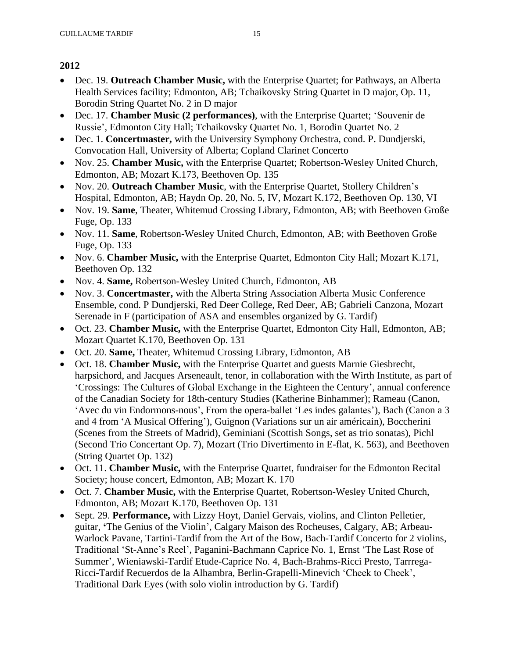- Dec. 19. **Outreach Chamber Music,** with the Enterprise Quartet; for Pathways, an Alberta Health Services facility; Edmonton, AB; Tchaikovsky String Quartet in D major, Op. 11, Borodin String Quartet No. 2 in D major
- Dec. 17. **Chamber Music (2 performances)**, with the Enterprise Quartet; 'Souvenir de Russie', Edmonton City Hall; Tchaikovsky Quartet No. 1, Borodin Quartet No. 2
- Dec. 1. **Concertmaster,** with the University Symphony Orchestra, cond. P. Dundjerski, Convocation Hall, University of Alberta; Copland Clarinet Concerto
- Nov. 25. **Chamber Music,** with the Enterprise Quartet; Robertson-Wesley United Church, Edmonton, AB; Mozart K.173, Beethoven Op. 135
- Nov. 20. **Outreach Chamber Music**, with the Enterprise Quartet, Stollery Children's Hospital, Edmonton, AB; Haydn Op. 20, No. 5, IV, Mozart K.172, Beethoven Op. 130, VI
- Nov. 19. **Same**, Theater, Whitemud Crossing Library, Edmonton, AB; with Beethoven Große Fuge, Op. 133
- Nov. 11. **Same**, Robertson-Wesley United Church, Edmonton, AB; with Beethoven Große Fuge, Op. 133
- Nov. 6. **Chamber Music,** with the Enterprise Quartet, Edmonton City Hall; Mozart K.171, Beethoven Op. 132
- Nov. 4. **Same,** Robertson-Wesley United Church, Edmonton, AB
- Nov. 3. **Concertmaster,** with the Alberta String Association Alberta Music Conference Ensemble, cond. P Dundjerski, Red Deer College, Red Deer, AB; Gabrieli Canzona, Mozart Serenade in F (participation of ASA and ensembles organized by G. Tardif)
- Oct. 23. **Chamber Music,** with the Enterprise Quartet, Edmonton City Hall, Edmonton, AB; Mozart Quartet K.170, Beethoven Op. 131
- Oct. 20. **Same,** Theater, Whitemud Crossing Library, Edmonton, AB
- Oct. 18. **Chamber Music,** with the Enterprise Quartet and guests Marnie Giesbrecht, harpsichord, and Jacques Arseneault, tenor, in collaboration with the Wirth Institute, as part of 'Crossings: The Cultures of Global Exchange in the Eighteen the Century', annual conference of the Canadian Society for 18th-century Studies (Katherine Binhammer); Rameau (Canon, 'Avec du vin Endormons-nous', From the opera-ballet 'Les indes galantes'), Bach (Canon a 3 and 4 from 'A Musical Offering'), Guignon (Variations sur un air américain), Boccherini (Scenes from the Streets of Madrid), Geminiani (Scottish Songs, set as trio sonatas), Pichl (Second Trio Concertant Op. 7), Mozart (Trio Divertimento in E-flat, K. 563), and Beethoven (String Quartet Op. 132)
- Oct. 11. **Chamber Music,** with the Enterprise Quartet, fundraiser for the Edmonton Recital Society; house concert, Edmonton, AB; Mozart K. 170
- Oct. 7. **Chamber Music,** with the Enterprise Quartet, Robertson-Wesley United Church, Edmonton, AB; Mozart K.170, Beethoven Op. 131
- Sept. 29. **Performance,** with Lizzy Hoyt, Daniel Gervais, violins, and Clinton Pelletier, guitar, **'**The Genius of the Violin', Calgary Maison des Rocheuses, Calgary, AB; Arbeau-Warlock Pavane, Tartini-Tardif from the Art of the Bow, Bach-Tardif Concerto for 2 violins, Traditional 'St-Anne's Reel', Paganini-Bachmann Caprice No. 1, Ernst 'The Last Rose of Summer', Wieniawski-Tardif Etude-Caprice No. 4, Bach-Brahms-Ricci Presto, Tarrrega-Ricci-Tardif Recuerdos de la Alhambra, Berlin-Grapelli-Minevich 'Cheek to Cheek', Traditional Dark Eyes (with solo violin introduction by G. Tardif)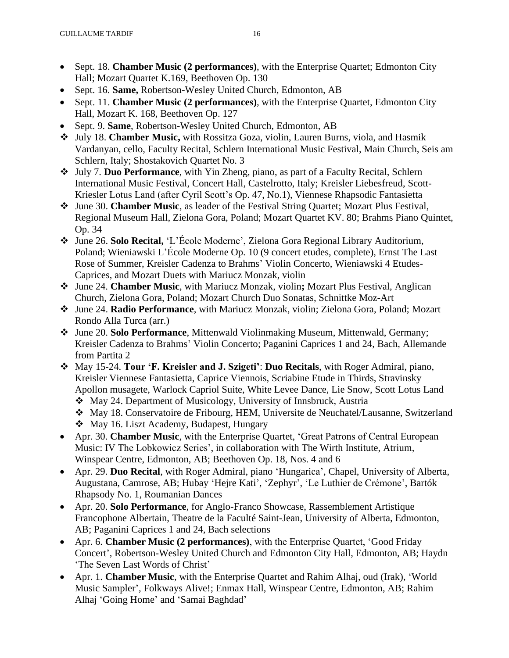- Sept. 18. **Chamber Music (2 performances)**, with the Enterprise Quartet; Edmonton City Hall; Mozart Quartet K.169, Beethoven Op. 130
- Sept. 16. **Same,** Robertson-Wesley United Church, Edmonton, AB
- Sept. 11. **Chamber Music (2 performances)**, with the Enterprise Quartet, Edmonton City Hall, Mozart K. 168, Beethoven Op. 127
- Sept. 9. **Same**, Robertson-Wesley United Church, Edmonton, AB
- ❖ July 18. **Chamber Music,** with Rossitza Goza, violin, Lauren Burns, viola, and Hasmik Vardanyan, cello, Faculty Recital, Schlern International Music Festival, Main Church, Seis am Schlern, Italy; Shostakovich Quartet No. 3
- ❖ July 7. **Duo Performance**, with Yin Zheng, piano, as part of a Faculty Recital, Schlern International Music Festival, Concert Hall, Castelrotto, Italy; Kreisler Liebesfreud, Scott-Kriesler Lotus Land (after Cyril Scott's Op. 47, No.1), Viennese Rhapsodic Fantasietta
- ❖ June 30. **Chamber Music**, as leader of the Festival String Quartet; Mozart Plus Festival, Regional Museum Hall, Zielona Gora, Poland; Mozart Quartet KV. 80; Brahms Piano Quintet, Op. 34
- ❖ June 26. **Solo Recital,** 'L'École Moderne', Zielona Gora Regional Library Auditorium, Poland; Wieniawski L'École Moderne Op. 10 (9 concert etudes, complete), Ernst The Last Rose of Summer, Kreisler Cadenza to Brahms' Violin Concerto, Wieniawski 4 Etudes-Caprices, and Mozart Duets with Mariucz Monzak, violin
- ❖ June 24. **Chamber Music**, with Mariucz Monzak, violin**;** Mozart Plus Festival, Anglican Church, Zielona Gora, Poland; Mozart Church Duo Sonatas, Schnittke Moz-Art
- ❖ June 24. **Radio Performance**, with Mariucz Monzak, violin; Zielona Gora, Poland; Mozart Rondo Alla Turca (arr.)
- ❖ June 20. **Solo Performance**, Mittenwald Violinmaking Museum, Mittenwald, Germany; Kreisler Cadenza to Brahms' Violin Concerto; Paganini Caprices 1 and 24, Bach, Allemande from Partita 2
- ❖ May 15-24. **Tour 'F. Kreisler and J. Szigeti'**: **Duo Recitals**, with Roger Admiral, piano, Kreisler Viennese Fantasietta, Caprice Viennois, Scriabine Etude in Thirds, Stravinsky Apollon musagete, Warlock Capriol Suite, White Levee Dance, Lie Snow, Scott Lotus Land
	- ❖ May 24. Department of Musicology, University of Innsbruck, Austria
	- ❖ May 18. Conservatoire de Fribourg, HEM, Universite de Neuchatel/Lausanne, Switzerland
	- ❖ May 16. Liszt Academy, Budapest, Hungary
- Apr. 30. **Chamber Music**, with the Enterprise Quartet, 'Great Patrons of Central European Music: IV The Lobkowicz Series', in collaboration with The Wirth Institute, Atrium, Winspear Centre, Edmonton, AB; Beethoven Op. 18, Nos. 4 and 6
- Apr. 29. **Duo Recital**, with Roger Admiral, piano 'Hungarica', Chapel, University of Alberta, Augustana, Camrose, AB; Hubay 'Hejre Kati', 'Zephyr', 'Le Luthier de Crémone', Bartók Rhapsody No. 1, Roumanian Dances
- Apr. 20. **Solo Performance**, for Anglo-Franco Showcase, Rassemblement Artistique Francophone Albertain, Theatre de la Faculté Saint-Jean, University of Alberta, Edmonton, AB; Paganini Caprices 1 and 24, Bach selections
- Apr. 6. **Chamber Music (2 performances)**, with the Enterprise Quartet, 'Good Friday Concert', Robertson-Wesley United Church and Edmonton City Hall, Edmonton, AB; Haydn 'The Seven Last Words of Christ'
- Apr. 1. **Chamber Music**, with the Enterprise Quartet and Rahim Alhaj, oud (Irak), 'World Music Sampler', Folkways Alive!; Enmax Hall, Winspear Centre, Edmonton, AB; Rahim Alhaj 'Going Home' and 'Samai Baghdad'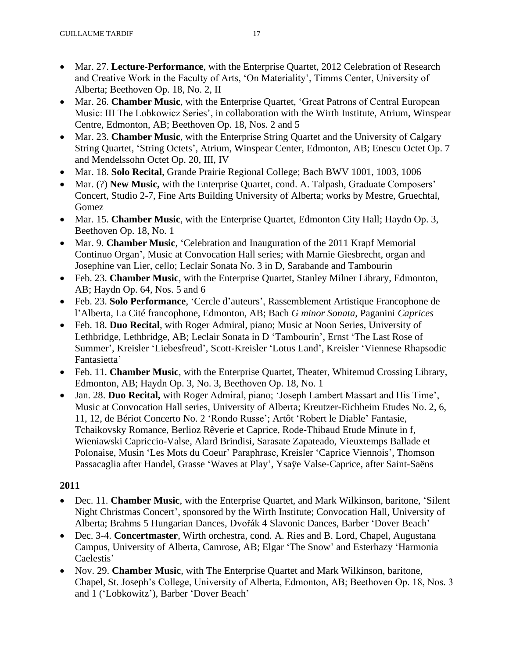- Mar. 27. **Lecture-Performance**, with the Enterprise Quartet, 2012 Celebration of Research and Creative Work in the Faculty of Arts, 'On Materiality', Timms Center, University of Alberta; Beethoven Op. 18, No. 2, II
- Mar. 26. **Chamber Music**, with the Enterprise Quartet, 'Great Patrons of Central European Music: III The Lobkowicz Series', in collaboration with the Wirth Institute, Atrium, Winspear Centre, Edmonton, AB; Beethoven Op. 18, Nos. 2 and 5
- Mar. 23. **Chamber Music**, with the Enterprise String Quartet and the University of Calgary String Quartet, 'String Octets', Atrium, Winspear Center, Edmonton, AB; Enescu Octet Op. 7 and Mendelssohn Octet Op. 20, III, IV
- Mar. 18. **Solo Recital**, Grande Prairie Regional College; Bach BWV 1001, 1003, 1006
- Mar. (?) **New Music,** with the Enterprise Quartet, cond. A. Talpash, Graduate Composers' Concert, Studio 2-7, Fine Arts Building University of Alberta; works by Mestre, Gruechtal, Gomez
- Mar. 15. **Chamber Music**, with the Enterprise Quartet, Edmonton City Hall; Haydn Op. 3, Beethoven Op. 18, No. 1
- Mar. 9. **Chamber Music**, 'Celebration and Inauguration of the 2011 Krapf Memorial Continuo Organ', Music at Convocation Hall series; with Marnie Giesbrecht, organ and Josephine van Lier, cello; Leclair Sonata No. 3 in D, Sarabande and Tambourin
- Feb. 23. **Chamber Music**, with the Enterprise Quartet, Stanley Milner Library, Edmonton, AB; Haydn Op. 64, Nos. 5 and 6
- Feb. 23. **Solo Performance**, 'Cercle d'auteurs', Rassemblement Artistique Francophone de l'Alberta, La Cité francophone, Edmonton, AB; Bach *G minor Sonata*, Paganini *Caprices*
- Feb. 18. **Duo Recital**, with Roger Admiral, piano; Music at Noon Series, University of Lethbridge, Lethbridge, AB; Leclair Sonata in D 'Tambourin', Ernst 'The Last Rose of Summer', Kreisler 'Liebesfreud', Scott-Kreisler 'Lotus Land', Kreisler 'Viennese Rhapsodic Fantasietta'
- Feb. 11. **Chamber Music**, with the Enterprise Quartet, Theater, Whitemud Crossing Library, Edmonton, AB; Haydn Op. 3, No. 3, Beethoven Op. 18, No. 1
- Jan. 28. **Duo Recital,** with Roger Admiral, piano; 'Joseph Lambert Massart and His Time', Music at Convocation Hall series, University of Alberta; Kreutzer-Eichheim Etudes No. 2, 6, 11, 12, de Bériot Concerto No. 2 'Rondo Russe'; Artôt 'Robert le Diable' Fantasie, Tchaikovsky Romance, Berlioz Rêverie et Caprice, Rode-Thibaud Etude Minute in f, Wieniawski Capriccio-Valse, Alard Brindisi, Sarasate Zapateado, Vieuxtemps Ballade et Polonaise, Musin 'Les Mots du Coeur' Paraphrase, Kreisler 'Caprice Viennois', Thomson Passacaglia after Handel, Grasse 'Waves at Play', Ysaÿe Valse-Caprice, after Saint-Saëns

- Dec. 11. **Chamber Music**, with the Enterprise Quartet, and Mark Wilkinson, baritone, 'Silent Night Christmas Concert', sponsored by the Wirth Institute; Convocation Hall, University of Alberta; Brahms 5 Hungarian Dances, Dvořák 4 Slavonic Dances, Barber 'Dover Beach'
- Dec. 3-4. **Concertmaster**, Wirth orchestra, cond. A. Ries and B. Lord, Chapel, Augustana Campus, University of Alberta, Camrose, AB; Elgar 'The Snow' and Esterhazy 'Harmonia Caelestis'
- Nov. 29. **Chamber Music**, with The Enterprise Quartet and Mark Wilkinson, baritone, Chapel, St. Joseph's College, University of Alberta, Edmonton, AB; Beethoven Op. 18, Nos. 3 and 1 ('Lobkowitz'), Barber 'Dover Beach'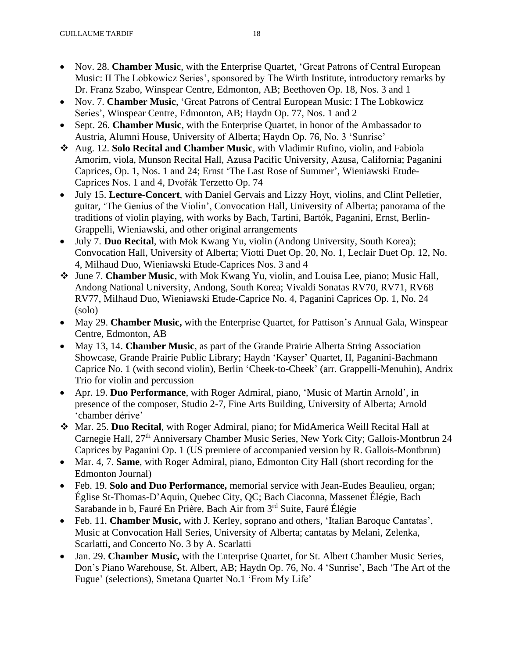- Nov. 28. **Chamber Music**, with the Enterprise Quartet, 'Great Patrons of Central European Music: II The Lobkowicz Series', sponsored by The Wirth Institute, introductory remarks by Dr. Franz Szabo, Winspear Centre, Edmonton, AB; Beethoven Op. 18, Nos. 3 and 1
- Nov. 7. **Chamber Music**, 'Great Patrons of Central European Music: I The Lobkowicz Series', Winspear Centre, Edmonton, AB; Haydn Op. 77, Nos. 1 and 2
- Sept. 26. **Chamber Music**, with the Enterprise Quartet, in honor of the Ambassador to Austria, Alumni House, University of Alberta; Haydn Op. 76, No. 3 'Sunrise'
- ❖ Aug. 12. **Solo Recital and Chamber Music**, with Vladimir Rufino, violin, and Fabiola Amorim, viola, Munson Recital Hall, Azusa Pacific University, Azusa, California; Paganini Caprices, Op. 1, Nos. 1 and 24; Ernst 'The Last Rose of Summer', Wieniawski Etude-Caprices Nos. 1 and 4, Dvořák Terzetto Op. 74
- July 15. **Lecture-Concert**, with Daniel Gervais and Lizzy Hoyt, violins, and Clint Pelletier, guitar, 'The Genius of the Violin', Convocation Hall, University of Alberta; panorama of the traditions of violin playing, with works by Bach, Tartini, Bartók, Paganini, Ernst, Berlin-Grappelli, Wieniawski, and other original arrangements
- July 7. **Duo Recital**, with Mok Kwang Yu, violin (Andong University, South Korea); Convocation Hall, University of Alberta; Viotti Duet Op. 20, No. 1, Leclair Duet Op. 12, No. 4, Milhaud Duo, Wieniawski Etude-Caprices Nos. 3 and 4
- ❖ June 7. **Chamber Music**, with Mok Kwang Yu, violin, and Louisa Lee, piano; Music Hall, Andong National University, Andong, South Korea; Vivaldi Sonatas RV70, RV71, RV68 RV77, Milhaud Duo, Wieniawski Etude-Caprice No. 4, Paganini Caprices Op. 1, No. 24 (solo)
- May 29. **Chamber Music,** with the Enterprise Quartet, for Pattison's Annual Gala, Winspear Centre, Edmonton, AB
- May 13, 14. **Chamber Music**, as part of the Grande Prairie Alberta String Association Showcase, Grande Prairie Public Library; Haydn 'Kayser' Quartet, II, Paganini-Bachmann Caprice No. 1 (with second violin), Berlin 'Cheek-to-Cheek' (arr. Grappelli-Menuhin), Andrix Trio for violin and percussion
- Apr. 19. **Duo Performance**, with Roger Admiral, piano, 'Music of Martin Arnold', in presence of the composer, Studio 2-7, Fine Arts Building, University of Alberta; Arnold 'chamber dérive'
- ❖ Mar. 25. **Duo Recital**, with Roger Admiral, piano; for MidAmerica Weill Recital Hall at Carnegie Hall, 27<sup>th</sup> Anniversary Chamber Music Series, New York City; Gallois-Montbrun 24 Caprices by Paganini Op. 1 (US premiere of accompanied version by R. Gallois-Montbrun)
- Mar. 4, 7. **Same**, with Roger Admiral, piano, Edmonton City Hall (short recording for the Edmonton Journal)
- Feb. 19. **Solo and Duo Performance,** memorial service with Jean-Eudes Beaulieu, organ; Église St-Thomas-D'Aquin, Quebec City, QC; Bach Ciaconna, Massenet Élégie, Bach Sarabande in b, Fauré En Prière, Bach Air from 3rd Suite, Fauré Élégie
- Feb. 11. **Chamber Music,** with J. Kerley, soprano and others, 'Italian Baroque Cantatas', Music at Convocation Hall Series, University of Alberta; cantatas by Melani, Zelenka, Scarlatti, and Concerto No. 3 by A. Scarlatti
- Jan. 29. **Chamber Music,** with the Enterprise Quartet, for St. Albert Chamber Music Series, Don's Piano Warehouse, St. Albert, AB; Haydn Op. 76, No. 4 'Sunrise', Bach 'The Art of the Fugue' (selections), Smetana Quartet No.1 'From My Life'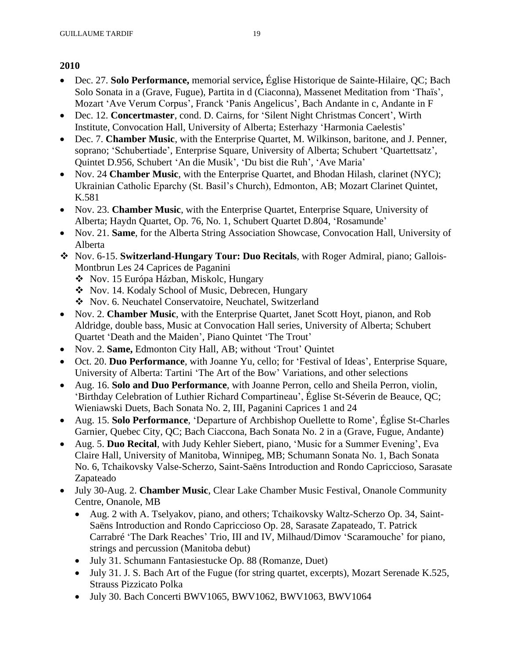- Dec. 27. **Solo Performance,** memorial service**,** Église Historique de Sainte-Hilaire, QC; Bach Solo Sonata in a (Grave, Fugue), Partita in d (Ciaconna), Massenet Meditation from 'Thaïs', Mozart 'Ave Verum Corpus', Franck 'Panis Angelicus', Bach Andante in c, Andante in F
- Dec. 12. **Concertmaster**, cond. D. Cairns, for 'Silent Night Christmas Concert', Wirth Institute, Convocation Hall, University of Alberta; Esterhazy 'Harmonia Caelestis'
- Dec. 7. **Chamber Music**, with the Enterprise Quartet, M. Wilkinson, baritone, and J. Penner, soprano; 'Schubertiade', Enterprise Square, University of Alberta; Schubert 'Quartettsatz', Quintet D.956, Schubert 'An die Musik', 'Du bist die Ruh', 'Ave Maria'
- Nov. 24 **Chamber Music**, with the Enterprise Quartet, and Bhodan Hilash, clarinet (NYC); Ukrainian Catholic Eparchy (St. Basil's Church), Edmonton, AB; Mozart Clarinet Quintet, K.581
- Nov. 23. **Chamber Music**, with the Enterprise Quartet, Enterprise Square, University of Alberta; Haydn Quartet, Op. 76, No. 1, Schubert Quartet D.804, 'Rosamunde'
- Nov. 21. **Same**, for the Alberta String Association Showcase, Convocation Hall, University of Alberta
- ❖ Nov. 6-15. **Switzerland-Hungary Tour: Duo Recitals**, with Roger Admiral, piano; Gallois-Montbrun Les 24 Caprices de Paganini
	- ❖ Nov. 15 Európa Házban, Miskolc, Hungary
	- ❖ Nov. 14. Kodaly School of Music, Debrecen, Hungary
	- ❖ Nov. 6. Neuchatel Conservatoire, Neuchatel, Switzerland
- Nov. 2. **Chamber Music**, with the Enterprise Quartet, Janet Scott Hoyt, pianon, and Rob Aldridge, double bass, Music at Convocation Hall series, University of Alberta; Schubert Quartet 'Death and the Maiden', Piano Quintet 'The Trout'
- Nov. 2. **Same,** Edmonton City Hall, AB; without 'Trout' Quintet
- Oct. 20. **Duo Performance**, with Joanne Yu, cello; for 'Festival of Ideas', Enterprise Square, University of Alberta: Tartini 'The Art of the Bow' Variations, and other selections
- Aug. 16. **Solo and Duo Performance**, with Joanne Perron, cello and Sheila Perron, violin, 'Birthday Celebration of Luthier Richard Compartineau', Église St-Séverin de Beauce, QC; Wieniawski Duets, Bach Sonata No. 2, III, Paganini Caprices 1 and 24
- Aug. 15. **Solo Performance**, 'Departure of Archbishop Ouellette to Rome', Église St-Charles Garnier, Quebec City, QC; Bach Ciaccona, Bach Sonata No. 2 in a (Grave, Fugue, Andante)
- Aug. 5. **Duo Recital**, with Judy Kehler Siebert, piano, 'Music for a Summer Evening', Eva Claire Hall, University of Manitoba, Winnipeg, MB; Schumann Sonata No. 1, Bach Sonata No. 6, Tchaikovsky Valse-Scherzo, Saint-Saëns Introduction and Rondo Capriccioso, Sarasate Zapateado
- July 30-Aug. 2. **Chamber Music**, Clear Lake Chamber Music Festival, Onanole Community Centre, Onanole, MB
	- Aug. 2 with A. Tselyakov, piano, and others; Tchaikovsky Waltz-Scherzo Op. 34, Saint-Saëns Introduction and Rondo Capriccioso Op. 28, Sarasate Zapateado, T. Patrick Carrabré 'The Dark Reaches' Trio, III and IV, Milhaud/Dimov 'Scaramouche' for piano, strings and percussion (Manitoba debut)
	- July 31. Schumann Fantasiestucke Op. 88 (Romanze, Duet)
	- July 31. J. S. Bach Art of the Fugue (for string quartet, excerpts), Mozart Serenade K.525, Strauss Pizzicato Polka
	- July 30. Bach Concerti BWV1065, BWV1062, BWV1063, BWV1064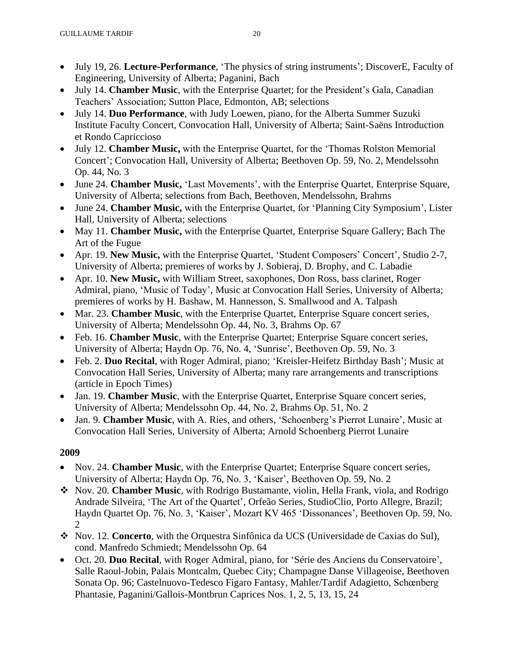- July 19, 26. **Lecture-Performance**, 'The physics of string instruments'; DiscoverE, Faculty of Engineering, University of Alberta; Paganini, Bach
- July 14. **Chamber Music**, with the Enterprise Quartet; for the President's Gala, Canadian Teachers' Association; Sutton Place, Edmonton, AB; selections
- July 14. **Duo Performance**, with Judy Loewen, piano, for the Alberta Summer Suzuki Institute Faculty Concert, Convocation Hall, University of Alberta; Saint-Saëns Introduction et Rondo Capriccioso
- July 12. **Chamber Music,** with the Enterprise Quartet, for the 'Thomas Rolston Memorial Concert'; Convocation Hall, University of Alberta; Beethoven Op. 59, No. 2, Mendelssohn Op. 44, No. 3
- June 24. **Chamber Music,** 'Last Movements', with the Enterprise Quartet, Enterprise Square, University of Alberta; selections from Bach, Beethoven, Mendelssohn, Brahms
- June 24. **Chamber Music,** with the Enterprise Quartet, for 'Planning City Symposium', Lister Hall, University of Alberta; selections
- May 11. **Chamber Music,** with the Enterprise Quartet, Enterprise Square Gallery; Bach The Art of the Fugue
- Apr. 19. **New Music,** with the Enterprise Quartet, 'Student Composers' Concert', Studio 2-7, University of Alberta; premieres of works by J. Sobieraj, D. Brophy, and C. Labadie
- Apr. 10. **New Music,** with William Street, saxophones, Don Ross, bass clarinet, Roger Admiral, piano, 'Music of Today', Music at Convocation Hall Series, University of Alberta; premieres of works by H. Bashaw, M. Hannesson, S. Smallwood and A. Talpash
- Mar. 23. **Chamber Music**, with the Enterprise Quartet, Enterprise Square concert series, University of Alberta; Mendelssohn Op. 44, No. 3, Brahms Op. 67
- Feb. 16. **Chamber Music**, with the Enterprise Quartet; Enterprise Square concert series, University of Alberta; Haydn Op. 76, No. 4, 'Sunrise', Beethoven Op. 59, No. 3
- Feb. 2. **Duo Recital**, with Roger Admiral, piano; 'Kreisler-Heifetz Birthday Bash'; Music at Convocation Hall Series, University of Alberta; many rare arrangements and transcriptions (article in Epoch Times)
- Jan. 19. **Chamber Music**, with the Enterprise Quartet, Enterprise Square concert series, University of Alberta; Mendelssohn Op. 44, No. 2, Brahms Op. 51, No. 2
- Jan. 9. **Chamber Music**, with A. Ries, and others, 'Schoenberg's Pierrot Lunaire', Music at Convocation Hall Series, University of Alberta; Arnold Schoenberg Pierrot Lunaire

- Nov. 24. **Chamber Music**, with the Enterprise Quartet; Enterprise Square concert series, University of Alberta; Haydn Op. 76, No. 3, 'Kaiser', Beethoven Op. 59, No. 2
- ❖ Nov. 20. **Chamber Music**, with Rodrigo Bustamante, violin, Hella Frank, viola, and Rodrigo Andrade Silveira, 'The Art of the Quartet', Orfeão Series, StudioClio, Porto Allegre, Brazil; Haydn Quartet Op. 76, No. 3, 'Kaiser', Mozart KV 465 'Dissonances', Beethoven Op. 59, No.  $\mathcal{D}_{\mathcal{L}}$
- ❖ Nov. 12. **Concerto**, with the Orquestra Sinfônica da UCS (Universidade de Caxias do Sul), cond. Manfredo Schmiedt; Mendelssohn Op. 64
- Oct. 20. **Duo Recital**, with Roger Admiral, piano, for 'Série des Anciens du Conservatoire', Salle Raoul-Jobin, Palais Montcalm, Quebec City; Champagne Danse Villageoise, Beethoven Sonata Op. 96; Castelnuovo-Tedesco Figaro Fantasy, Mahler/Tardif Adagietto, Schœnberg Phantasie, Paganini/Gallois-Montbrun Caprices Nos. 1, 2, 5, 13, 15, 24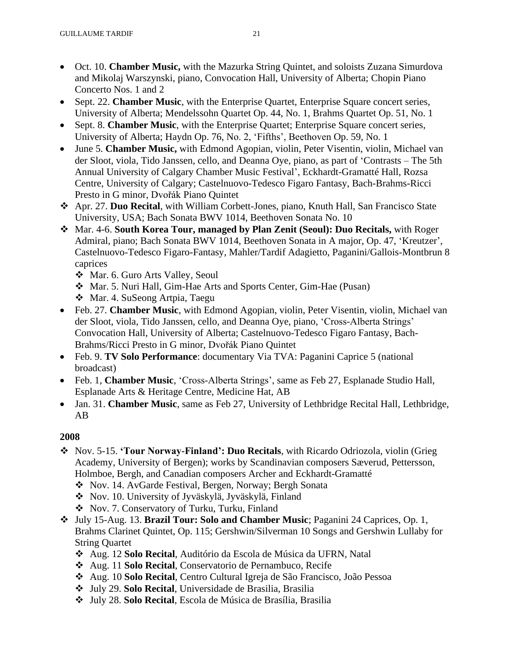- Oct. 10. **Chamber Music,** with the Mazurka String Quintet, and soloists Zuzana Simurdova and Mikolaj Warszynski, piano, Convocation Hall, University of Alberta; Chopin Piano Concerto Nos. 1 and 2
- Sept. 22. **Chamber Music**, with the Enterprise Quartet, Enterprise Square concert series, University of Alberta; Mendelssohn Quartet Op. 44, No. 1, Brahms Quartet Op. 51, No. 1
- Sept. 8. **Chamber Music**, with the Enterprise Quartet; Enterprise Square concert series, University of Alberta; Haydn Op. 76, No. 2, 'Fifths', Beethoven Op. 59, No. 1
- June 5. **Chamber Music,** with Edmond Agopian, violin, Peter Visentin, violin, Michael van der Sloot, viola, Tido Janssen, cello, and Deanna Oye, piano, as part of 'Contrasts – The 5th Annual University of Calgary Chamber Music Festival', Eckhardt-Gramatté Hall, Rozsa Centre, University of Calgary; Castelnuovo-Tedesco Figaro Fantasy, Bach-Brahms-Ricci Presto in G minor, Dvořák Piano Quintet
- ❖ Apr. 27. **Duo Recital**, with William Corbett-Jones, piano, Knuth Hall, San Francisco State University, USA; Bach Sonata BWV 1014, Beethoven Sonata No. 10
- ❖ Mar. 4-6. **South Korea Tour, managed by Plan Zenit (Seoul): Duo Recitals,** with Roger Admiral, piano; Bach Sonata BWV 1014, Beethoven Sonata in A major, Op. 47, 'Kreutzer', Castelnuovo-Tedesco Figaro-Fantasy, Mahler/Tardif Adagietto, Paganini/Gallois-Montbrun 8 caprices
	- ❖ Mar. 6. Guro Arts Valley, Seoul
	- ❖ Mar. 5. Nuri Hall, Gim-Hae Arts and Sports Center, Gim-Hae (Pusan)
	- ❖ Mar. 4. SuSeong Artpia, Taegu
- Feb. 27. **Chamber Music**, with Edmond Agopian, violin, Peter Visentin, violin, Michael van der Sloot, viola, Tido Janssen, cello, and Deanna Oye, piano, 'Cross-Alberta Strings' Convocation Hall, University of Alberta; Castelnuovo-Tedesco Figaro Fantasy, Bach-Brahms/Ricci Presto in G minor, Dvořák Piano Quintet
- Feb. 9. **TV Solo Performance**: documentary Via TVA: Paganini Caprice 5 (national broadcast)
- Feb. 1, **Chamber Music**, 'Cross-Alberta Strings', same as Feb 27, Esplanade Studio Hall, Esplanade Arts & Heritage Centre, Medicine Hat, AB
- Jan. 31. **Chamber Music**, same as Feb 27, University of Lethbridge Recital Hall, Lethbridge, AB

- ❖ Nov. 5-15. **'Tour Norway-Finland': Duo Recitals**, with Ricardo Odriozola, violin (Grieg Academy, University of Bergen); works by Scandinavian composers Sæverud, Pettersson, Holmboe, Bergh, and Canadian composers Archer and Eckhardt-Gramatté
	- ❖ Nov. 14. AvGarde Festival, Bergen, Norway; Bergh Sonata
	- ❖ Nov. 10. University of Jyväskylä, Jyväskylä, Finland
	- ❖ Nov. 7. Conservatory of Turku, Turku, Finland
- ❖ July 15-Aug. 13. **Brazil Tour: Solo and Chamber Music**; Paganini 24 Caprices, Op. 1, Brahms Clarinet Quintet, Op. 115; Gershwin/Silverman 10 Songs and Gershwin Lullaby for String Quartet
	- ❖ Aug. 12 **Solo Recital**, Auditório da Escola de Música da UFRN, Natal
	- ❖ Aug. 11 **Solo Recital**, Conservatorio de Pernambuco, Recife
	- ❖ Aug. 10 **Solo Recital**, Centro Cultural Igreja de São Francisco, João Pessoa
	- ❖ July 29. **Solo Recital**, Universidade de Brasilia, Brasilia
	- ❖ July 28. **Solo Recital**, Escola de Música de Brasília, Brasilia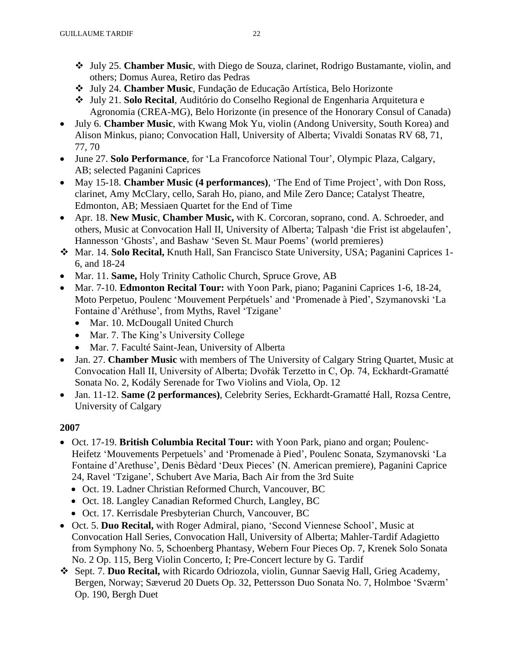- ❖ July 25. **Chamber Music**, with Diego de Souza, clarinet, Rodrigo Bustamante, violin, and others; Domus Aurea, Retiro das Pedras
- ❖ July 24. **Chamber Music**, Fundação de Educação Artística, Belo Horizonte
- ❖ July 21. **Solo Recital**, Auditório do Conselho Regional de Engenharia Arquitetura e Agronomia (CREA-MG), Belo Horizonte (in presence of the Honorary Consul of Canada)
- July 6. **Chamber Music**, with Kwang Mok Yu, violin (Andong University, South Korea) and Alison Minkus, piano; Convocation Hall, University of Alberta; Vivaldi Sonatas RV 68, 71, 77, 70
- June 27. **Solo Performance**, for 'La Francoforce National Tour', Olympic Plaza, Calgary, AB; selected Paganini Caprices
- May 15-18. **Chamber Music (4 performances)**, 'The End of Time Project', with Don Ross, clarinet, Amy McClary, cello, Sarah Ho, piano, and Mile Zero Dance; Catalyst Theatre, Edmonton, AB; Messiaen Quartet for the End of Time
- Apr. 18. **New Music**, **Chamber Music,** with K. Corcoran, soprano, cond. A. Schroeder, and others, Music at Convocation Hall II, University of Alberta; Talpash 'die Frist ist abgelaufen', Hannesson 'Ghosts', and Bashaw 'Seven St. Maur Poems' (world premieres)
- ❖ Mar. 14. **Solo Recital,** Knuth Hall, San Francisco State University, USA; Paganini Caprices 1- 6, and 18-24
- Mar. 11. **Same, Holy Trinity Catholic Church, Spruce Grove, AB**
- Mar. 7-10. **Edmonton Recital Tour:** with Yoon Park, piano; Paganini Caprices 1-6, 18-24, Moto Perpetuo, Poulenc 'Mouvement Perpétuels' and 'Promenade à Pied', Szymanovski 'La Fontaine d'Aréthuse', from Myths, Ravel 'Tzigane'
	- Mar. 10. McDougall United Church
	- Mar. 7. The King's University College
	- Mar. 7. Faculté Saint-Jean, University of Alberta
- Jan. 27. **Chamber Music** with members of The University of Calgary String Quartet, Music at Convocation Hall II, University of Alberta; Dvořák Terzetto in C, Op. 74, Eckhardt-Gramatté Sonata No. 2, Kodály Serenade for Two Violins and Viola, Op. 12
- Jan. 11-12. **Same (2 performances)**, Celebrity Series, Eckhardt-Gramatté Hall, Rozsa Centre, University of Calgary

- Oct. 17-19. **British Columbia Recital Tour:** with Yoon Park, piano and organ; Poulenc-Heifetz 'Mouvements Perpetuels' and 'Promenade à Pied', Poulenc Sonata, Szymanovski 'La Fontaine d'Arethuse', Denis Bèdard 'Deux Pieces' (N. American premiere), Paganini Caprice 24, Ravel 'Tzigane', Schubert Ave Maria, Bach Air from the 3rd Suite
	- Oct. 19. Ladner Christian Reformed Church, Vancouver, BC
	- Oct. 18. Langley Canadian Reformed Church, Langley, BC
	- Oct. 17. Kerrisdale Presbyterian Church, Vancouver, BC
- Oct. 5. **Duo Recital,** with Roger Admiral, piano, 'Second Viennese School', Music at Convocation Hall Series, Convocation Hall, University of Alberta; Mahler-Tardif Adagietto from Symphony No. 5, Schoenberg Phantasy, Webern Four Pieces Op. 7, Krenek Solo Sonata No. 2 Op. 115, Berg Violin Concerto, I; Pre-Concert lecture by G. Tardif
- ❖ Sept. 7. **Duo Recital,** with Ricardo Odriozola, violin, Gunnar Saevig Hall, Grieg Academy, Bergen, Norway; Sæverud 20 Duets Op. 32, Pettersson Duo Sonata No. 7, Holmboe 'Sværm' Op. 190, Bergh Duet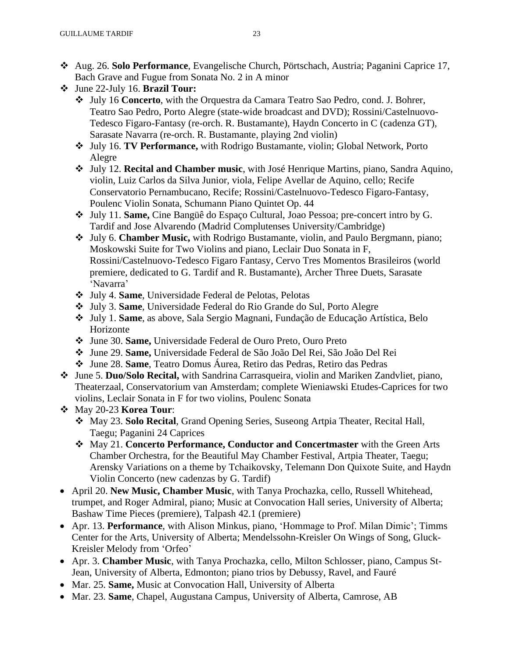- ❖ Aug. 26. **Solo Performance**, Evangelische Church, Pörtschach, Austria; Paganini Caprice 17, Bach Grave and Fugue from Sonata No. 2 in A minor
- ❖ June 22-July 16. **Brazil Tour:**
	- ❖ July 16 **Concerto**, with the Orquestra da Camara Teatro Sao Pedro, cond. J. Bohrer, Teatro Sao Pedro, Porto Alegre (state-wide broadcast and DVD); Rossini/Castelnuovo-Tedesco Figaro-Fantasy (re-orch. R. Bustamante), Haydn Concerto in C (cadenza GT), Sarasate Navarra (re-orch. R. Bustamante, playing 2nd violin)
	- ❖ July 16. **TV Performance,** with Rodrigo Bustamante, violin; Global Network, Porto Alegre
	- ❖ July 12. **Recital and Chamber music**, with José Henrique Martins, piano, Sandra Aquino, violin, Luiz Carlos da Silva Junior, viola, Felipe Avellar de Aquino, cello; Recife Conservatorio Pernambucano, Recife; Rossini/Castelnuovo-Tedesco Figaro-Fantasy, Poulenc Violin Sonata, Schumann Piano Quintet Op. 44
	- ❖ July 11. **Same,** Cine Bangüê do Espaço Cultural, Joao Pessoa; pre-concert intro by G. Tardif and Jose Alvarendo (Madrid Complutenses University/Cambridge)
	- ❖ July 6. **Chamber Music,** with Rodrigo Bustamante, violin, and Paulo Bergmann, piano; Moskowski Suite for Two Violins and piano, Leclair Duo Sonata in F, Rossini/Castelnuovo-Tedesco Figaro Fantasy, Cervo Tres Momentos Brasileiros (world premiere, dedicated to G. Tardif and R. Bustamante), Archer Three Duets, Sarasate 'Navarra'
	- ❖ July 4. **Same**, Universidade Federal de Pelotas, Pelotas
	- ❖ July 3. **Same**, Universidade Federal do Rio Grande do Sul, Porto Alegre
	- ❖ July 1. **Same**, as above, Sala Sergio Magnani, Fundação de Educação Artística, Belo Horizonte
	- ❖ June 30. **Same,** Universidade Federal de Ouro Preto, Ouro Preto
	- ❖ June 29. **Same,** Universidade Federal de São João Del Rei, São João Del Rei
	- ❖ June 28. **Same**, Teatro Domus Áurea, Retiro das Pedras, Retiro das Pedras
- ❖ June 5. **Duo/Solo Recital,** with Sandrina Carrasqueira, violin and Mariken Zandvliet, piano, Theaterzaal, Conservatorium van Amsterdam; complete Wieniawski Etudes-Caprices for two violins, Leclair Sonata in F for two violins, Poulenc Sonata
- ❖ May 20-23 **Korea Tour**:
	- ❖ May 23. **Solo Recital**, Grand Opening Series, Suseong Artpia Theater, Recital Hall, Taegu; Paganini 24 Caprices
	- ❖ May 21. **Concerto Performance, Conductor and Concertmaster** with the Green Arts Chamber Orchestra, for the Beautiful May Chamber Festival, Artpia Theater, Taegu; Arensky Variations on a theme by Tchaikovsky, Telemann Don Quixote Suite, and Haydn Violin Concerto (new cadenzas by G. Tardif)
- April 20. **New Music, Chamber Music**, with Tanya Prochazka, cello, Russell Whitehead, trumpet, and Roger Admiral, piano; Music at Convocation Hall series, University of Alberta; Bashaw Time Pieces (premiere), Talpash 42.1 (premiere)
- Apr. 13. **Performance**, with Alison Minkus, piano, 'Hommage to Prof. Milan Dimic'; Timms Center for the Arts, University of Alberta; Mendelssohn-Kreisler On Wings of Song, Gluck-Kreisler Melody from 'Orfeo'
- Apr. 3. **Chamber Music**, with Tanya Prochazka, cello, Milton Schlosser, piano, Campus St-Jean, University of Alberta, Edmonton; piano trios by Debussy, Ravel, and Fauré
- Mar. 25. **Same,** Music at Convocation Hall, University of Alberta
- Mar. 23. **Same**, Chapel, Augustana Campus, University of Alberta, Camrose, AB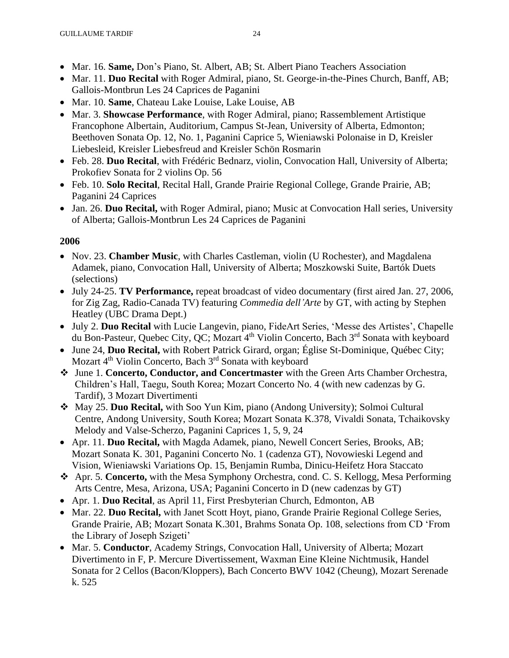- Mar. 16. **Same,** Don's Piano, St. Albert, AB; St. Albert Piano Teachers Association
- Mar. 11. **Duo Recital** with Roger Admiral, piano, St. George-in-the-Pines Church, Banff, AB; Gallois-Montbrun Les 24 Caprices de Paganini
- Mar. 10. **Same**, Chateau Lake Louise, Lake Louise, AB
- Mar. 3. **Showcase Performance**, with Roger Admiral, piano; Rassemblement Artistique Francophone Albertain, Auditorium, Campus St-Jean, University of Alberta, Edmonton; Beethoven Sonata Op. 12, No. 1, Paganini Caprice 5, Wieniawski Polonaise in D, Kreisler Liebesleid, Kreisler Liebesfreud and Kreisler Schön Rosmarin
- Feb. 28. **Duo Recital**, with Frédéric Bednarz, violin, Convocation Hall, University of Alberta; Prokofiev Sonata for 2 violins Op. 56
- Feb. 10. **Solo Recital**, Recital Hall, Grande Prairie Regional College, Grande Prairie, AB; Paganini 24 Caprices
- Jan. 26. **Duo Recital,** with Roger Admiral, piano; Music at Convocation Hall series, University of Alberta; Gallois-Montbrun Les 24 Caprices de Paganini

- Nov. 23. **Chamber Music**, with Charles Castleman, violin (U Rochester), and Magdalena Adamek, piano, Convocation Hall, University of Alberta; Moszkowski Suite, Bartók Duets (selections)
- July 24-25. **TV Performance,** repeat broadcast of video documentary (first aired Jan. 27, 2006, for Zig Zag, Radio-Canada TV) featuring *Commedia dell'Arte* by GT, with acting by Stephen Heatley (UBC Drama Dept.)
- July 2. **Duo Recital** with Lucie Langevin, piano, FideArt Series, 'Messe des Artistes', Chapelle du Bon-Pasteur, Quebec City, QC; Mozart 4<sup>th</sup> Violin Concerto, Bach 3<sup>rd</sup> Sonata with keyboard
- June 24, **Duo Recital,** with Robert Patrick Girard, organ; Église St-Dominique, Québec City; Mozart 4<sup>th</sup> Violin Concerto, Bach 3<sup>rd</sup> Sonata with keyboard
- ❖ June 1. **Concerto, Conductor, and Concertmaster** with the Green Arts Chamber Orchestra, Children's Hall, Taegu, South Korea; Mozart Concerto No. 4 (with new cadenzas by G. Tardif), 3 Mozart Divertimenti
- ❖ May 25. **Duo Recital,** with Soo Yun Kim, piano (Andong University); Solmoi Cultural Centre, Andong University, South Korea; Mozart Sonata K.378, Vivaldi Sonata, Tchaikovsky Melody and Valse-Scherzo, Paganini Caprices 1, 5, 9, 24
- Apr. 11. **Duo Recital,** with Magda Adamek, piano, Newell Concert Series, Brooks, AB; Mozart Sonata K. 301, Paganini Concerto No. 1 (cadenza GT), Novowieski Legend and Vision, Wieniawski Variations Op. 15, Benjamin Rumba, Dinicu-Heifetz Hora Staccato
- ❖ Apr. 5. **Concerto,** with the Mesa Symphony Orchestra, cond. C. S. Kellogg, Mesa Performing Arts Centre, Mesa, Arizona, USA; Paganini Concerto in D (new cadenzas by GT)
- Apr. 1. **Duo Recital**, as April 11, First Presbyterian Church, Edmonton, AB
- Mar. 22. **Duo Recital,** with Janet Scott Hoyt, piano, Grande Prairie Regional College Series, Grande Prairie, AB; Mozart Sonata K.301, Brahms Sonata Op. 108, selections from CD 'From the Library of Joseph Szigeti'
- Mar. 5. **Conductor**, Academy Strings, Convocation Hall, University of Alberta; Mozart Divertimento in F, P. Mercure Divertissement, Waxman Eine Kleine Nichtmusik, Handel Sonata for 2 Cellos (Bacon/Kloppers), Bach Concerto BWV 1042 (Cheung), Mozart Serenade k. 525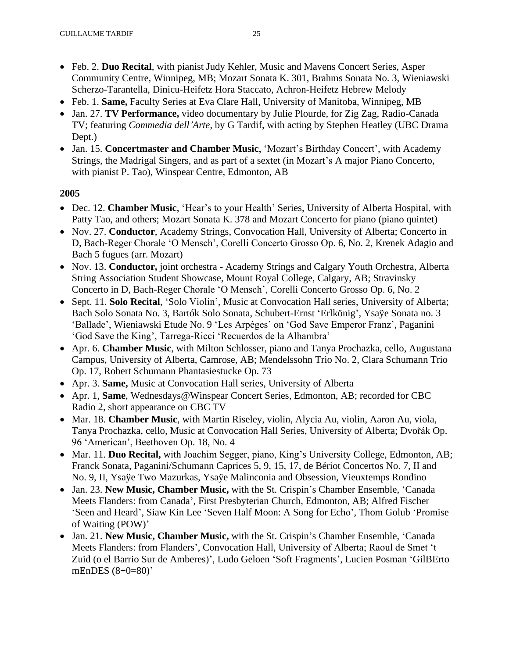- Feb. 2. **Duo Recital**, with pianist Judy Kehler, Music and Mavens Concert Series, Asper Community Centre, Winnipeg, MB; Mozart Sonata K. 301, Brahms Sonata No. 3, Wieniawski Scherzo-Tarantella, Dinicu-Heifetz Hora Staccato, Achron-Heifetz Hebrew Melody
- Feb. 1. **Same,** Faculty Series at Eva Clare Hall, University of Manitoba, Winnipeg, MB
- Jan. 27. **TV Performance,** video documentary by Julie Plourde, for Zig Zag, Radio-Canada TV; featuring *Commedia dell'Arte*, by G Tardif, with acting by Stephen Heatley (UBC Drama Dept.)
- Jan. 15. **Concertmaster and Chamber Music**, 'Mozart's Birthday Concert', with Academy Strings, the Madrigal Singers, and as part of a sextet (in Mozart's A major Piano Concerto, with pianist P. Tao), Winspear Centre, Edmonton, AB

- Dec. 12. **Chamber Music**, 'Hear's to your Health' Series, University of Alberta Hospital, with Patty Tao, and others; Mozart Sonata K. 378 and Mozart Concerto for piano (piano quintet)
- Nov. 27. **Conductor**, Academy Strings, Convocation Hall, University of Alberta; Concerto in D, Bach-Reger Chorale 'O Mensch', Corelli Concerto Grosso Op. 6, No. 2, Krenek Adagio and Bach 5 fugues (arr. Mozart)
- Nov. 13. **Conductor,** joint orchestra Academy Strings and Calgary Youth Orchestra, Alberta String Association Student Showcase, Mount Royal College, Calgary, AB; Stravinsky Concerto in D, Bach-Reger Chorale 'O Mensch', Corelli Concerto Grosso Op. 6, No. 2
- Sept. 11. **Solo Recital**, 'Solo Violin', Music at Convocation Hall series, University of Alberta; Bach Solo Sonata No. 3, Bartók Solo Sonata, Schubert-Ernst 'Erlkönig', Ysaÿe Sonata no. 3 'Ballade', Wieniawski Etude No. 9 'Les Arpèges' on 'God Save Emperor Franz', Paganini 'God Save the King', Tarrega-Ricci 'Recuerdos de la Alhambra'
- Apr. 6. **Chamber Music**, with Milton Schlosser, piano and Tanya Prochazka, cello, Augustana Campus, University of Alberta, Camrose, AB; Mendelssohn Trio No. 2, Clara Schumann Trio Op. 17, Robert Schumann Phantasiestucke Op. 73
- Apr. 3. **Same,** Music at Convocation Hall series, University of Alberta
- Apr. 1, **Same**, Wednesdays@Winspear Concert Series, Edmonton, AB; recorded for CBC Radio 2, short appearance on CBC TV
- Mar. 18. **Chamber Music**, with Martin Riseley, violin, Alycia Au, violin, Aaron Au, viola, Tanya Prochazka, cello, Music at Convocation Hall Series, University of Alberta; Dvořák Op. 96 'American', Beethoven Op. 18, No. 4
- Mar. 11. **Duo Recital,** with Joachim Segger, piano, King's University College, Edmonton, AB; Franck Sonata, Paganini/Schumann Caprices 5, 9, 15, 17, de Bériot Concertos No. 7, II and No. 9, II, Ysaÿe Two Mazurkas, Ysaÿe Malinconia and Obsession, Vieuxtemps Rondino
- Jan. 23. **New Music, Chamber Music,** with the St. Crispin's Chamber Ensemble, 'Canada Meets Flanders: from Canada', First Presbyterian Church, Edmonton, AB; Alfred Fischer 'Seen and Heard', Siaw Kin Lee 'Seven Half Moon: A Song for Echo', Thom Golub 'Promise of Waiting (POW)'
- Jan. 21. **New Music, Chamber Music,** with the St. Crispin's Chamber Ensemble, 'Canada Meets Flanders: from Flanders', Convocation Hall, University of Alberta; Raoul de Smet 't Zuid (o el Barrio Sur de Amberes)', Ludo Geloen 'Soft Fragments', Lucien Posman 'GilBErto mEnDES (8+0=80)'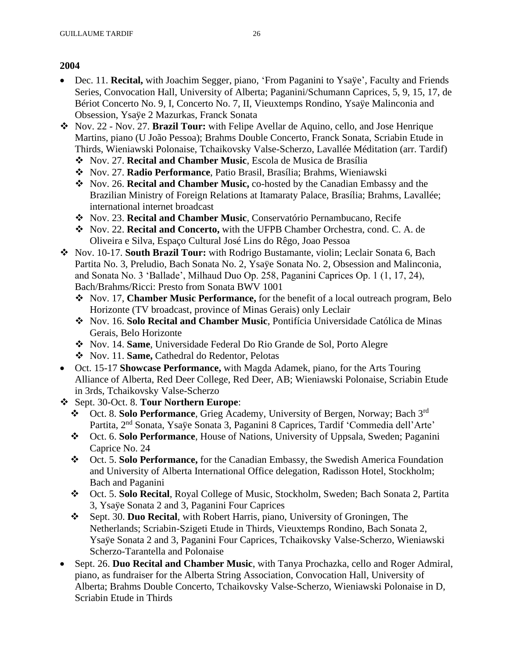- Dec. 11. **Recital,** with Joachim Segger, piano, 'From Paganini to Ysaÿe', Faculty and Friends Series, Convocation Hall, University of Alberta; Paganini/Schumann Caprices, 5, 9, 15, 17, de Bériot Concerto No. 9, I, Concerto No. 7, II, Vieuxtemps Rondino, Ysaÿe Malinconia and Obsession, Ysaÿe 2 Mazurkas, Franck Sonata
- ❖ Nov. 22 Nov. 27. **Brazil Tour:** with Felipe Avellar de Aquino, cello, and Jose Henrique Martins, piano (U João Pessoa); Brahms Double Concerto, Franck Sonata, Scriabin Etude in Thirds, Wieniawski Polonaise, Tchaikovsky Valse-Scherzo, Lavallée Méditation (arr. Tardif)
	- ❖ Nov. 27. **Recital and Chamber Music**, Escola de Musica de Brasília
	- ❖ Nov. 27. **Radio Performance**, Patio Brasil, Brasília; Brahms, Wieniawski
	- ❖ Nov. 26. **Recital and Chamber Music,** co-hosted by the Canadian Embassy and the Brazilian Ministry of Foreign Relations at Itamaraty Palace, Brasília; Brahms, Lavallée; international internet broadcast
	- ❖ Nov. 23. **Recital and Chamber Music**, Conservatório Pernambucano, Recife
	- ❖ Nov. 22. **Recital and Concerto,** with the UFPB Chamber Orchestra, cond. C. A. de Oliveira e Silva, Espaço Cultural José Lins do Rêgo, Joao Pessoa
- ❖ Nov. 10-17. **South Brazil Tour:** with Rodrigo Bustamante, violin; Leclair Sonata 6, Bach Partita No. 3, Preludio, Bach Sonata No. 2, Ysaÿe Sonata No. 2, Obsession and Malinconia, and Sonata No. 3 'Ballade', Milhaud Duo Op. 258, Paganini Caprices Op. 1 (1, 17, 24), Bach/Brahms/Ricci: Presto from Sonata BWV 1001
	- ❖ Nov. 17, **Chamber Music Performance,** for the benefit of a local outreach program, Belo Horizonte (TV broadcast, province of Minas Gerais) only Leclair
	- ❖ Nov. 16. **Solo Recital and Chamber Music**, Pontifícia Universidade Católica de Minas Gerais, Belo Horizonte
	- ❖ Nov. 14. **Same**, Universidade Federal Do Rio Grande de Sol, Porto Alegre
	- ❖ Nov. 11. **Same,** Cathedral do Redentor, Pelotas
- Oct. 15-17 **Showcase Performance,** with Magda Adamek, piano, for the Arts Touring Alliance of Alberta, Red Deer College, Red Deer, AB; Wieniawski Polonaise, Scriabin Etude in 3rds, Tchaikovsky Valse-Scherzo
- ❖ Sept. 30-Oct. 8. **Tour Northern Europe**:
	- ❖ Oct. 8. **Solo Performance**, Grieg Academy, University of Bergen, Norway; Bach 3rd Partita, 2nd Sonata, Ysaÿe Sonata 3, Paganini 8 Caprices, Tardif 'Commedia dell'Arte'
	- ❖ Oct. 6. **Solo Performance**, House of Nations, University of Uppsala, Sweden; Paganini Caprice No. 24
	- ❖ Oct. 5. **Solo Performance,** for the Canadian Embassy, the Swedish America Foundation and University of Alberta International Office delegation, Radisson Hotel, Stockholm; Bach and Paganini
	- ❖ Oct. 5. **Solo Recital**, Royal College of Music, Stockholm, Sweden; Bach Sonata 2, Partita 3, Ysaÿe Sonata 2 and 3, Paganini Four Caprices
	- ❖ Sept. 30. **Duo Recital**, with Robert Harris, piano, University of Groningen, The Netherlands; Scriabin-Szigeti Etude in Thirds, Vieuxtemps Rondino, Bach Sonata 2, Ysaÿe Sonata 2 and 3, Paganini Four Caprices, Tchaikovsky Valse-Scherzo, Wieniawski Scherzo-Tarantella and Polonaise
- Sept. 26. **Duo Recital and Chamber Music**, with Tanya Prochazka, cello and Roger Admiral, piano, as fundraiser for the Alberta String Association, Convocation Hall, University of Alberta; Brahms Double Concerto, Tchaikovsky Valse-Scherzo, Wieniawski Polonaise in D, Scriabin Etude in Thirds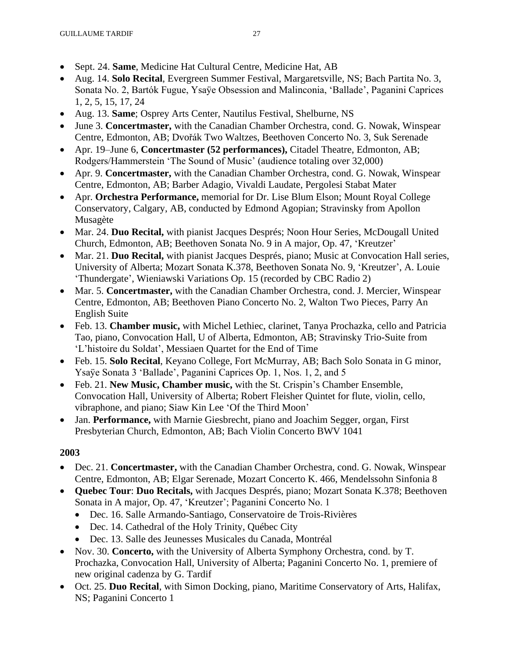- Sept. 24. **Same**, Medicine Hat Cultural Centre, Medicine Hat, AB
- Aug. 14. **Solo Recital**, Evergreen Summer Festival, Margaretsville, NS; Bach Partita No. 3, Sonata No. 2, Bartók Fugue, Ysaÿe Obsession and Malinconia, 'Ballade', Paganini Caprices 1, 2, 5, 15, 17, 24
- Aug. 13. **Same**; Osprey Arts Center, Nautilus Festival, Shelburne, NS
- June 3. **Concertmaster,** with the Canadian Chamber Orchestra, cond. G. Nowak, Winspear Centre, Edmonton, AB; Dvořák Two Waltzes, Beethoven Concerto No. 3, Suk Serenade
- Apr. 19–June 6, **Concertmaster (52 performances),** Citadel Theatre, Edmonton, AB; Rodgers/Hammerstein 'The Sound of Music' (audience totaling over 32,000)
- Apr. 9. **Concertmaster,** with the Canadian Chamber Orchestra, cond. G. Nowak, Winspear Centre, Edmonton, AB; Barber Adagio, Vivaldi Laudate, Pergolesi Stabat Mater
- Apr. **Orchestra Performance,** memorial for Dr. Lise Blum Elson; Mount Royal College Conservatory, Calgary, AB, conducted by Edmond Agopian; Stravinsky from Apollon Musagète
- Mar. 24. **Duo Recital,** with pianist Jacques Després; Noon Hour Series, McDougall United Church, Edmonton, AB; Beethoven Sonata No. 9 in A major, Op. 47, 'Kreutzer'
- Mar. 21. **Duo Recital,** with pianist Jacques Després, piano; Music at Convocation Hall series, University of Alberta; Mozart Sonata K.378, Beethoven Sonata No. 9, 'Kreutzer', A. Louie 'Thundergate', Wieniawski Variations Op. 15 (recorded by CBC Radio 2)
- Mar. 5. **Concertmaster,** with the Canadian Chamber Orchestra, cond. J. Mercier, Winspear Centre, Edmonton, AB; Beethoven Piano Concerto No. 2, Walton Two Pieces, Parry An English Suite
- Feb. 13. **Chamber music,** with Michel Lethiec, clarinet, Tanya Prochazka, cello and Patricia Tao, piano, Convocation Hall, U of Alberta, Edmonton, AB; Stravinsky Trio-Suite from 'L'histoire du Soldat', Messiaen Quartet for the End of Time
- Feb. 15. **Solo Recital**, Keyano College, Fort McMurray, AB; Bach Solo Sonata in G minor, Ysaÿe Sonata 3 'Ballade', Paganini Caprices Op. 1, Nos. 1, 2, and 5
- Feb. 21. **New Music, Chamber music,** with the St. Crispin's Chamber Ensemble, Convocation Hall, University of Alberta; Robert Fleisher Quintet for flute, violin, cello, vibraphone, and piano; Siaw Kin Lee 'Of the Third Moon'
- Jan. **Performance,** with Marnie Giesbrecht, piano and Joachim Segger, organ, First Presbyterian Church, Edmonton, AB; Bach Violin Concerto BWV 1041

- Dec. 21. **Concertmaster,** with the Canadian Chamber Orchestra, cond. G. Nowak, Winspear Centre, Edmonton, AB; Elgar Serenade, Mozart Concerto K. 466, Mendelssohn Sinfonia 8
- **Quebec Tour**: **Duo Recitals,** with Jacques Després, piano; Mozart Sonata K.378; Beethoven Sonata in A major, Op. 47, 'Kreutzer'; Paganini Concerto No. 1
	- Dec. 16. Salle Armando-Santiago, Conservatoire de Trois-Rivières
	- Dec. 14. Cathedral of the Holy Trinity, Québec City
	- Dec. 13. Salle des Jeunesses Musicales du Canada, Montréal
- Nov. 30. **Concerto,** with the University of Alberta Symphony Orchestra, cond. by T. Prochazka, Convocation Hall, University of Alberta; Paganini Concerto No. 1, premiere of new original cadenza by G. Tardif
- Oct. 25. **Duo Recital**, with Simon Docking, piano, Maritime Conservatory of Arts, Halifax, NS; Paganini Concerto 1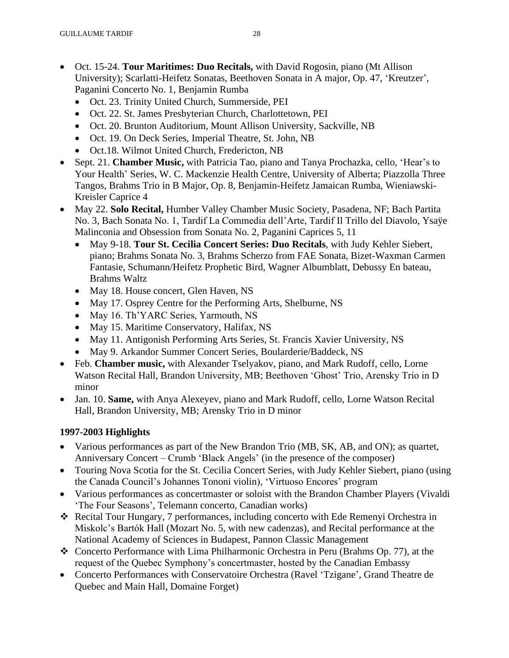- Oct. 15-24. **Tour Maritimes: Duo Recitals,** with David Rogosin, piano (Mt Allison University); Scarlatti-Heifetz Sonatas, Beethoven Sonata in A major, Op. 47, 'Kreutzer', Paganini Concerto No. 1, Benjamin Rumba
	- Oct. 23. Trinity United Church, Summerside, PEI
	- Oct. 22. St. James Presbyterian Church, Charlottetown, PEI
	- Oct. 20. Brunton Auditorium, Mount Allison University, Sackville, NB
	- Oct. 19. On Deck Series, Imperial Theatre, St. John, NB
	- Oct.18. Wilmot United Church, Fredericton, NB
- Sept. 21. **Chamber Music,** with Patricia Tao, piano and Tanya Prochazka, cello, 'Hear's to Your Health' Series, W. C. Mackenzie Health Centre, University of Alberta; Piazzolla Three Tangos, Brahms Trio in B Major, Op. 8, Benjamin-Heifetz Jamaican Rumba, Wieniawski-Kreisler Caprice 4
- May 22. **Solo Recital,** Humber Valley Chamber Music Society, Pasadena, NF; Bach Partita No. 3, Bach Sonata No. 1, Tardif La Commedia dell'Arte, Tardif Il Trillo del Diavolo, Ysaÿe Malinconia and Obsession from Sonata No. 2, Paganini Caprices 5, 11
	- May 9-18. **Tour St. Cecilia Concert Series: Duo Recitals**, with Judy Kehler Siebert, piano; Brahms Sonata No. 3, Brahms Scherzo from FAE Sonata, Bizet-Waxman Carmen Fantasie, Schumann/Heifetz Prophetic Bird, Wagner Albumblatt, Debussy En bateau, Brahms Waltz
	- May 18. House concert, Glen Haven, NS
	- May 17. Osprey Centre for the Performing Arts, Shelburne, NS
	- May 16. Th'YARC Series, Yarmouth, NS
	- May 15. Maritime Conservatory, Halifax, NS
	- May 11. Antigonish Performing Arts Series, St. Francis Xavier University, NS
	- May 9. Arkandor Summer Concert Series, Boularderie/Baddeck, NS
- Feb. **Chamber music,** with Alexander Tselyakov, piano, and Mark Rudoff, cello, Lorne Watson Recital Hall, Brandon University, MB; Beethoven 'Ghost' Trio, Arensky Trio in D minor
- Jan. 10. **Same,** with Anya Alexeyev, piano and Mark Rudoff, cello, Lorne Watson Recital Hall, Brandon University, MB; Arensky Trio in D minor

# **1997-2003 Highlights**

- Various performances as part of the New Brandon Trio (MB, SK, AB, and ON); as quartet, Anniversary Concert – Crumb 'Black Angels' (in the presence of the composer)
- Touring Nova Scotia for the St. Cecilia Concert Series, with Judy Kehler Siebert, piano (using the Canada Council's Johannes Tononi violin), 'Virtuoso Encores' program
- Various performances as concertmaster or soloist with the Brandon Chamber Players (Vivaldi 'The Four Seasons', Telemann concerto, Canadian works)
- ❖ Recital Tour Hungary, 7 performances, including concerto with Ede Remenyi Orchestra in Miskolc's Bartók Hall (Mozart No. 5, with new cadenzas), and Recital performance at the National Academy of Sciences in Budapest, Pannon Classic Management
- ❖ Concerto Performance with Lima Philharmonic Orchestra in Peru (Brahms Op. 77), at the request of the Quebec Symphony's concertmaster, hosted by the Canadian Embassy
- Concerto Performances with Conservatoire Orchestra (Ravel 'Tzigane', Grand Theatre de Quebec and Main Hall, Domaine Forget)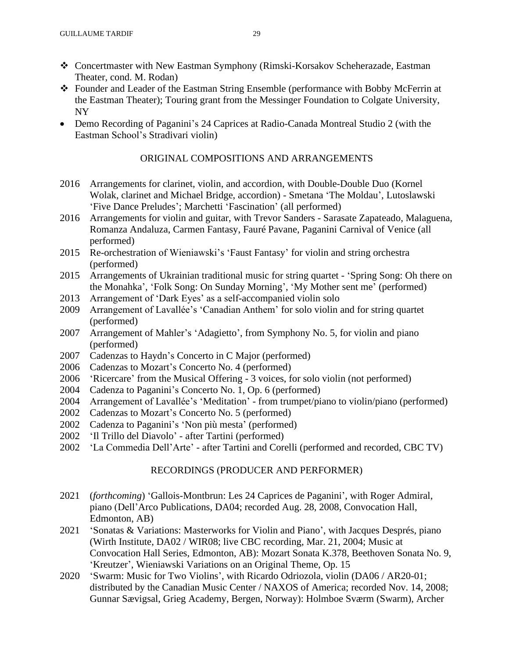- ❖ Concertmaster with New Eastman Symphony (Rimski-Korsakov Scheherazade, Eastman Theater, cond. M. Rodan)
- ❖ Founder and Leader of the Eastman String Ensemble (performance with Bobby McFerrin at the Eastman Theater); Touring grant from the Messinger Foundation to Colgate University, NY
- Demo Recording of Paganini's 24 Caprices at Radio-Canada Montreal Studio 2 (with the Eastman School's Stradivari violin)

### ORIGINAL COMPOSITIONS AND ARRANGEMENTS

- 2016 Arrangements for clarinet, violin, and accordion, with Double-Double Duo (Kornel Wolak, clarinet and Michael Bridge, accordion) - Smetana 'The Moldau', Lutoslawski 'Five Dance Preludes'; Marchetti 'Fascination' (all performed)
- 2016 Arrangements for violin and guitar, with Trevor Sanders Sarasate Zapateado, Malaguena, Romanza Andaluza, Carmen Fantasy, Fauré Pavane, Paganini Carnival of Venice (all performed)
- 2015 Re-orchestration of Wieniawski's 'Faust Fantasy' for violin and string orchestra (performed)
- 2015 Arrangements of Ukrainian traditional music for string quartet 'Spring Song: Oh there on the Monahka', 'Folk Song: On Sunday Morning', 'My Mother sent me' (performed)
- 2013 Arrangement of 'Dark Eyes' as a self-accompanied violin solo
- 2009 Arrangement of Lavallée's 'Canadian Anthem' for solo violin and for string quartet (performed)
- 2007 Arrangement of Mahler's 'Adagietto', from Symphony No. 5, for violin and piano (performed)
- 2007 Cadenzas to Haydn's Concerto in C Major (performed)
- 2006 Cadenzas to Mozart's Concerto No. 4 (performed)
- 2006 'Ricercare' from the Musical Offering 3 voices, for solo violin (not performed)
- 2004 Cadenza to Paganini's Concerto No. 1, Op. 6 (performed)
- 2004 Arrangement of Lavallée's 'Meditation' from trumpet/piano to violin/piano (performed)
- 2002 Cadenzas to Mozart's Concerto No. 5 (performed)
- 2002 Cadenza to Paganini's 'Non più mesta' (performed)
- 2002 'Il Trillo del Diavolo' after Tartini (performed)
- 2002 'La Commedia Dell'Arte' after Tartini and Corelli (performed and recorded, CBC TV)

## RECORDINGS (PRODUCER AND PERFORMER)

- 2021 (*forthcoming*) 'Gallois-Montbrun: Les 24 Caprices de Paganini', with Roger Admiral, piano (Dell'Arco Publications, DA04; recorded Aug. 28, 2008, Convocation Hall, Edmonton, AB)
- 2021 'Sonatas & Variations: Masterworks for Violin and Piano', with Jacques Després, piano (Wirth Institute, DA02 / WIR08; live CBC recording, Mar. 21, 2004; Music at Convocation Hall Series, Edmonton, AB): Mozart Sonata K.378, Beethoven Sonata No. 9, 'Kreutzer', Wieniawski Variations on an Original Theme, Op. 15
- 2020 'Swarm: Music for Two Violins', with Ricardo Odriozola, violin (DA06 / AR20-01; distributed by the Canadian Music Center / NAXOS of America; recorded Nov. 14, 2008; Gunnar Sævigsal, Grieg Academy, Bergen, Norway): Holmboe Sværm (Swarm), Archer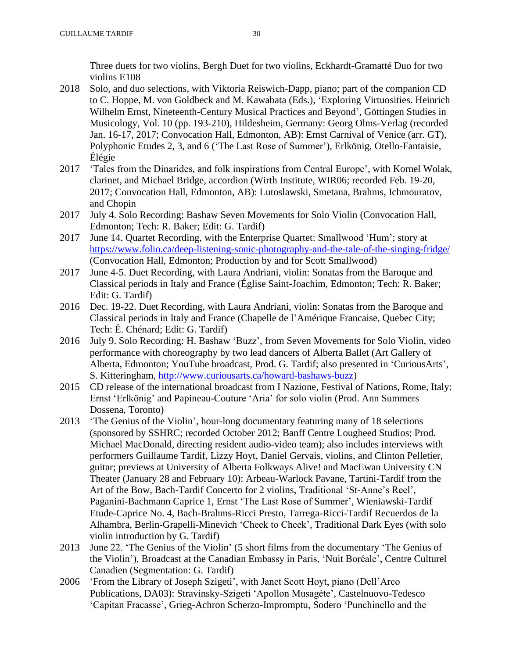Three duets for two violins, Bergh Duet for two violins, Eckhardt-Gramatté Duo for two violins E108

- 2018 Solo, and duo selections, with Viktoria Reiswich-Dapp, piano; part of the companion CD to C. Hoppe, M. von Goldbeck and M. Kawabata (Eds.), 'Exploring Virtuosities. Heinrich Wilhelm Ernst, Nineteenth-Century Musical Practices and Beyond', Göttingen Studies in Musicology, Vol. 10 (pp. 193-210), Hildesheim, Germany: Georg Olms-Verlag (recorded Jan. 16-17, 2017; Convocation Hall, Edmonton, AB): Ernst Carnival of Venice (arr. GT), Polyphonic Etudes 2, 3, and 6 ('The Last Rose of Summer'), Erlkönig, Otello-Fantaisie, Élégie
- 2017 'Tales from the Dinarides, and folk inspirations from Central Europe', with Kornel Wolak, clarinet, and Michael Bridge, accordion (Wirth Institute, WIR06; recorded Feb. 19-20, 2017; Convocation Hall, Edmonton, AB): Lutoslawski, Smetana, Brahms, Ichmouratov, and Chopin
- 2017 July 4. Solo Recording: Bashaw Seven Movements for Solo Violin (Convocation Hall, Edmonton; Tech: R. Baker; Edit: G. Tardif)
- 2017 June 14. Quartet Recording, with the Enterprise Quartet: Smallwood 'Hum'; story at <https://www.folio.ca/deep-listening-sonic-photography-and-the-tale-of-the-singing-fridge/> (Convocation Hall, Edmonton; Production by and for Scott Smallwood)
- 2017 June 4-5. Duet Recording, with Laura Andriani, violin: Sonatas from the Baroque and Classical periods in Italy and France (Église Saint-Joachim, Edmonton; Tech: R. Baker; Edit: G. Tardif)
- 2016 Dec. 19-22. Duet Recording, with Laura Andriani, violin: Sonatas from the Baroque and Classical periods in Italy and France (Chapelle de l'Amérique Francaise, Quebec City; Tech: É. Chénard; Edit: G. Tardif)
- 2016 July 9. Solo Recording: H. Bashaw 'Buzz', from Seven Movements for Solo Violin, video performance with choreography by two lead dancers of Alberta Ballet (Art Gallery of Alberta, Edmonton; YouTube broadcast, Prod. G. Tardif; also presented in 'CuriousArts', S. Kitteringham, [http://www.curiousarts.ca/howard-bashaws-buzz\)](http://www.curiousarts.ca/howard-bashaws-buzz)
- 2015 CD release of the international broadcast from I Nazione, Festival of Nations, Rome, Italy: Ernst 'Erlkönig' and Papineau-Couture 'Aria' for solo violin (Prod. Ann Summers Dossena, Toronto)
- 2013 'The Genius of the Violin', hour-long documentary featuring many of 18 selections (sponsored by SSHRC; recorded October 2012; Banff Centre Lougheed Studios; Prod. Michael MacDonald, directing resident audio-video team); also includes interviews with performers Guillaume Tardif, Lizzy Hoyt, Daniel Gervais, violins, and Clinton Pelletier, guitar; previews at University of Alberta Folkways Alive! and MacEwan University CN Theater (January 28 and February 10): Arbeau-Warlock Pavane, Tartini-Tardif from the Art of the Bow, Bach-Tardif Concerto for 2 violins, Traditional 'St-Anne's Reel', Paganini-Bachmann Caprice 1, Ernst 'The Last Rose of Summer', Wieniawski-Tardif Etude-Caprice No. 4, Bach-Brahms-Ricci Presto, Tarrega-Ricci-Tardif Recuerdos de la Alhambra, Berlin-Grapelli-Minevich 'Cheek to Cheek', Traditional Dark Eyes (with solo violin introduction by G. Tardif)
- 2013 June 22. 'The Genius of the Violin' (5 short films from the documentary 'The Genius of the Violin'), Broadcast at the Canadian Embassy in Paris, 'Nuit Boréale', Centre Culturel Canadien (Segmentation: G. Tardif)
- 2006 'From the Library of Joseph Szigeti', with Janet Scott Hoyt, piano (Dell'Arco Publications, DA03): Stravinsky-Szigeti 'Apollon Musagète', Castelnuovo-Tedesco 'Capitan Fracasse', Grieg-Achron Scherzo-Impromptu, Sodero 'Punchinello and the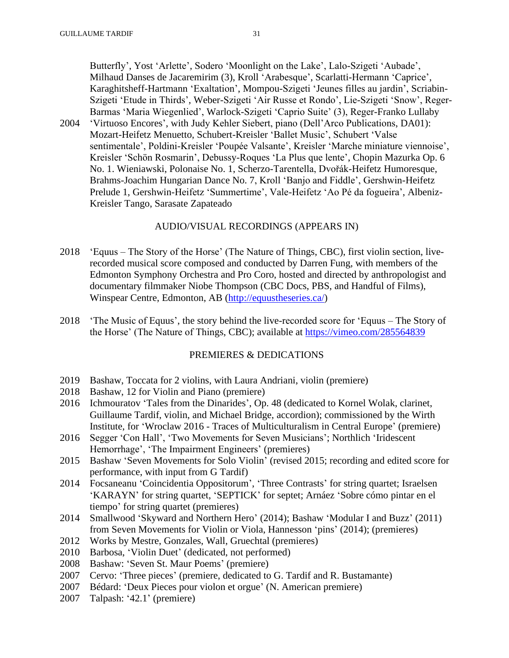Butterfly', Yost 'Arlette', Sodero 'Moonlight on the Lake', Lalo-Szigeti 'Aubade', Milhaud Danses de Jacaremirim (3), Kroll 'Arabesque', Scarlatti-Hermann 'Caprice', Karaghitsheff-Hartmann 'Exaltation', Mompou-Szigeti 'Jeunes filles au jardin', Scriabin-Szigeti 'Etude in Thirds', Weber-Szigeti 'Air Russe et Rondo', Lie-Szigeti 'Snow', Reger-Barmas 'Maria Wiegenlied', Warlock-Szigeti 'Caprio Suite' (3), Reger-Franko Lullaby

2004 'Virtuoso Encores', with Judy Kehler Siebert, piano (Dell'Arco Publications, DA01): Mozart-Heifetz Menuetto, Schubert-Kreisler 'Ballet Music', Schubert 'Valse sentimentale', Poldini-Kreisler 'Poupée Valsante', Kreisler 'Marche miniature viennoise', Kreisler 'Schön Rosmarin', Debussy-Roques 'La Plus que lente', Chopin Mazurka Op. 6 No. 1. Wieniawski, Polonaise No. 1, Scherzo-Tarentella, Dvořák-Heifetz Humoresque, Brahms-Joachim Hungarian Dance No. 7, Kroll 'Banjo and Fiddle', Gershwin-Heifetz Prelude 1, Gershwin-Heifetz 'Summertime', Vale-Heifetz 'Ao Pé da fogueira', Albeniz-Kreisler Tango, Sarasate Zapateado

### AUDIO/VISUAL RECORDINGS (APPEARS IN)

- 2018 'Equus The Story of the Horse' (The Nature of Things, CBC), first violin section, liverecorded musical score composed and conducted by Darren Fung, with members of the Edmonton Symphony Orchestra and Pro Coro, hosted and directed by anthropologist and documentary filmmaker Niobe Thompson (CBC Docs, PBS, and Handful of Films), Winspear Centre, Edmonton, AB [\(http://equustheseries.ca/\)](http://equustheseries.ca/)
- 2018 'The Music of Equus', the story behind the live-recorded score for 'Equus The Story of the Horse' (The Nature of Things, CBC); available at <https://vimeo.com/285564839>

### PREMIERES & DEDICATIONS

- 2019 Bashaw, Toccata for 2 violins, with Laura Andriani, violin (premiere)
- 2018 Bashaw, 12 for Violin and Piano (premiere)
- 2016 Ichmouratov 'Tales from the Dinarides', Op. 48 (dedicated to Kornel Wolak, clarinet, Guillaume Tardif, violin, and Michael Bridge, accordion); commissioned by the Wirth Institute, for 'Wroclaw 2016 - Traces of Multiculturalism in Central Europe' (premiere)
- 2016 Segger 'Con Hall', 'Two Movements for Seven Musicians'; Northlich 'Iridescent Hemorrhage', 'The Impairment Engineers' (premieres)
- 2015 Bashaw 'Seven Movements for Solo Violin' (revised 2015; recording and edited score for performance, with input from G Tardif)
- 2014 Focsaneanu 'Coincidentia Oppositorum', 'Three Contrasts' for string quartet; Israelsen 'KARAYN' for string quartet, 'SEPTICK' for septet; Arnáez 'Sobre cómo pintar en el tiempo' for string quartet (premieres)
- 2014 Smallwood 'Skyward and Northern Hero' (2014); Bashaw 'Modular I and Buzz' (2011) from Seven Movements for Violin or Viola, Hannesson 'pins' (2014); (premieres)
- 2012 Works by Mestre, Gonzales, Wall, Gruechtal (premieres)
- 2010 Barbosa, 'Violin Duet' (dedicated, not performed)
- 2008 Bashaw: 'Seven St. Maur Poems' (premiere)
- 2007 Cervo: 'Three pieces' (premiere, dedicated to G. Tardif and R. Bustamante)
- 2007 Bédard: 'Deux Pieces pour violon et orgue' (N. American premiere)
- 2007 Talpash: '42.1' (premiere)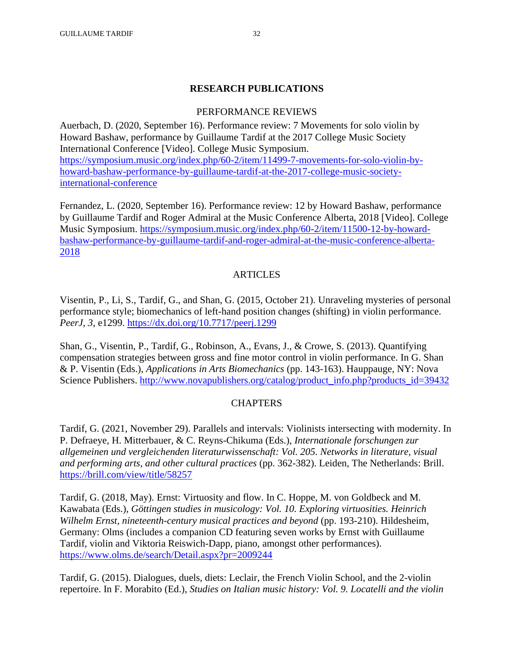## **RESEARCH PUBLICATIONS**

## PERFORMANCE REVIEWS

Auerbach, D. (2020, September 16). Performance review: 7 Movements for solo violin by Howard Bashaw, performance by Guillaume Tardif at the 2017 College Music Society International Conference [Video]. College Music Symposium. [https://symposium.music.org/index.php/60-2/item/11499-7-movements-for-solo-violin-by](https://symposium.music.org/index.php/60-2/item/11499-7-movements-for-solo-violin-by-howard-bashaw-performance-by-guillaume-tardif-at-the-2017-college-music-society-international-conference)[howard-bashaw-performance-by-guillaume-tardif-at-the-2017-college-music-society](https://symposium.music.org/index.php/60-2/item/11499-7-movements-for-solo-violin-by-howard-bashaw-performance-by-guillaume-tardif-at-the-2017-college-music-society-international-conference)[international-conference](https://symposium.music.org/index.php/60-2/item/11499-7-movements-for-solo-violin-by-howard-bashaw-performance-by-guillaume-tardif-at-the-2017-college-music-society-international-conference)

Fernandez, L. (2020, September 16). Performance review: 12 by Howard Bashaw, performance by Guillaume Tardif and Roger Admiral at the Music Conference Alberta, 2018 [Video]. College Music Symposium. [https://symposium.music.org/index.php/60-2/item/11500-12-by-howard](https://symposium.music.org/index.php/60-2/item/11500-12-by-howard-bashaw-performance-by-guillaume-tardif-and-roger-admiral-at-the-music-conference-alberta-2018)[bashaw-performance-by-guillaume-tardif-and-roger-admiral-at-the-music-conference-alberta-](https://symposium.music.org/index.php/60-2/item/11500-12-by-howard-bashaw-performance-by-guillaume-tardif-and-roger-admiral-at-the-music-conference-alberta-2018)[2018](https://symposium.music.org/index.php/60-2/item/11500-12-by-howard-bashaw-performance-by-guillaume-tardif-and-roger-admiral-at-the-music-conference-alberta-2018)

## **ARTICLES**

Visentin, P., Li, S., Tardif, G., and Shan, G. (2015, October 21). Unraveling mysteries of personal performance style; biomechanics of left-hand position changes (shifting) in violin performance. *PeerJ*, *3*, e1299.<https://dx.doi.org/10.7717/peerj.1299>

Shan, G., Visentin, P., Tardif, G., Robinson, A., Evans, J., & Crowe, S. (2013). Quantifying compensation strategies between gross and fine motor control in violin performance. In G. Shan & P. Visentin (Eds.), *Applications in Arts Biomechanics* (pp. 143-163). Hauppauge, NY: Nova Science Publishers. [http://www.novapublishers.org/catalog/product\\_info.php?products\\_id=39432](http://www.novapublishers.org/catalog/product_info.php?products_id=39432)

## CHAPTERS

Tardif, G. (2021, November 29). Parallels and intervals: Violinists intersecting with modernity. In P. Defraeye, H. Mitterbauer, & C. Reyns-Chikuma (Eds.), *Internationale forschungen zur allgemeinen und vergleichenden literaturwissenschaft: Vol. 205. Networks in literature, visual and performing arts, and other cultural practices* (pp. 362-382). Leiden, The Netherlands: Brill. <https://brill.com/view/title/58257>

Tardif, G. (2018, May). Ernst: Virtuosity and flow. In C. Hoppe, M. von Goldbeck and M. Kawabata (Eds.), *Göttingen studies in musicology: Vol. 10. Exploring virtuosities. Heinrich Wilhelm Ernst, nineteenth-century musical practices and beyond* (pp. 193-210). Hildesheim, Germany: Olms (includes a companion CD featuring seven works by Ernst with Guillaume Tardif, violin and Viktoria Reiswich-Dapp, piano, amongst other performances). <https://www.olms.de/search/Detail.aspx?pr=2009244>

Tardif, G. (2015). Dialogues, duels, diets: Leclair, the French Violin School, and the 2-violin repertoire. In F. Morabito (Ed.), *Studies on Italian music history: Vol. 9. Locatelli and the violin*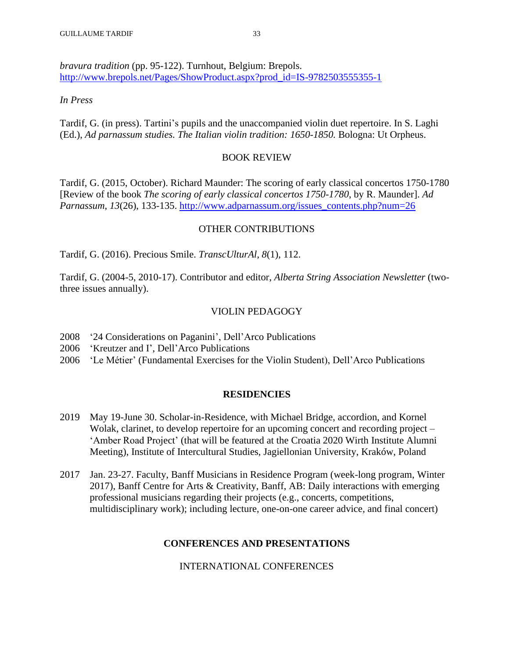*bravura tradition* (pp. 95-122). Turnhout, Belgium: Brepols. [http://www.brepols.net/Pages/ShowProduct.aspx?prod\\_id=IS-9782503555355-1](http://www.brepols.net/Pages/ShowProduct.aspx?prod_id=IS-9782503555355-1)

### *In Press*

Tardif, G. (in press). Tartini's pupils and the unaccompanied violin duet repertoire. In S. Laghi (Ed.), *Ad parnassum studies. The Italian violin tradition: 1650-1850.* Bologna: Ut Orpheus.

### BOOK REVIEW

Tardif, G. (2015, October). Richard Maunder: The scoring of early classical concertos 1750-1780 [Review of the book *The scoring of early classical concertos 1750-1780*, by R. Maunder]. *Ad Parnassum, 13*(26), 133-135. [http://www.adparnassum.org/issues\\_contents.php?num=26](http://www.adparnassum.org/issues_contents.php?num=26)

### OTHER CONTRIBUTIONS

Tardif, G. (2016). Precious Smile. *TranscUlturAl*, *8*(1), 112.

Tardif, G. (2004-5, 2010-17). Contributor and editor, *Alberta String Association Newsletter* (twothree issues annually).

### VIOLIN PEDAGOGY

- 2008 '24 Considerations on Paganini', Dell'Arco Publications
- 2006 'Kreutzer and I', Dell'Arco Publications
- 2006 'Le Métier' (Fundamental Exercises for the Violin Student), Dell'Arco Publications

#### **RESIDENCIES**

- 2019 May 19-June 30. Scholar-in-Residence, with Michael Bridge, accordion, and Kornel Wolak, clarinet, to develop repertoire for an upcoming concert and recording project – 'Amber Road Project' (that will be featured at the Croatia 2020 Wirth Institute Alumni Meeting), Institute of Intercultural Studies, Jagiellonian University, Kraków, Poland
- 2017 Jan. 23-27. Faculty, Banff Musicians in Residence Program (week-long program, Winter 2017), Banff Centre for Arts & Creativity, Banff, AB: Daily interactions with emerging professional musicians regarding their projects (e.g., concerts, competitions, multidisciplinary work); including lecture, one-on-one career advice, and final concert)

### **CONFERENCES AND PRESENTATIONS**

INTERNATIONAL CONFERENCES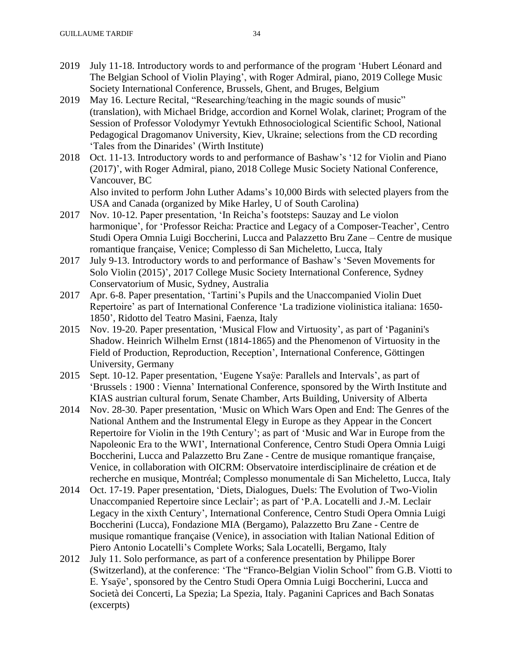- 2019 July 11-18. Introductory words to and performance of the program 'Hubert Léonard and The Belgian School of Violin Playing', with Roger Admiral, piano, 2019 College Music Society International Conference, Brussels, Ghent, and Bruges, Belgium
- 2019 May 16. Lecture Recital, "Researching/teaching in the magic sounds of music" (translation), with Michael Bridge, accordion and Kornel Wolak, clarinet; Program of the Session of Professor Volodymyr Yevtukh Ethnosociological Scientific School, National Pedagogical Dragomanov University, Kiev, Ukraine; selections from the CD recording 'Tales from the Dinarides' (Wirth Institute)
- 2018 Oct. 11-13. Introductory words to and performance of Bashaw's '12 for Violin and Piano (2017)', with Roger Admiral, piano, 2018 College Music Society National Conference, Vancouver, BC Also invited to perform John Luther Adams's 10,000 Birds with selected players from the USA and Canada (organized by Mike Harley, U of South Carolina)
- 2017 Nov. 10-12. Paper presentation, 'In Reicha's footsteps: Sauzay and Le violon harmonique', for 'Professor Reicha: Practice and Legacy of a Composer-Teacher', Centro Studi Opera Omnia Luigi Boccherini, Lucca and Palazzetto Bru Zane – Centre de musique romantique française, Venice; Complesso di San Micheletto, Lucca, Italy
- 2017 July 9-13. Introductory words to and performance of Bashaw's 'Seven Movements for Solo Violin (2015)', 2017 College Music Society International Conference, Sydney Conservatorium of Music, Sydney, Australia
- 2017 Apr. 6-8. Paper presentation, 'Tartini's Pupils and the Unaccompanied Violin Duet Repertoire' as part of International Conference 'La tradizione violinistica italiana: 1650- 1850', Ridotto del Teatro Masini, Faenza, Italy
- 2015 Nov. 19-20. Paper presentation, 'Musical Flow and Virtuosity', as part of 'Paganini's Shadow. Heinrich Wilhelm Ernst (1814-1865) and the Phenomenon of Virtuosity in the Field of Production, Reproduction, Reception', International Conference, Göttingen University, Germany
- 2015 Sept. 10-12. Paper presentation, 'Eugene Ysaÿe: Parallels and Intervals', as part of 'Brussels : 1900 : Vienna' International Conference, sponsored by the Wirth Institute and KIAS austrian cultural forum, Senate Chamber, Arts Building, University of Alberta
- 2014 Nov. 28-30. Paper presentation, 'Music on Which Wars Open and End: The Genres of the National Anthem and the Instrumental Elegy in Europe as they Appear in the Concert Repertoire for Violin in the 19th Century'; as part of 'Music and War in Europe from the Napoleonic Era to the WWI', International Conference, Centro Studi Opera Omnia Luigi Boccherini, Lucca and Palazzetto Bru Zane - Centre de musique romantique française, Venice, in collaboration with OICRM: Observatoire interdisciplinaire de création et de recherche en musique, Montréal; Complesso monumentale di San Micheletto, Lucca, Italy
- 2014 Oct. 17-19. Paper presentation, 'Diets, Dialogues, Duels: The Evolution of Two-Violin Unaccompanied Repertoire since Leclair'; as part of 'P.A. Locatelli and J.-M. Leclair Legacy in the xixth Century', International Conference, Centro Studi Opera Omnia Luigi Boccherini (Lucca), Fondazione MIA (Bergamo), Palazzetto Bru Zane - Centre de musique romantique française (Venice), in association with Italian National Edition of Piero Antonio Locatelli's Complete Works; Sala Locatelli, Bergamo, Italy
- 2012 July 11. Solo performance, as part of a conference presentation by Philippe Borer (Switzerland), at the conference: 'The "Franco-Belgian Violin School" from G.B. Viotti to E. Ysaÿe', sponsored by the Centro Studi Opera Omnia Luigi Boccherini, Lucca and Società dei Concerti, La Spezia; La Spezia, Italy. Paganini Caprices and Bach Sonatas (excerpts)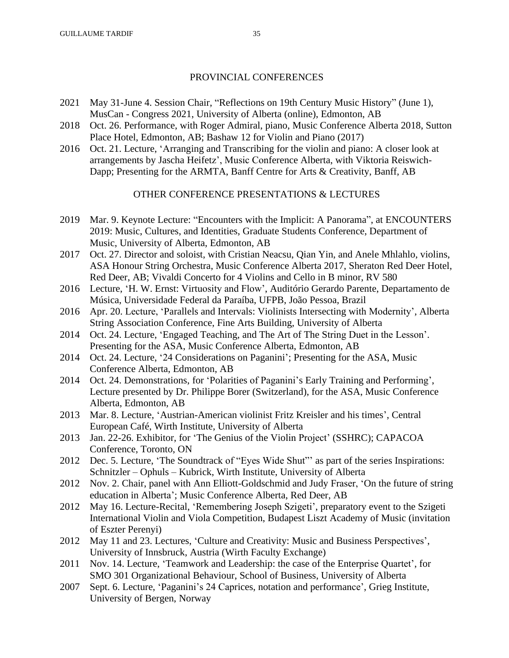### PROVINCIAL CONFERENCES

- 2021 May 31-June 4. Session Chair, "Reflections on 19th Century Music History" (June 1), MusCan - Congress 2021, University of Alberta (online), Edmonton, AB
- 2018 Oct. 26. Performance, with Roger Admiral, piano, Music Conference Alberta 2018, Sutton Place Hotel, Edmonton, AB; Bashaw 12 for Violin and Piano (2017)
- 2016 Oct. 21. Lecture, 'Arranging and Transcribing for the violin and piano: A closer look at arrangements by Jascha Heifetz', Music Conference Alberta, with Viktoria Reiswich-Dapp; Presenting for the ARMTA, Banff Centre for Arts & Creativity, Banff, AB

## OTHER CONFERENCE PRESENTATIONS & LECTURES

- 2019 Mar. 9. Keynote Lecture: "Encounters with the Implicit: A Panorama", at ENCOUNTERS 2019: Music, Cultures, and Identities, Graduate Students Conference, Department of Music, University of Alberta, Edmonton, AB
- 2017 Oct. 27. Director and soloist, with Cristian Neacsu, Qian Yin, and Anele Mhlahlo, violins, ASA Honour String Orchestra, Music Conference Alberta 2017, Sheraton Red Deer Hotel, Red Deer, AB; Vivaldi Concerto for 4 Violins and Cello in B minor, RV 580
- 2016 Lecture, 'H. W. Ernst: Virtuosity and Flow', Auditório Gerardo Parente, Departamento de Música, Universidade Federal da Paraíba, UFPB, João Pessoa, Brazil
- 2016 Apr. 20. Lecture, 'Parallels and Intervals: Violinists Intersecting with Modernity', Alberta String Association Conference, Fine Arts Building, University of Alberta
- 2014 Oct. 24. Lecture, 'Engaged Teaching, and The Art of The String Duet in the Lesson'. Presenting for the ASA, Music Conference Alberta, Edmonton, AB
- 2014 Oct. 24. Lecture, '24 Considerations on Paganini'; Presenting for the ASA, Music Conference Alberta, Edmonton, AB
- 2014 Oct. 24. Demonstrations, for 'Polarities of Paganini's Early Training and Performing', Lecture presented by Dr. Philippe Borer (Switzerland), for the ASA, Music Conference Alberta, Edmonton, AB
- 2013 Mar. 8. Lecture, 'Austrian-American violinist Fritz Kreisler and his times', Central European Café, Wirth Institute, University of Alberta
- 2013 Jan. 22-26. Exhibitor, for 'The Genius of the Violin Project' (SSHRC); CAPACOA Conference, Toronto, ON
- 2012 Dec. 5. Lecture, 'The Soundtrack of "Eyes Wide Shut"' as part of the series Inspirations: Schnitzler – Ophuls – Kubrick, Wirth Institute, University of Alberta
- 2012 Nov. 2. Chair, panel with Ann Elliott-Goldschmid and Judy Fraser, 'On the future of string education in Alberta'; Music Conference Alberta, Red Deer, AB
- 2012 May 16. Lecture-Recital, 'Remembering Joseph Szigeti', preparatory event to the Szigeti International Violin and Viola Competition, Budapest Liszt Academy of Music (invitation of Eszter Perenyi)
- 2012 May 11 and 23. Lectures, 'Culture and Creativity: Music and Business Perspectives', University of Innsbruck, Austria (Wirth Faculty Exchange)
- 2011 Nov. 14. Lecture, 'Teamwork and Leadership: the case of the Enterprise Quartet', for SMO 301 Organizational Behaviour, School of Business, University of Alberta
- 2007 Sept. 6. Lecture, 'Paganini's 24 Caprices, notation and performance', Grieg Institute, University of Bergen, Norway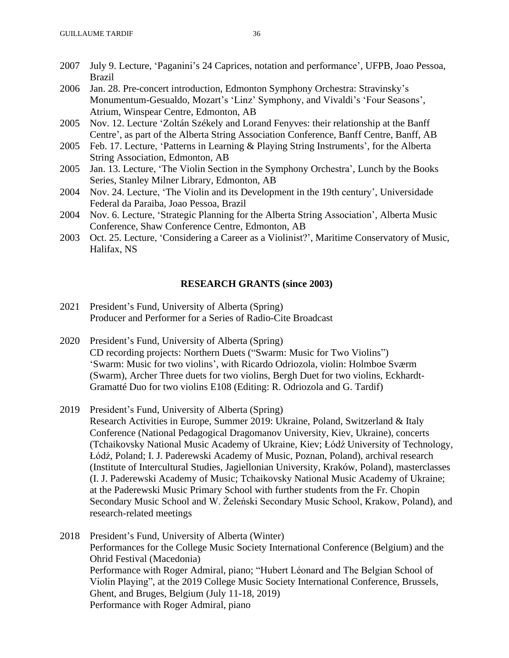- 2007 July 9. Lecture, 'Paganini's 24 Caprices, notation and performance', UFPB, Joao Pessoa, Brazil
- 2006 Jan. 28. Pre-concert introduction, Edmonton Symphony Orchestra: Stravinsky's Monumentum-Gesualdo, Mozart's 'Linz' Symphony, and Vivaldi's 'Four Seasons', Atrium, Winspear Centre, Edmonton, AB
- 2005 Nov. 12. Lecture 'Zoltán Székely and Lorand Fenyves: their relationship at the Banff Centre', as part of the Alberta String Association Conference, Banff Centre, Banff, AB
- 2005 Feb. 17. Lecture, 'Patterns in Learning & Playing String Instruments', for the Alberta String Association, Edmonton, AB
- 2005 Jan. 13. Lecture, 'The Violin Section in the Symphony Orchestra', Lunch by the Books Series, Stanley Milner Library, Edmonton, AB
- 2004 Nov. 24. Lecture, 'The Violin and its Development in the 19th century', Universidade Federal da Paraiba, Joao Pessoa, Brazil
- 2004 Nov. 6. Lecture, 'Strategic Planning for the Alberta String Association', Alberta Music Conference, Shaw Conference Centre, Edmonton, AB
- 2003 Oct. 25. Lecture, 'Considering a Career as a Violinist?', Maritime Conservatory of Music, Halifax, NS

#### **RESEARCH GRANTS (since 2003)**

- 2021 President's Fund, University of Alberta (Spring) Producer and Performer for a Series of Radio-Cite Broadcast
- 2020 President's Fund, University of Alberta (Spring) CD recording projects: Northern Duets ("Swarm: Music for Two Violins") 'Swarm: Music for two violins', with Ricardo Odriozola, violin: Holmboe Sværm (Swarm), Archer Three duets for two violins, Bergh Duet for two violins, Eckhardt-Gramatté Duo for two violins E108 (Editing: R. Odriozola and G. Tardif)
- 2019 President's Fund, University of Alberta (Spring) Research Activities in Europe, Summer 2019: Ukraine, Poland, Switzerland & Italy Conference (National Pedagogical Dragomanov University, Kiev, Ukraine), concerts (Tchaikovsky National Music Academy of Ukraine, Kiev; Łódź University of Technology, Łódź, Poland; I. J. Paderewski Academy of Music, Poznan, Poland), archival research (Institute of Intercultural Studies, Jagiellonian University, Kraków, Poland), masterclasses (I. J. Paderewski Academy of Music; Tchaikovsky National Music Academy of Ukraine; at the Paderewski Music Primary School with further students from the Fr. Chopin Secondary Music School and W. Żeleński Secondary Music School, Krakow, Poland), and research-related meetings
- 2018 President's Fund, University of Alberta (Winter) Performances for the College Music Society International Conference (Belgium) and the Ohrid Festival (Macedonia) Performance with Roger Admiral, piano; "Hubert Léonard and The Belgian School of Violin Playing", at the 2019 College Music Society International Conference, Brussels, Ghent, and Bruges, Belgium (July 11-18, 2019) Performance with Roger Admiral, piano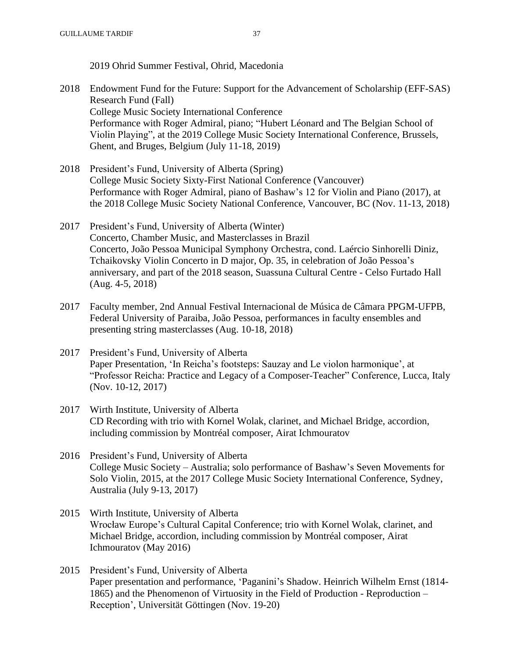2019 Ohrid Summer Festival, Ohrid, Macedonia

- 2018 Endowment Fund for the Future: Support for the Advancement of Scholarship (EFF-SAS) Research Fund (Fall) College Music Society International Conference Performance with Roger Admiral, piano; "Hubert Léonard and The Belgian School of Violin Playing", at the 2019 College Music Society International Conference, Brussels, Ghent, and Bruges, Belgium (July 11-18, 2019)
- 2018 President's Fund, University of Alberta (Spring) College Music Society Sixty-First National Conference (Vancouver) Performance with Roger Admiral, piano of Bashaw's 12 for Violin and Piano (2017), at the 2018 College Music Society National Conference, Vancouver, BC (Nov. 11-13, 2018)
- 2017 President's Fund, University of Alberta (Winter) Concerto, Chamber Music, and Masterclasses in Brazil Concerto, João Pessoa Municipal Symphony Orchestra, cond. Laércio Sinhorelli Diniz, Tchaikovsky Violin Concerto in D major, Op. 35, in celebration of João Pessoa's anniversary, and part of the 2018 season, Suassuna Cultural Centre - Celso Furtado Hall (Aug. 4-5, 2018)
- 2017 Faculty member, 2nd Annual Festival Internacional de Música de Câmara PPGM-UFPB, Federal University of Paraiba, João Pessoa, performances in faculty ensembles and presenting string masterclasses (Aug. 10-18, 2018)
- 2017 President's Fund, University of Alberta Paper Presentation, 'In Reicha's footsteps: Sauzay and Le violon harmonique', at "Professor Reicha: Practice and Legacy of a Composer-Teacher" Conference, Lucca, Italy (Nov. 10-12, 2017)
- 2017 Wirth Institute, University of Alberta CD Recording with trio with Kornel Wolak, clarinet, and Michael Bridge, accordion, including commission by Montréal composer, Airat Ichmouratov
- 2016 President's Fund, University of Alberta College Music Society – Australia; solo performance of Bashaw's Seven Movements for Solo Violin, 2015, at the 2017 College Music Society International Conference, Sydney, Australia (July 9-13, 2017)
- 2015 Wirth Institute, University of Alberta Wrocław Europe's Cultural Capital Conference; trio with Kornel Wolak, clarinet, and Michael Bridge, accordion, including commission by Montréal composer, Airat Ichmouratov (May 2016)
- 2015 President's Fund, University of Alberta Paper presentation and performance, 'Paganini's Shadow. Heinrich Wilhelm Ernst (1814- 1865) and the Phenomenon of Virtuosity in the Field of Production - Reproduction – Reception', Universität Göttingen (Nov. 19-20)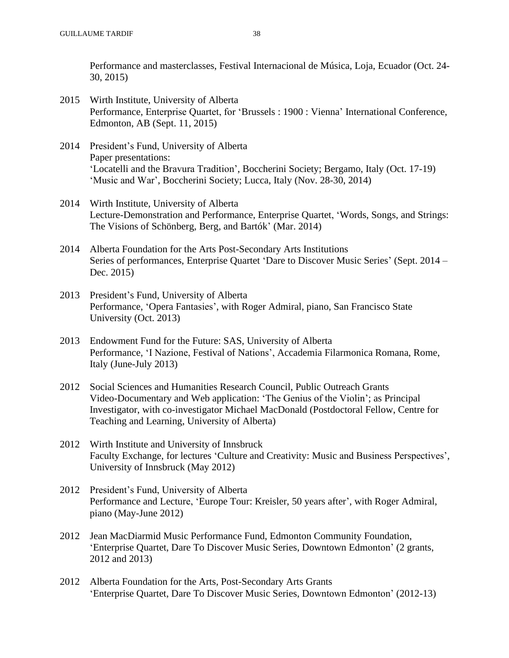Performance and masterclasses, Festival Internacional de Música, Loja, Ecuador (Oct. 24- 30, 2015)

- 2015 Wirth Institute, University of Alberta Performance, Enterprise Quartet, for 'Brussels : 1900 : Vienna' International Conference, Edmonton, AB (Sept. 11, 2015)
- 2014 President's Fund, University of Alberta Paper presentations: 'Locatelli and the Bravura Tradition', Boccherini Society; Bergamo, Italy (Oct. 17-19) 'Music and War', Boccherini Society; Lucca, Italy (Nov. 28-30, 2014)
- 2014 Wirth Institute, University of Alberta Lecture-Demonstration and Performance, Enterprise Quartet, 'Words, Songs, and Strings: The Visions of Schönberg, Berg, and Bartók' (Mar. 2014)
- 2014 Alberta Foundation for the Arts Post-Secondary Arts Institutions Series of performances, Enterprise Quartet 'Dare to Discover Music Series' (Sept. 2014 – Dec. 2015)
- 2013 President's Fund, University of Alberta Performance, 'Opera Fantasies', with Roger Admiral, piano, San Francisco State University (Oct. 2013)
- 2013 Endowment Fund for the Future: SAS, University of Alberta Performance, 'I Nazione, Festival of Nations', Accademia Filarmonica Romana, Rome, Italy (June-July 2013)
- 2012 Social Sciences and Humanities Research Council, Public Outreach Grants Video-Documentary and Web application: 'The Genius of the Violin'; as Principal Investigator, with co-investigator Michael MacDonald (Postdoctoral Fellow, Centre for Teaching and Learning, University of Alberta)
- 2012 Wirth Institute and University of Innsbruck Faculty Exchange, for lectures 'Culture and Creativity: Music and Business Perspectives', University of Innsbruck (May 2012)
- 2012 President's Fund, University of Alberta Performance and Lecture, 'Europe Tour: Kreisler, 50 years after', with Roger Admiral, piano (May-June 2012)
- 2012 Jean MacDiarmid Music Performance Fund, Edmonton Community Foundation, 'Enterprise Quartet, Dare To Discover Music Series, Downtown Edmonton' (2 grants, 2012 and 2013)
- 2012 Alberta Foundation for the Arts, Post-Secondary Arts Grants 'Enterprise Quartet, Dare To Discover Music Series, Downtown Edmonton' (2012-13)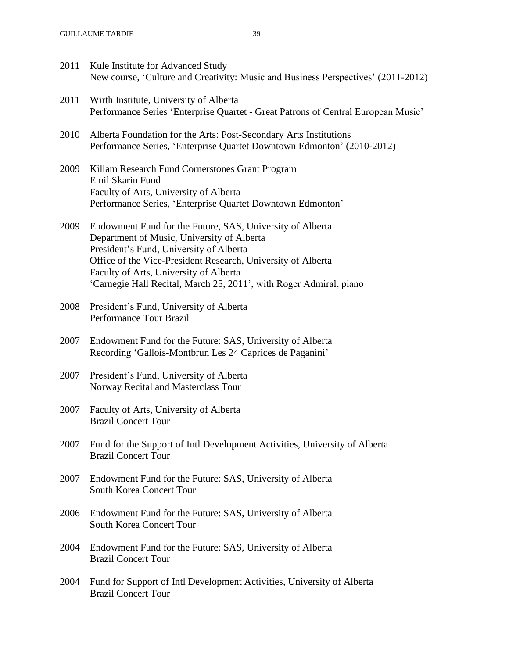2011 Kule Institute for Advanced Study New course, 'Culture and Creativity: Music and Business Perspectives' (2011-2012) 2011 Wirth Institute, University of Alberta Performance Series 'Enterprise Quartet - Great Patrons of Central European Music' 2010 Alberta Foundation for the Arts: Post-Secondary Arts Institutions Performance Series, 'Enterprise Quartet Downtown Edmonton' (2010-2012) 2009 Killam Research Fund Cornerstones Grant Program Emil Skarin Fund Faculty of Arts, University of Alberta Performance Series, 'Enterprise Quartet Downtown Edmonton' 2009 Endowment Fund for the Future, SAS, University of Alberta Department of Music, University of Alberta President's Fund, University of Alberta Office of the Vice-President Research, University of Alberta Faculty of Arts, University of Alberta 'Carnegie Hall Recital, March 25, 2011', with Roger Admiral, piano 2008 President's Fund, University of Alberta Performance Tour Brazil 2007 Endowment Fund for the Future: SAS, University of Alberta Recording 'Gallois-Montbrun Les 24 Caprices de Paganini' 2007 President's Fund, University of Alberta Norway Recital and Masterclass Tour 2007 Faculty of Arts, University of Alberta Brazil Concert Tour 2007 Fund for the Support of Intl Development Activities, University of Alberta Brazil Concert Tour 2007 Endowment Fund for the Future: SAS, University of Alberta South Korea Concert Tour 2006 Endowment Fund for the Future: SAS, University of Alberta South Korea Concert Tour 2004 Endowment Fund for the Future: SAS, University of Alberta Brazil Concert Tour 2004 Fund for Support of Intl Development Activities, University of Alberta Brazil Concert Tour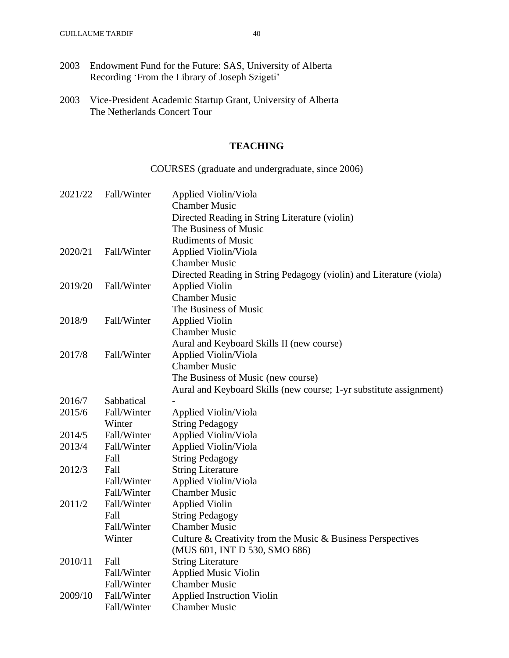2003 Vice-President Academic Startup Grant, University of Alberta The Netherlands Concert Tour

### **TEACHING**

# COURSES (graduate and undergraduate, since 2006)

| 2021/22 | Fall/Winter | Applied Violin/Viola                                                |
|---------|-------------|---------------------------------------------------------------------|
|         |             | <b>Chamber Music</b>                                                |
|         |             | Directed Reading in String Literature (violin)                      |
|         |             | The Business of Music                                               |
|         |             | <b>Rudiments of Music</b>                                           |
| 2020/21 | Fall/Winter | Applied Violin/Viola                                                |
|         |             | <b>Chamber Music</b>                                                |
|         |             | Directed Reading in String Pedagogy (violin) and Literature (viola) |
| 2019/20 | Fall/Winter | <b>Applied Violin</b>                                               |
|         |             | <b>Chamber Music</b>                                                |
|         |             | The Business of Music                                               |
| 2018/9  | Fall/Winter | <b>Applied Violin</b>                                               |
|         |             | <b>Chamber Music</b>                                                |
|         |             | Aural and Keyboard Skills II (new course)                           |
| 2017/8  | Fall/Winter | Applied Violin/Viola                                                |
|         |             | <b>Chamber Music</b>                                                |
|         |             | The Business of Music (new course)                                  |
|         |             | Aural and Keyboard Skills (new course; 1-yr substitute assignment)  |
| 2016/7  | Sabbatical  |                                                                     |
| 2015/6  | Fall/Winter | Applied Violin/Viola                                                |
|         | Winter      | <b>String Pedagogy</b>                                              |
| 2014/5  | Fall/Winter | Applied Violin/Viola                                                |
| 2013/4  | Fall/Winter | Applied Violin/Viola                                                |
|         | Fall        | <b>String Pedagogy</b>                                              |
| 2012/3  | Fall        | <b>String Literature</b>                                            |
|         | Fall/Winter | Applied Violin/Viola                                                |
|         | Fall/Winter | <b>Chamber Music</b>                                                |
| 2011/2  | Fall/Winter | <b>Applied Violin</b>                                               |
|         | Fall        | <b>String Pedagogy</b>                                              |
|         | Fall/Winter | <b>Chamber Music</b>                                                |
|         | Winter      | Culture & Creativity from the Music & Business Perspectives         |
|         |             | (MUS 601, INT D 530, SMO 686)                                       |
| 2010/11 | Fall        | <b>String Literature</b>                                            |
|         | Fall/Winter | <b>Applied Music Violin</b>                                         |
|         | Fall/Winter | <b>Chamber Music</b>                                                |
| 2009/10 | Fall/Winter | <b>Applied Instruction Violin</b>                                   |
|         | Fall/Winter | <b>Chamber Music</b>                                                |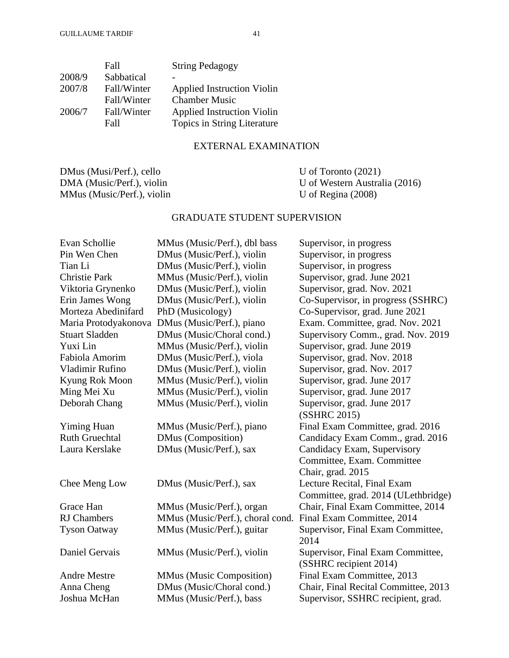|        | Fall        | <b>String Pedagogy</b>            |
|--------|-------------|-----------------------------------|
| 2008/9 | Sabbatical  |                                   |
| 2007/8 | Fall/Winter | <b>Applied Instruction Violin</b> |
|        | Fall/Winter | <b>Chamber Music</b>              |
| 2006/7 | Fall/Winter | <b>Applied Instruction Violin</b> |
|        | Fall        | Topics in String Literature       |
|        |             |                                   |

## EXTERNAL EXAMINATION

DMus (Musi/Perf.), cello U of Toronto (2021) MMus (Music/Perf.), violin

DMA (Music/Perf.), violin U of Western Australia (2016)<br>MMus (Music/Perf.), violin U of Regina (2008)

# GRADUATE STUDENT SUPERVISION

| Evan Schollie         | MMus (Music/Perf.), dbl bass     | Supervisor, in progress              |
|-----------------------|----------------------------------|--------------------------------------|
| Pin Wen Chen          | DMus (Music/Perf.), violin       | Supervisor, in progress              |
| Tian Li               | DMus (Music/Perf.), violin       | Supervisor, in progress              |
| <b>Christie Park</b>  | MMus (Music/Perf.), violin       | Supervisor, grad. June 2021          |
| Viktoria Grynenko     | DMus (Music/Perf.), violin       | Supervisor, grad. Nov. 2021          |
| Erin James Wong       | DMus (Music/Perf.), violin       | Co-Supervisor, in progress (SSHRC)   |
| Morteza Abedinifard   | PhD (Musicology)                 | Co-Supervisor, grad. June 2021       |
| Maria Protodyakonova  | DMus (Music/Perf.), piano        | Exam. Committee, grad. Nov. 2021     |
| <b>Stuart Sladden</b> | DMus (Music/Choral cond.)        | Supervisory Comm., grad. Nov. 2019   |
| Yuxi Lin              | MMus (Music/Perf.), violin       | Supervisor, grad. June 2019          |
| Fabiola Amorim        | DMus (Music/Perf.), viola        | Supervisor, grad. Nov. 2018          |
| Vladimir Rufino       | DMus (Music/Perf.), violin       | Supervisor, grad. Nov. 2017          |
| Kyung Rok Moon        | MMus (Music/Perf.), violin       | Supervisor, grad. June 2017          |
| Ming Mei Xu           | MMus (Music/Perf.), violin       | Supervisor, grad. June 2017          |
| Deborah Chang         | MMus (Music/Perf.), violin       | Supervisor, grad. June 2017          |
|                       |                                  | (SSHRC 2015)                         |
| <b>Yiming Huan</b>    | MMus (Music/Perf.), piano        | Final Exam Committee, grad. 2016     |
| <b>Ruth Gruechtal</b> | DMus (Composition)               | Candidacy Exam Comm., grad. 2016     |
| Laura Kerslake        | DMus (Music/Perf.), sax          | Candidacy Exam, Supervisory          |
|                       |                                  | Committee, Exam. Committee           |
|                       |                                  | Chair, grad. 2015                    |
| Chee Meng Low         | DMus (Music/Perf.), sax          | Lecture Recital, Final Exam          |
|                       |                                  | Committee, grad. 2014 (ULethbridge)  |
| Grace Han             | MMus (Music/Perf.), organ        | Chair, Final Exam Committee, 2014    |
| <b>RJ</b> Chambers    | MMus (Music/Perf.), choral cond. | Final Exam Committee, 2014           |
| <b>Tyson Oatway</b>   | MMus (Music/Perf.), guitar       | Supervisor, Final Exam Committee,    |
|                       |                                  | 2014                                 |
| Daniel Gervais        | MMus (Music/Perf.), violin       | Supervisor, Final Exam Committee,    |
|                       |                                  | (SSHRC recipient 2014)               |
| <b>Andre Mestre</b>   | MMus (Music Composition)         | Final Exam Committee, 2013           |
| Anna Cheng            | DMus (Music/Choral cond.)        | Chair, Final Recital Committee, 2013 |
| Joshua McHan          | MMus (Music/Perf.), bass         | Supervisor, SSHRC recipient, grad.   |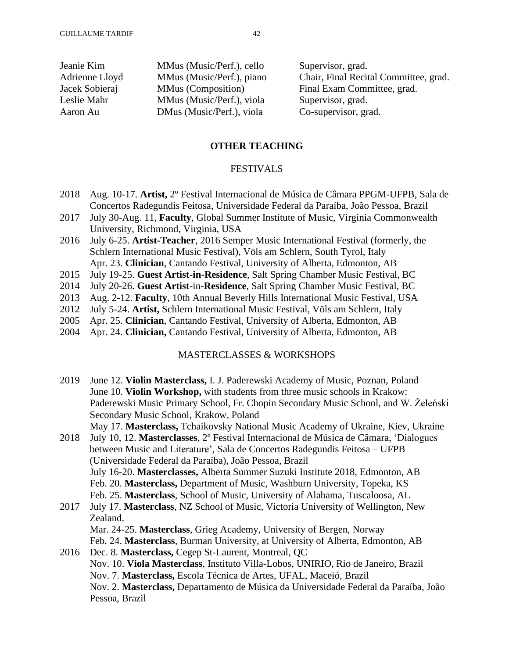| Jeanie Kim     | MMus (Music/Perf.), cello | Supervisor, grad.                     |
|----------------|---------------------------|---------------------------------------|
| Adrienne Lloyd | MMus (Music/Perf.), piano | Chair, Final Recital Committee, grad. |
| Jacek Sobieraj | MMus (Composition)        | Final Exam Committee, grad.           |
| Leslie Mahr    | MMus (Music/Perf.), viola | Supervisor, grad.                     |
| Aaron Au       | DMus (Music/Perf.), viola | Co-supervisor, grad.                  |
|                |                           |                                       |

### **OTHER TEACHING**

### FESTIVALS

- 2018 Aug. 10-17. **Artist,** 2º Festival Internacional de Música de Câmara PPGM-UFPB, Sala de Concertos Radegundis Feitosa, Universidade Federal da Paraíba, João Pessoa, Brazil
- 2017 July 30-Aug. 11, **Faculty**, Global Summer Institute of Music, Virginia Commonwealth University, Richmond, Virginia, USA
- 2016 July 6-25. **Artist-Teacher**, 2016 Semper Music International Festival (formerly, the Schlern International Music Festival), Völs am Schlern, South Tyrol, Italy Apr. 23. **Clinician**, Cantando Festival, University of Alberta, Edmonton, AB
- 2015 July 19-25. **Guest Artist-in-Residence**, Salt Spring Chamber Music Festival, BC
- 2014 July 20-26. **Guest Artist-**in**-Residence**, Salt Spring Chamber Music Festival, BC
- 2013 Aug. 2-12. **Faculty**, 10th Annual Beverly Hills International Music Festival, USA
- 2012 July 5-24. **Artist,** Schlern International Music Festival, Völs am Schlern, Italy
- 2005 Apr. 25. **Clinician**, Cantando Festival, University of Alberta, Edmonton, AB
- 2004 Apr. 24. **Clinician,** Cantando Festival, University of Alberta, Edmonton, AB

### MASTERCLASSES & WORKSHOPS

| 2019 | June 12. Violin Masterclass, I. J. Paderewski Academy of Music, Poznan, Poland        |
|------|---------------------------------------------------------------------------------------|
|      | June 10. Violin Workshop, with students from three music schools in Krakow:           |
|      | Paderewski Music Primary School, Fr. Chopin Secondary Music School, and W. Żeleński   |
|      | Secondary Music School, Krakow, Poland                                                |
|      | May 17. Masterclass, Tchaikovsky National Music Academy of Ukraine, Kiev, Ukraine     |
| 2018 | July 10, 12. Masterclasses, 2° Festival Internacional de Música de Câmara, 'Dialogues |
|      | between Music and Literature', Sala de Concertos Radegundis Feitosa - UFPB            |
|      | (Universidade Federal da Paraíba), João Pessoa, Brazil                                |
|      | July 16-20. Masterclasses, Alberta Summer Suzuki Institute 2018, Edmonton, AB         |
|      | Feb. 20. Masterclass, Department of Music, Washburn University, Topeka, KS            |
|      | Feb. 25. Masterclass, School of Music, University of Alabama, Tuscaloosa, AL          |
| 2017 | July 17. Masterclass, NZ School of Music, Victoria University of Wellington, New      |
|      | Zealand.                                                                              |
|      | Mar. 24-25. Masterclass, Grieg Academy, University of Bergen, Norway                  |
|      | Feb. 24. Masterclass, Burman University, at University of Alberta, Edmonton, AB       |
| 2016 | Dec. 8. Masterclass, Cegep St-Laurent, Montreal, QC                                   |
|      | Nov. 10. Viola Masterclass, Instituto Villa-Lobos, UNIRIO, Rio de Janeiro, Brazil     |
|      | Nov. 7. Masterclass, Escola Técnica de Artes, UFAL, Maceió, Brazil                    |
|      | Nov. 2. Masterclass, Departamento de Música da Universidade Federal da Paraíba, João  |
|      | Pessoa, Brazil                                                                        |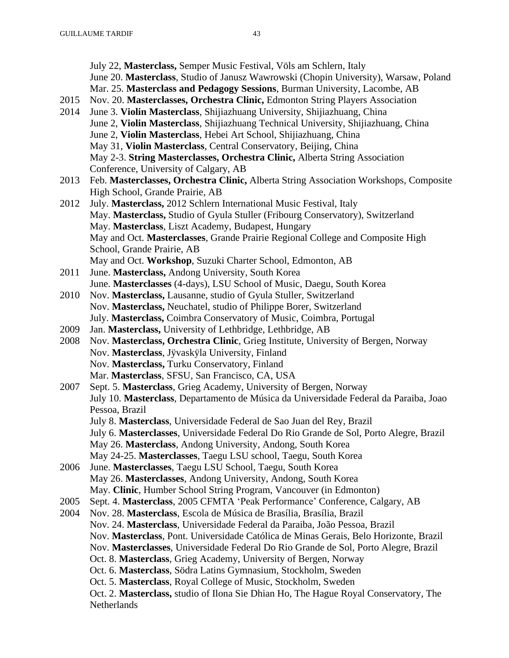July 22, **Masterclass,** Semper Music Festival, Völs am Schlern, Italy June 20. **Masterclass**, Studio of Janusz Wawrowski (Chopin University), Warsaw, Poland Mar. 25. **Masterclass and Pedagogy Sessions**, Burman University, Lacombe, AB 2015 Nov. 20. **Masterclasses, Orchestra Clinic,** Edmonton String Players Association 2014 June 3. **Violin Masterclass**, Shijiazhuang University, Shijiazhuang, China June 2, **Violin Masterclass**, Shijiazhuang Technical University, Shijiazhuang, China June 2, **Violin Masterclass**, Hebei Art School, Shijiazhuang, China May 31, **Violin Masterclass**, Central Conservatory, Beijing, China May 2-3. **String Masterclasses, Orchestra Clinic,** Alberta String Association Conference, University of Calgary, AB 2013 Feb. **Masterclasses, Orchestra Clinic,** Alberta String Association Workshops, Composite High School, Grande Prairie, AB 2012 July. **Masterclass,** 2012 Schlern International Music Festival, Italy May. **Masterclass,** Studio of Gyula Stuller (Fribourg Conservatory), Switzerland May. **Masterclass**, Liszt Academy, Budapest, Hungary May and Oct. **Masterclasses**, Grande Prairie Regional College and Composite High School, Grande Prairie, AB May and Oct. **Workshop**, Suzuki Charter School, Edmonton, AB 2011 June. **Masterclass,** Andong University, South Korea June. **Masterclasses** (4-days), LSU School of Music, Daegu, South Korea 2010 Nov. **Masterclass,** Lausanne, studio of Gyula Stuller, Switzerland Nov. **Masterclass,** Neuchatel, studio of Philippe Borer, Switzerland July. **Masterclass,** Coimbra Conservatory of Music, Coimbra, Portugal 2009 Jan. **Masterclass,** University of Lethbridge, Lethbridge, AB 2008 Nov. **Masterclass, Orchestra Clinic**, Grieg Institute, University of Bergen, Norway Nov. **Masterclass**, Jÿvaskÿla University, Finland Nov. **Masterclass,** Turku Conservatory, Finland Mar. **Masterclass**, SFSU, San Francisco, CA, USA 2007 Sept. 5. **Masterclass**, Grieg Academy, University of Bergen, Norway July 10. **Masterclass**, Departamento de Música da Universidade Federal da Paraiba, Joao Pessoa, Brazil July 8. **Masterclass**, Universidade Federal de Sao Juan del Rey, Brazil July 6. **Masterclasses**, Universidade Federal Do Rio Grande de Sol, Porto Alegre, Brazil May 26. **Masterclass**, Andong University, Andong, South Korea May 24-25. **Masterclasses**, Taegu LSU school, Taegu, South Korea 2006 June. **Masterclasses**, Taegu LSU School, Taegu, South Korea May 26. **Masterclasses**, Andong University, Andong, South Korea May. **Clinic**, Humber School String Program, Vancouver (in Edmonton) 2005 Sept. 4. **Masterclass**, 2005 CFMTA 'Peak Performance' Conference, Calgary, AB 2004 Nov. 28. **Masterclass**, Escola de Música de Brasília, Brasília, Brazil Nov. 24. **Masterclass**, Universidade Federal da Paraiba, João Pessoa, Brazil Nov. **Masterclass**, Pont. Universidade Católica de Minas Gerais, Belo Horizonte, Brazil Nov. **Masterclasses**, Universidade Federal Do Rio Grande de Sol, Porto Alegre, Brazil Oct. 8. **Masterclass**, Grieg Academy, University of Bergen, Norway Oct. 6. **Masterclass**, Södra Latins Gymnasium, Stockholm, Sweden Oct. 5. **Masterclass**, Royal College of Music, Stockholm, Sweden Oct. 2. **Masterclass,** studio of Ilona Sie Dhian Ho, The Hague Royal Conservatory, The **Netherlands**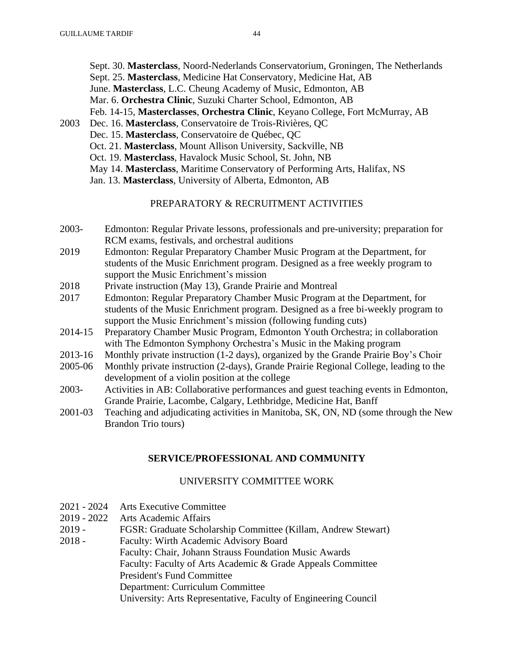| Sept. 30. Masterclass, Noord-Nederlands Conservatorium, Groningen, The Netherlands |
|------------------------------------------------------------------------------------|
| Sept. 25. Masterclass, Medicine Hat Conservatory, Medicine Hat, AB                 |
| June. Masterclass, L.C. Cheung Academy of Music, Edmonton, AB                      |
| Mar. 6. Orchestra Clinic, Suzuki Charter School, Edmonton, AB                      |
| Feb. 14-15, Masterclasses, Orchestra Clinic, Keyano College, Fort McMurray, AB     |

2003 Dec. 16. **Masterclass**, Conservatoire de Trois-Rivières, QC Dec. 15. **Masterclass**, Conservatoire de Québec, QC Oct. 21. **Masterclass**, Mount Allison University, Sackville, NB Oct. 19. **Masterclass**, Havalock Music School, St. John, NB May 14. **Masterclass**, Maritime Conservatory of Performing Arts, Halifax, NS Jan. 13. **Masterclass**, University of Alberta, Edmonton, AB

### PREPARATORY & RECRUITMENT ACTIVITIES

- 2003- Edmonton: Regular Private lessons, professionals and pre-university; preparation for RCM exams, festivals, and orchestral auditions
- 2019 Edmonton: Regular Preparatory Chamber Music Program at the Department, for students of the Music Enrichment program. Designed as a free weekly program to support the Music Enrichment's mission
- 2018 Private instruction (May 13), Grande Prairie and Montreal
- 2017 Edmonton: Regular Preparatory Chamber Music Program at the Department, for students of the Music Enrichment program. Designed as a free bi-weekly program to support the Music Enrichment's mission (following funding cuts)
- 2014-15 Preparatory Chamber Music Program, Edmonton Youth Orchestra; in collaboration with The Edmonton Symphony Orchestra's Music in the Making program
- 2013-16 Monthly private instruction (1-2 days), organized by the Grande Prairie Boy's Choir
- 2005-06 Monthly private instruction (2-days), Grande Prairie Regional College, leading to the development of a violin position at the college
- 2003- Activities in AB: Collaborative performances and guest teaching events in Edmonton, Grande Prairie, Lacombe, Calgary, Lethbridge, Medicine Hat, Banff
- 2001-03 Teaching and adjudicating activities in Manitoba, SK, ON, ND (some through the New Brandon Trio tours)

### **SERVICE/PROFESSIONAL AND COMMUNITY**

### UNIVERSITY COMMITTEE WORK

- 2021 2024 Arts Executive Committee
- 2019 2022 Arts Academic Affairs
- 2019 FGSR: Graduate Scholarship Committee (Killam, Andrew Stewart)
- 2018 Faculty: Wirth Academic Advisory Board

Faculty: Chair, Johann Strauss Foundation Music Awards

Faculty: Faculty of Arts Academic & Grade Appeals Committee

President's Fund Committee

Department: Curriculum Committee

University: Arts Representative, Faculty of Engineering Council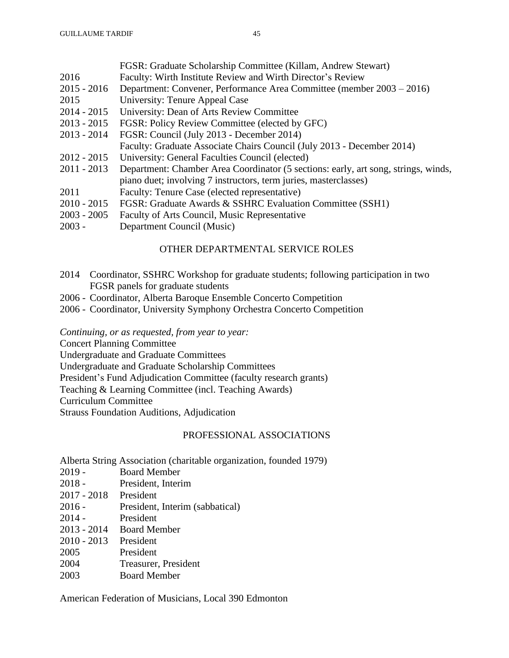|                                               | FGSR: Graduate Scholarship Committee (Killam, Andrew Stewart)                      |
|-----------------------------------------------|------------------------------------------------------------------------------------|
| 2016                                          | Faculty: Wirth Institute Review and Wirth Director's Review                        |
| $2015 - 2016$                                 | Department: Convener, Performance Area Committee (member 2003 – 2016)              |
| 2015                                          | University: Tenure Appeal Case                                                     |
| $2014 - 2015$                                 | University: Dean of Arts Review Committee                                          |
| $2013 - 2015$                                 | FGSR: Policy Review Committee (elected by GFC)                                     |
| $2013 - 2014$                                 | FGSR: Council (July 2013 - December 2014)                                          |
|                                               | Faculty: Graduate Associate Chairs Council (July 2013 - December 2014)             |
| $2012 - 2015$                                 | University: General Faculties Council (elected)                                    |
| $2011 - 2013$                                 | Department: Chamber Area Coordinator (5 sections: early, art song, strings, winds, |
|                                               | piano duet; involving 7 instructors, term juries, masterclasses)                   |
| 2011                                          | Faculty: Tenure Case (elected representative)                                      |
| $2010 - 2015$                                 | FGSR: Graduate Awards & SSHRC Evaluation Committee (SSH1)                          |
| $\mathbf{a} \mathbf{a} \mathbf{a} \mathbf{a}$ |                                                                                    |

- 2003 2005 Faculty of Arts Council, Music Representative
- 2003 Department Council (Music)

### OTHER DEPARTMENTAL SERVICE ROLES

- 2014 Coordinator, SSHRC Workshop for graduate students; following participation in two FGSR panels for graduate students
- 2006 Coordinator, Alberta Baroque Ensemble Concerto Competition
- 2006 Coordinator, University Symphony Orchestra Concerto Competition

*Continuing, or as requested, from year to year:*

Concert Planning Committee

Undergraduate and Graduate Committees

Undergraduate and Graduate Scholarship Committees

President's Fund Adjudication Committee (faculty research grants)

Teaching & Learning Committee (incl. Teaching Awards)

Curriculum Committee

Strauss Foundation Auditions, Adjudication

## PROFESSIONAL ASSOCIATIONS

Alberta String Association (charitable organization, founded 1979)

- 2019 Board Member
- 2018 President, Interim
- 2017 2018 President
- 2016 President, Interim (sabbatical)
- 2014 President
- 2013 2014 Board Member
- 2010 2013 President
- 2005 President
- 2004 Treasurer, President
- 2003 Board Member

American Federation of Musicians, Local 390 Edmonton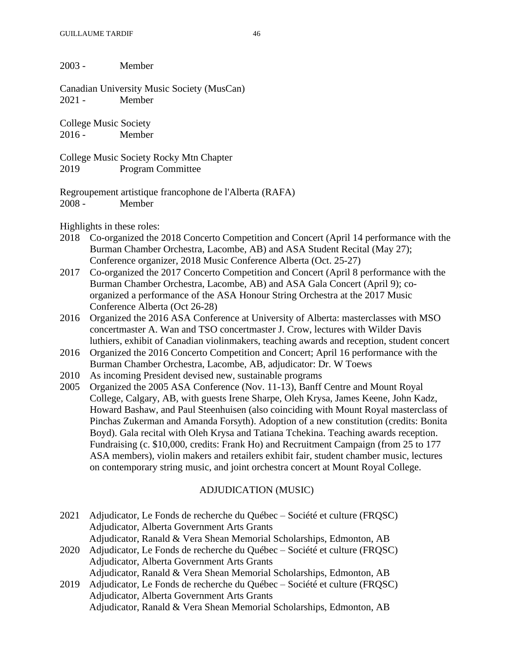2003 - Member

Canadian University Music Society (MusCan) 2021 - Member

College Music Society 2016 - Member

College Music Society Rocky Mtn Chapter 2019 Program Committee

Regroupement artistique francophone de l'Alberta (RAFA) 2008 - Member

Highlights in these roles:

- 2018 Co-organized the 2018 Concerto Competition and Concert (April 14 performance with the Burman Chamber Orchestra, Lacombe, AB) and ASA Student Recital (May 27); Conference organizer, 2018 Music Conference Alberta (Oct. 25-27)
- 2017 Co-organized the 2017 Concerto Competition and Concert (April 8 performance with the Burman Chamber Orchestra, Lacombe, AB) and ASA Gala Concert (April 9); coorganized a performance of the ASA Honour String Orchestra at the 2017 Music Conference Alberta (Oct 26-28)
- 2016 Organized the 2016 ASA Conference at University of Alberta: masterclasses with MSO concertmaster A. Wan and TSO concertmaster J. Crow, lectures with Wilder Davis luthiers, exhibit of Canadian violinmakers, teaching awards and reception, student concert
- 2016 Organized the 2016 Concerto Competition and Concert; April 16 performance with the Burman Chamber Orchestra, Lacombe, AB, adjudicator: Dr. W Toews
- 2010 As incoming President devised new, sustainable programs
- 2005 Organized the 2005 ASA Conference (Nov. 11-13), Banff Centre and Mount Royal College, Calgary, AB, with guests Irene Sharpe, Oleh Krysa, James Keene, John Kadz, Howard Bashaw, and Paul Steenhuisen (also coinciding with Mount Royal masterclass of Pinchas Zukerman and Amanda Forsyth). Adoption of a new constitution (credits: Bonita Boyd). Gala recital with Oleh Krysa and Tatiana Tchekina. Teaching awards reception. Fundraising (c. \$10,000, credits: Frank Ho) and Recruitment Campaign (from 25 to 177 ASA members), violin makers and retailers exhibit fair, student chamber music, lectures on contemporary string music, and joint orchestra concert at Mount Royal College.

# ADJUDICATION (MUSIC)

|      | 2021 Adjudicator, Le Fonds de recherche du Québec – Société et culture (FRQSC) |
|------|--------------------------------------------------------------------------------|
|      | Adjudicator, Alberta Government Arts Grants                                    |
|      | Adjudicator, Ranald & Vera Shean Memorial Scholarships, Edmonton, AB           |
| 2020 | Adjudicator, Le Fonds de recherche du Québec – Société et culture (FROSC)      |

Adjudicator, Alberta Government Arts Grants

Adjudicator, Ranald & Vera Shean Memorial Scholarships, Edmonton, AB

2019 Adjudicator, Le Fonds de recherche du Québec – Société et culture (FRQSC) Adjudicator, Alberta Government Arts Grants Adjudicator, Ranald & Vera Shean Memorial Scholarships, Edmonton, AB